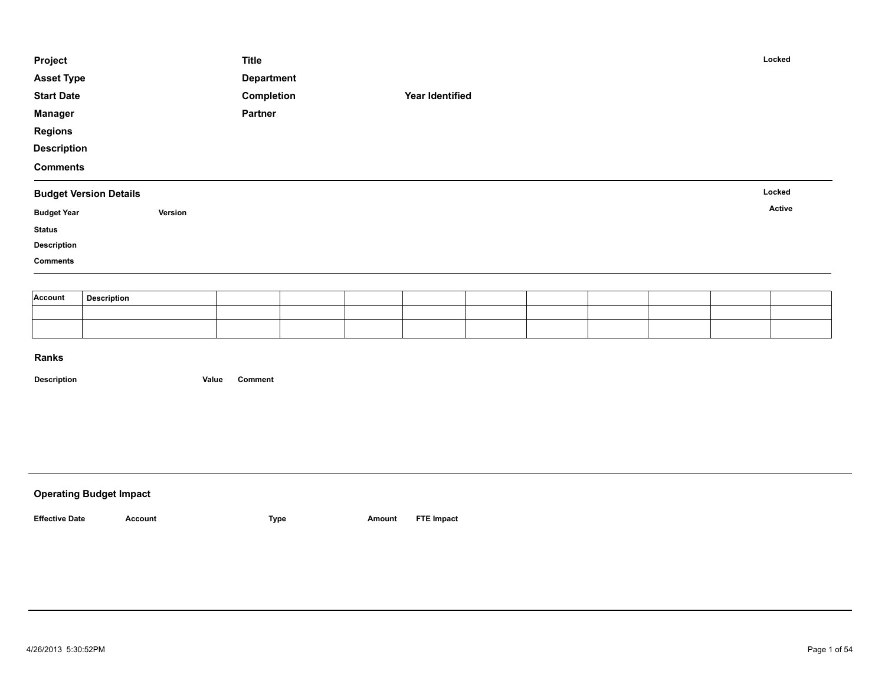| Project            |                               | <b>Title</b>      |                 |  | Locked |  |
|--------------------|-------------------------------|-------------------|-----------------|--|--------|--|
| <b>Asset Type</b>  |                               | <b>Department</b> |                 |  |        |  |
| <b>Start Date</b>  |                               | Completion        | Year Identified |  |        |  |
| <b>Manager</b>     |                               | Partner           |                 |  |        |  |
| <b>Regions</b>     |                               |                   |                 |  |        |  |
| <b>Description</b> |                               |                   |                 |  |        |  |
| <b>Comments</b>    |                               |                   |                 |  |        |  |
|                    | <b>Budget Version Details</b> |                   |                 |  | Locked |  |
|                    |                               |                   |                 |  |        |  |
| <b>Budget Year</b> | Version                       |                   |                 |  | Active |  |
| <b>Status</b>      |                               |                   |                 |  |        |  |
| <b>Description</b> |                               |                   |                 |  |        |  |
| <b>Comments</b>    |                               |                   |                 |  |        |  |
|                    |                               |                   |                 |  |        |  |
| Account            | <b>Description</b>            |                   |                 |  |        |  |

| <b>Operating Budget Impact</b> |         |             |        |                   |
|--------------------------------|---------|-------------|--------|-------------------|
| <b>Effective Date</b>          | Account | <b>Type</b> | Amount | <b>FTE Impact</b> |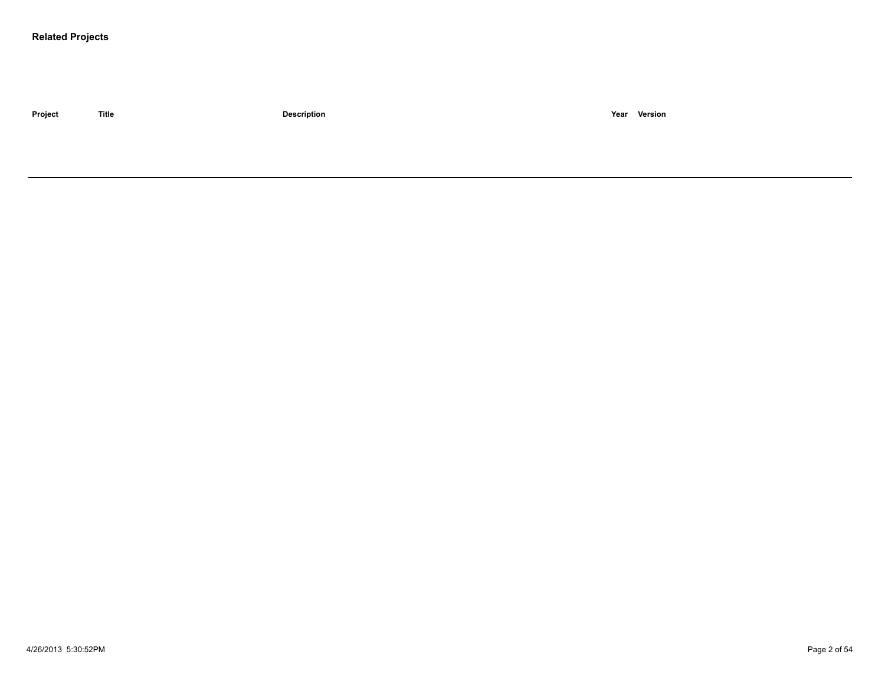#### **Related Projects**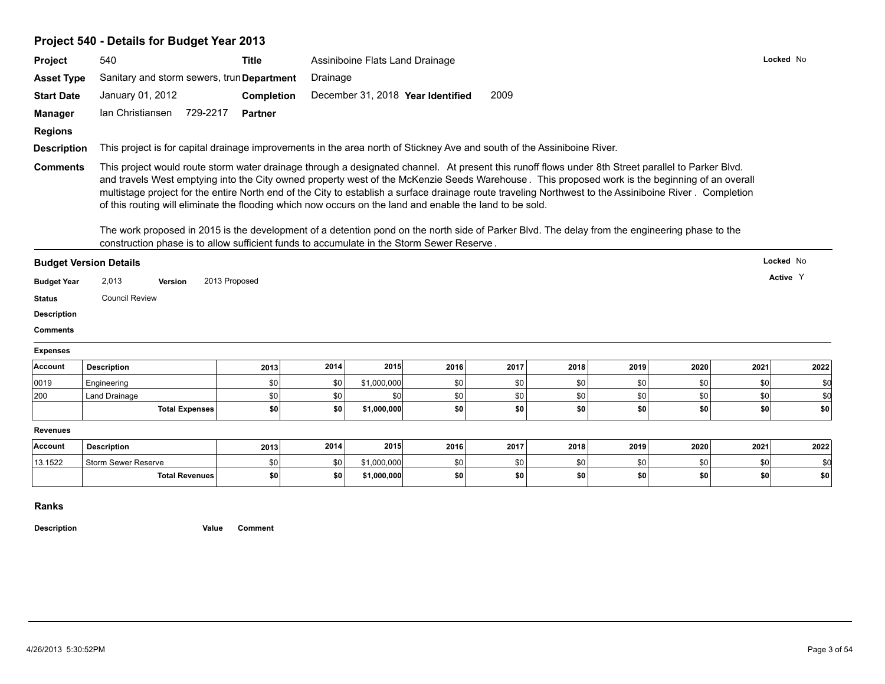# **Project 540 - Details for Budget Year 2013**

| Project                       | 540                                                                                                                                                                                                                                                                                                                                                                                                                                                                                                                                                                                                                                                                                                                                                                                                                       | <b>Title</b>      |          | Assiniboine Flats Land Drainage |                                   |      |      |      |      | Locked No |          |
|-------------------------------|---------------------------------------------------------------------------------------------------------------------------------------------------------------------------------------------------------------------------------------------------------------------------------------------------------------------------------------------------------------------------------------------------------------------------------------------------------------------------------------------------------------------------------------------------------------------------------------------------------------------------------------------------------------------------------------------------------------------------------------------------------------------------------------------------------------------------|-------------------|----------|---------------------------------|-----------------------------------|------|------|------|------|-----------|----------|
| <b>Asset Type</b>             | Sanitary and storm sewers, trun Department                                                                                                                                                                                                                                                                                                                                                                                                                                                                                                                                                                                                                                                                                                                                                                                |                   | Drainage |                                 |                                   |      |      |      |      |           |          |
| <b>Start Date</b>             | January 01, 2012                                                                                                                                                                                                                                                                                                                                                                                                                                                                                                                                                                                                                                                                                                                                                                                                          | <b>Completion</b> |          |                                 | December 31, 2018 Year Identified | 2009 |      |      |      |           |          |
| <b>Manager</b>                | Ian Christiansen 729-2217                                                                                                                                                                                                                                                                                                                                                                                                                                                                                                                                                                                                                                                                                                                                                                                                 | <b>Partner</b>    |          |                                 |                                   |      |      |      |      |           |          |
| <b>Regions</b>                |                                                                                                                                                                                                                                                                                                                                                                                                                                                                                                                                                                                                                                                                                                                                                                                                                           |                   |          |                                 |                                   |      |      |      |      |           |          |
| <b>Description</b>            | This project is for capital drainage improvements in the area north of Stickney Ave and south of the Assiniboine River.                                                                                                                                                                                                                                                                                                                                                                                                                                                                                                                                                                                                                                                                                                   |                   |          |                                 |                                   |      |      |      |      |           |          |
| <b>Comments</b>               | This project would route storm water drainage through a designated channel. At present this runoff flows under 8th Street parallel to Parker Blvd.<br>and travels West emptying into the City owned property west of the McKenzie Seeds Warehouse. This proposed work is the beginning of an overall<br>multistage project for the entire North end of the City to establish a surface drainage route traveling Northwest to the Assiniboine River. Completion<br>of this routing will eliminate the flooding which now occurs on the land and enable the land to be sold.<br>The work proposed in 2015 is the development of a detention pond on the north side of Parker Blvd. The delay from the engineering phase to the<br>construction phase is to allow sufficient funds to accumulate in the Storm Sewer Reserve. |                   |          |                                 |                                   |      |      |      |      |           |          |
|                               |                                                                                                                                                                                                                                                                                                                                                                                                                                                                                                                                                                                                                                                                                                                                                                                                                           |                   |          |                                 |                                   |      |      |      |      |           |          |
|                               |                                                                                                                                                                                                                                                                                                                                                                                                                                                                                                                                                                                                                                                                                                                                                                                                                           |                   |          |                                 |                                   |      |      |      |      |           |          |
| <b>Budget Version Details</b> |                                                                                                                                                                                                                                                                                                                                                                                                                                                                                                                                                                                                                                                                                                                                                                                                                           |                   |          |                                 |                                   |      |      |      |      | Locked No |          |
| <b>Budget Year</b>            | 2,013<br><b>Version</b>                                                                                                                                                                                                                                                                                                                                                                                                                                                                                                                                                                                                                                                                                                                                                                                                   | 2013 Proposed     |          |                                 |                                   |      |      |      |      |           | Active Y |
| <b>Status</b>                 | <b>Council Review</b>                                                                                                                                                                                                                                                                                                                                                                                                                                                                                                                                                                                                                                                                                                                                                                                                     |                   |          |                                 |                                   |      |      |      |      |           |          |
| <b>Description</b>            |                                                                                                                                                                                                                                                                                                                                                                                                                                                                                                                                                                                                                                                                                                                                                                                                                           |                   |          |                                 |                                   |      |      |      |      |           |          |
| <b>Comments</b>               |                                                                                                                                                                                                                                                                                                                                                                                                                                                                                                                                                                                                                                                                                                                                                                                                                           |                   |          |                                 |                                   |      |      |      |      |           |          |
| <b>Expenses</b>               |                                                                                                                                                                                                                                                                                                                                                                                                                                                                                                                                                                                                                                                                                                                                                                                                                           |                   |          |                                 |                                   |      |      |      |      |           |          |
| Account                       | <b>Description</b>                                                                                                                                                                                                                                                                                                                                                                                                                                                                                                                                                                                                                                                                                                                                                                                                        | 2013              | 2014     | 2015                            | 2016                              | 2017 | 2018 | 2019 | 2020 | 2021      | 2022     |
| 0019                          | Engineering                                                                                                                                                                                                                                                                                                                                                                                                                                                                                                                                                                                                                                                                                                                                                                                                               | \$0               | \$0      | \$1,000,000                     | \$0                               | \$0  | \$0  | \$0  | \$0  | \$0       | \$0      |
| 200                           | Land Drainage                                                                                                                                                                                                                                                                                                                                                                                                                                                                                                                                                                                                                                                                                                                                                                                                             | \$0               | \$0      | \$0                             | \$0                               | \$0  | \$0  | \$0  | \$0  | \$0       | \$0      |
|                               | <b>Total Expenses</b>                                                                                                                                                                                                                                                                                                                                                                                                                                                                                                                                                                                                                                                                                                                                                                                                     | \$0               | \$0      | \$1,000,000                     | \$0                               | \$0  | \$0  | \$0  | \$0  | \$0       | \$0      |
| <b>Revenues</b>               |                                                                                                                                                                                                                                                                                                                                                                                                                                                                                                                                                                                                                                                                                                                                                                                                                           |                   |          |                                 |                                   |      |      |      |      |           |          |
| Account                       | <b>Description</b>                                                                                                                                                                                                                                                                                                                                                                                                                                                                                                                                                                                                                                                                                                                                                                                                        | 2013              | 2014     | 2015                            | 2016                              | 2017 | 2018 | 2019 | 2020 | 2021      | 2022     |
| 13.1522                       | Storm Sewer Reserve                                                                                                                                                                                                                                                                                                                                                                                                                                                                                                                                                                                                                                                                                                                                                                                                       | \$0               | \$0      | \$1,000,000                     | \$0                               | \$0  | \$0  | \$0  | \$0  | \$0       | \$0      |

**Ranks**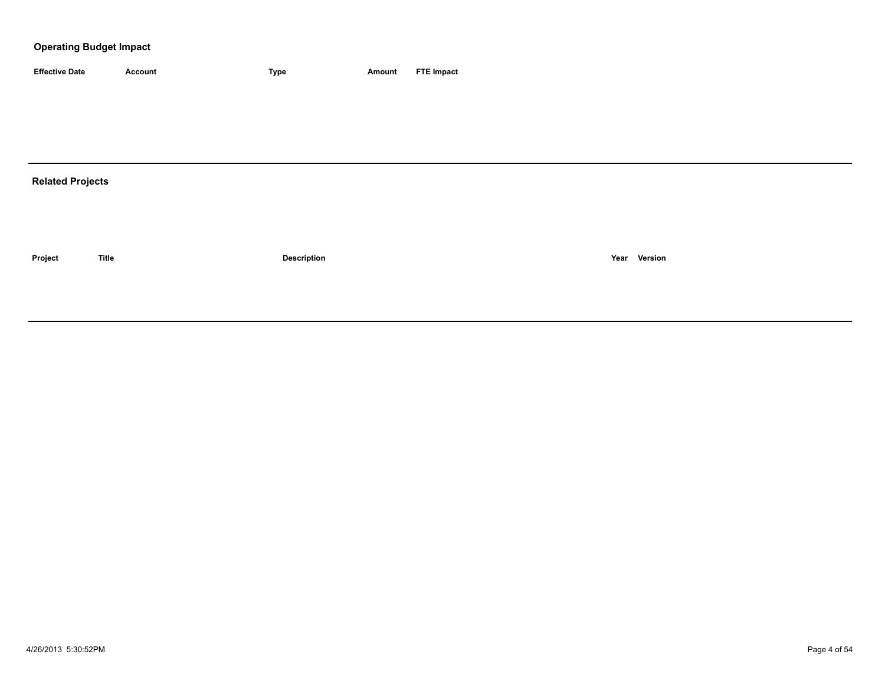| <b>Effective Date</b>   | <b>Account</b> | Type               | <b>Amount</b> | <b>FTE Impact</b> |
|-------------------------|----------------|--------------------|---------------|-------------------|
|                         |                |                    |               |                   |
|                         |                |                    |               |                   |
|                         |                |                    |               |                   |
|                         |                |                    |               |                   |
| <b>Related Projects</b> |                |                    |               |                   |
|                         |                |                    |               |                   |
|                         |                |                    |               |                   |
|                         |                |                    |               |                   |
| Project                 | <b>Title</b>   | <b>Description</b> |               | Year Version      |
|                         |                |                    |               |                   |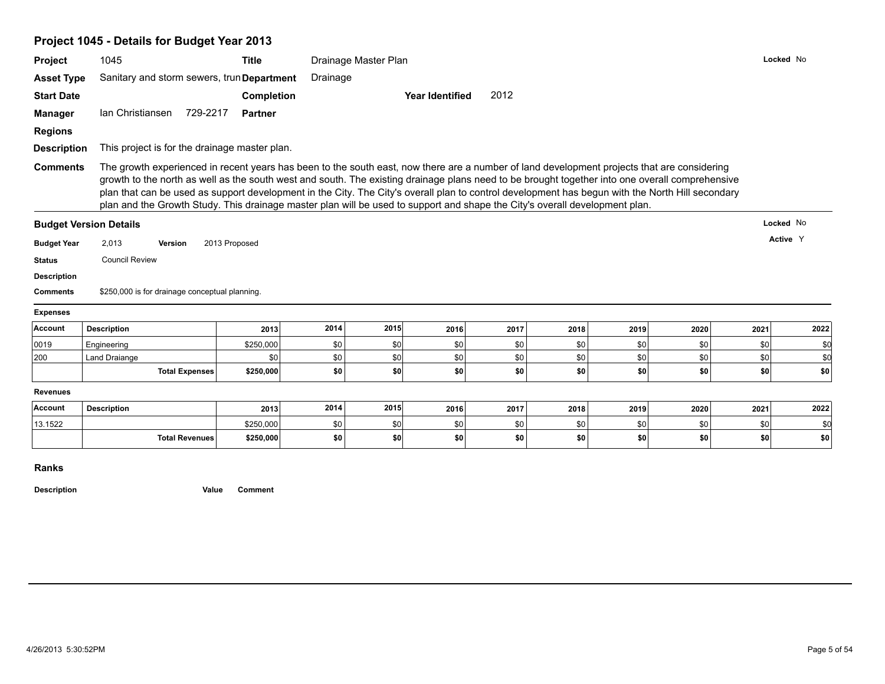# **Project 1045 - Details for Budget Year 2013**

| Project                                                                                                                   | 1045                                                                                                                                                                                                                                                                                                                                                                                                                                                                                                                                                                              | <b>Title</b>      |          | Drainage Master Plan |                        |      |      |      |      |      | Locked No |
|---------------------------------------------------------------------------------------------------------------------------|-----------------------------------------------------------------------------------------------------------------------------------------------------------------------------------------------------------------------------------------------------------------------------------------------------------------------------------------------------------------------------------------------------------------------------------------------------------------------------------------------------------------------------------------------------------------------------------|-------------------|----------|----------------------|------------------------|------|------|------|------|------|-----------|
| <b>Asset Type</b>                                                                                                         | Sanitary and storm sewers, trun Department                                                                                                                                                                                                                                                                                                                                                                                                                                                                                                                                        |                   | Drainage |                      |                        |      |      |      |      |      |           |
| <b>Start Date</b>                                                                                                         |                                                                                                                                                                                                                                                                                                                                                                                                                                                                                                                                                                                   | <b>Completion</b> |          |                      | <b>Year Identified</b> | 2012 |      |      |      |      |           |
| <b>Manager</b>                                                                                                            | 729-2217<br>Ian Christiansen                                                                                                                                                                                                                                                                                                                                                                                                                                                                                                                                                      | <b>Partner</b>    |          |                      |                        |      |      |      |      |      |           |
| <b>Regions</b>                                                                                                            |                                                                                                                                                                                                                                                                                                                                                                                                                                                                                                                                                                                   |                   |          |                      |                        |      |      |      |      |      |           |
| <b>Description</b>                                                                                                        | This project is for the drainage master plan.                                                                                                                                                                                                                                                                                                                                                                                                                                                                                                                                     |                   |          |                      |                        |      |      |      |      |      |           |
| <b>Comments</b>                                                                                                           | The growth experienced in recent years has been to the south east, now there are a number of land development projects that are considering<br>growth to the north as well as the south west and south. The existing drainage plans need to be brought together into one overall comprehensive<br>plan that can be used as support development in the City. The City's overall plan to control development has begun with the North Hill secondary<br>plan and the Growth Study. This drainage master plan will be used to support and shape the City's overall development plan. |                   |          |                      |                        |      |      |      |      |      |           |
|                                                                                                                           | <b>Budget Version Details</b>                                                                                                                                                                                                                                                                                                                                                                                                                                                                                                                                                     |                   |          |                      |                        |      |      |      |      |      | Locked No |
|                                                                                                                           |                                                                                                                                                                                                                                                                                                                                                                                                                                                                                                                                                                                   |                   |          |                      |                        |      |      |      |      |      |           |
|                                                                                                                           | 2,013<br>Version                                                                                                                                                                                                                                                                                                                                                                                                                                                                                                                                                                  | 2013 Proposed     |          |                      |                        |      |      |      |      |      | Active Y  |
|                                                                                                                           | <b>Council Review</b>                                                                                                                                                                                                                                                                                                                                                                                                                                                                                                                                                             |                   |          |                      |                        |      |      |      |      |      |           |
|                                                                                                                           |                                                                                                                                                                                                                                                                                                                                                                                                                                                                                                                                                                                   |                   |          |                      |                        |      |      |      |      |      |           |
|                                                                                                                           | \$250,000 is for drainage conceptual planning.                                                                                                                                                                                                                                                                                                                                                                                                                                                                                                                                    |                   |          |                      |                        |      |      |      |      |      |           |
|                                                                                                                           |                                                                                                                                                                                                                                                                                                                                                                                                                                                                                                                                                                                   |                   |          |                      |                        |      |      |      |      |      |           |
|                                                                                                                           | <b>Description</b>                                                                                                                                                                                                                                                                                                                                                                                                                                                                                                                                                                | 2013              | 2014     | 2015                 | 2016                   | 2017 | 2018 | 2019 | 2020 | 2021 | 2022      |
| <b>Budget Year</b><br><b>Status</b><br><b>Description</b><br><b>Comments</b><br><b>Expenses</b><br><b>Account</b><br>0019 | Engineering                                                                                                                                                                                                                                                                                                                                                                                                                                                                                                                                                                       | \$250,000         | \$0      | \$0                  | \$0                    | \$0  | \$0  | \$0  | \$0  | \$0  | \$0       |
| 200                                                                                                                       | <b>Land Draiange</b>                                                                                                                                                                                                                                                                                                                                                                                                                                                                                                                                                              | \$0               | \$0      | \$0                  | \$0                    | \$0  | \$0  | \$0  | \$0  | \$0  | \$d       |
|                                                                                                                           | <b>Total Expenses</b>                                                                                                                                                                                                                                                                                                                                                                                                                                                                                                                                                             | \$250,000         | \$0      | \$0                  | \$0                    | \$0  | \$0  | \$0  | \$0  | \$0  | \$0       |
| <b>Revenues</b>                                                                                                           |                                                                                                                                                                                                                                                                                                                                                                                                                                                                                                                                                                                   |                   |          |                      |                        |      |      |      |      |      |           |
| <b>Account</b>                                                                                                            | <b>Description</b>                                                                                                                                                                                                                                                                                                                                                                                                                                                                                                                                                                | 2013              | 2014     | 2015                 | 2016                   | 2017 | 2018 | 2019 | 2020 | 2021 | 2022      |
| 13.1522                                                                                                                   |                                                                                                                                                                                                                                                                                                                                                                                                                                                                                                                                                                                   | \$250,000         | \$0      | \$0                  | \$0                    | \$0  | \$0  | \$0  | \$0  | \$0  | \$0       |

**Ranks**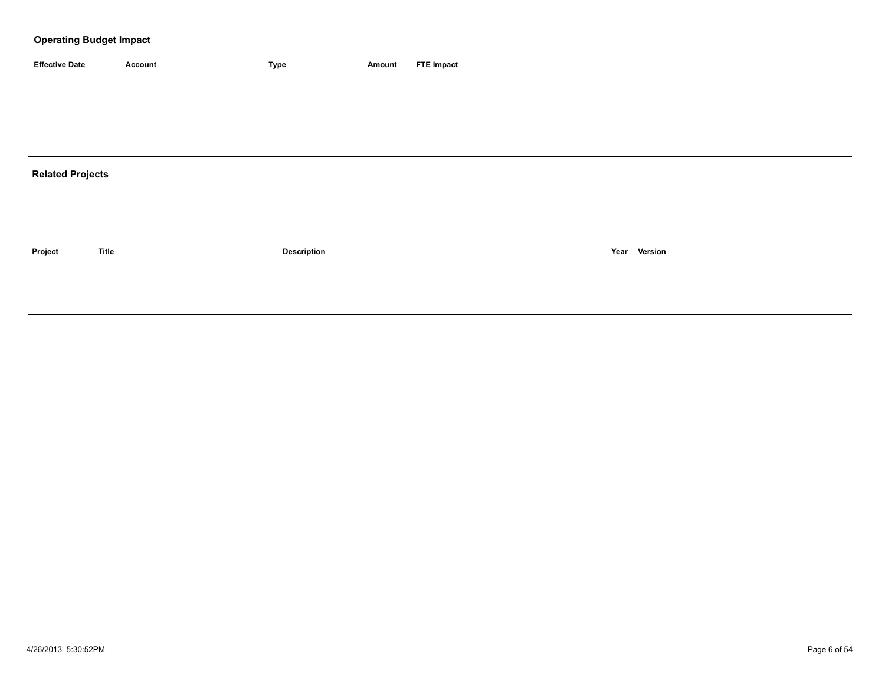| <b>Effective Date</b> | Account | 'vpe | Amount | <b>FTE Impact</b> |
|-----------------------|---------|------|--------|-------------------|

# **Related Projects**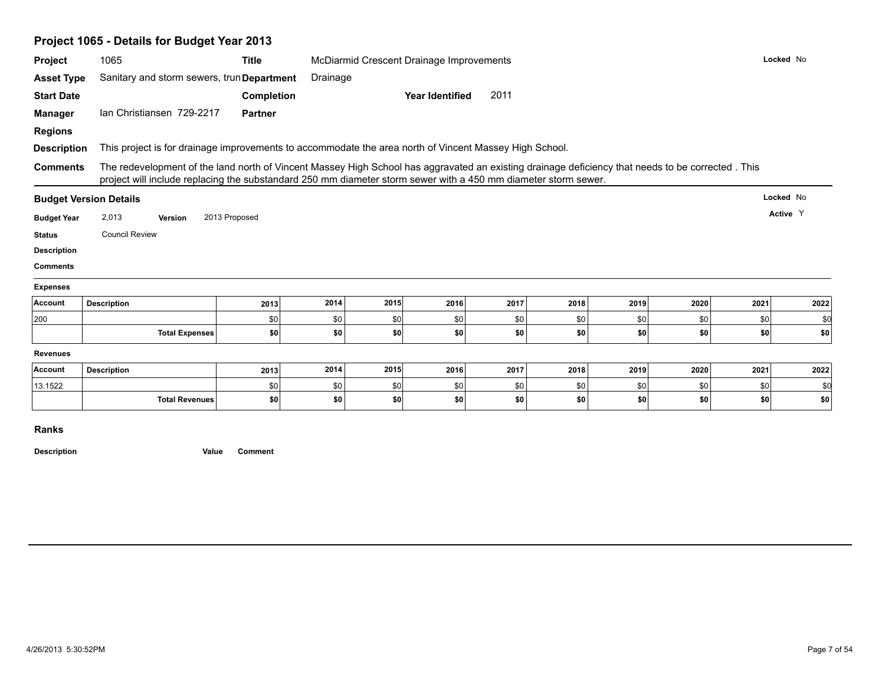|                               | Project 1065 - Details for Budget Year 2013                                                                                                                                                                                                                         |                |          |      |                                          |      |      |      |      |      |           |
|-------------------------------|---------------------------------------------------------------------------------------------------------------------------------------------------------------------------------------------------------------------------------------------------------------------|----------------|----------|------|------------------------------------------|------|------|------|------|------|-----------|
| Project                       | 1065                                                                                                                                                                                                                                                                | <b>Title</b>   |          |      | McDiarmid Crescent Drainage Improvements |      |      |      |      |      | Locked No |
| <b>Asset Type</b>             | Sanitary and storm sewers, trun Department                                                                                                                                                                                                                          |                | Drainage |      |                                          |      |      |      |      |      |           |
| <b>Start Date</b>             |                                                                                                                                                                                                                                                                     | Completion     |          |      | <b>Year Identified</b>                   | 2011 |      |      |      |      |           |
| <b>Manager</b>                | Ian Christiansen 729-2217                                                                                                                                                                                                                                           | <b>Partner</b> |          |      |                                          |      |      |      |      |      |           |
| <b>Regions</b>                |                                                                                                                                                                                                                                                                     |                |          |      |                                          |      |      |      |      |      |           |
| <b>Description</b>            | This project is for drainage improvements to accommodate the area north of Vincent Massey High School.                                                                                                                                                              |                |          |      |                                          |      |      |      |      |      |           |
| <b>Comments</b>               | The redevelopment of the land north of Vincent Massey High School has aggravated an existing drainage deficiency that needs to be corrected. This<br>project will include replacing the substandard 250 mm diameter storm sewer with a 450 mm diameter storm sewer. |                |          |      |                                          |      |      |      |      |      |           |
| <b>Budget Version Details</b> |                                                                                                                                                                                                                                                                     |                |          |      |                                          |      |      |      |      |      | Locked No |
| <b>Budget Year</b>            | 2,013<br>Version                                                                                                                                                                                                                                                    | 2013 Proposed  |          |      |                                          |      |      |      |      |      | Active Y  |
| <b>Status</b>                 | <b>Council Review</b>                                                                                                                                                                                                                                               |                |          |      |                                          |      |      |      |      |      |           |
| <b>Description</b>            |                                                                                                                                                                                                                                                                     |                |          |      |                                          |      |      |      |      |      |           |
| <b>Comments</b>               |                                                                                                                                                                                                                                                                     |                |          |      |                                          |      |      |      |      |      |           |
| <b>Expenses</b>               |                                                                                                                                                                                                                                                                     |                |          |      |                                          |      |      |      |      |      |           |
| Account<br><b>Description</b> |                                                                                                                                                                                                                                                                     | 2013           | 2014     | 2015 | 2016                                     | 2017 | 2018 | 2019 | 2020 | 2021 | 2022      |
| 200                           |                                                                                                                                                                                                                                                                     | \$0            | \$0      | \$0  | \$0                                      | \$0  | \$0  | \$0  | \$0  | \$0  | \$0       |
|                               | <b>Total Expenses</b>                                                                                                                                                                                                                                               | \$0            | \$0      | \$0  | \$0                                      | \$0  | \$0  | \$0  | \$0  | \$0  | \$0       |
| <b>Revenues</b>               |                                                                                                                                                                                                                                                                     |                |          |      |                                          |      |      |      |      |      |           |
| Account<br><b>Description</b> |                                                                                                                                                                                                                                                                     | 2013           | 2014     | 2015 | 2016                                     | 2017 | 2018 | 2019 | 2020 | 2021 | 2022      |
| 13.1522                       |                                                                                                                                                                                                                                                                     | \$0            | \$0      | \$0  | \$0                                      | \$0  | \$0  | \$0  | \$0  | \$0  | \$0       |
|                               | <b>Total Revenues</b>                                                                                                                                                                                                                                               | \$0            | \$0      | \$0  | \$0                                      | \$0  | \$0  | \$0  | \$0  | \$0  | \$0       |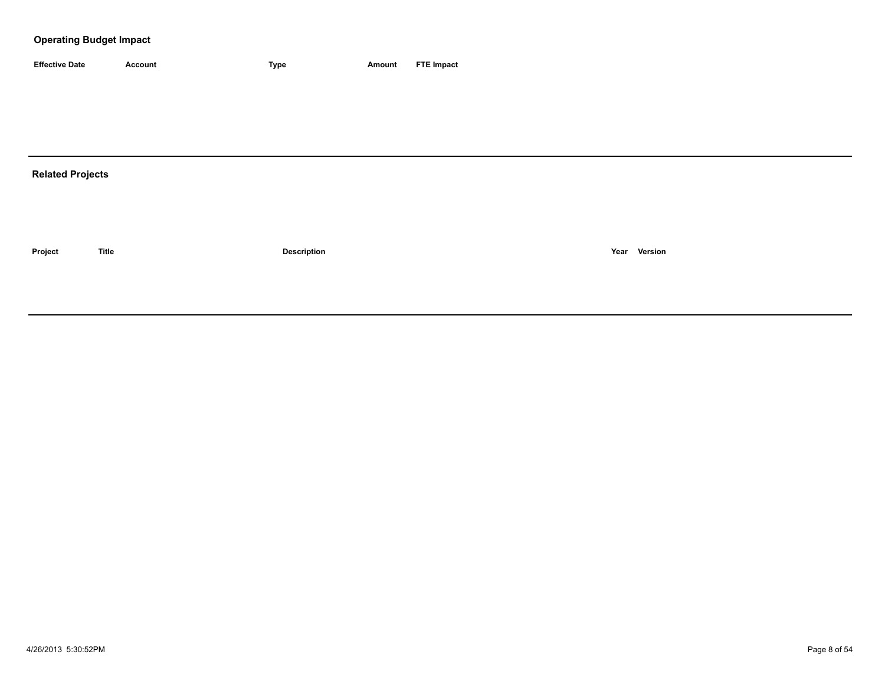| <b>Effective Date</b> | Account | <b>Type</b> | Amount | <b>FTE Impact</b> |
|-----------------------|---------|-------------|--------|-------------------|

# **Related Projects**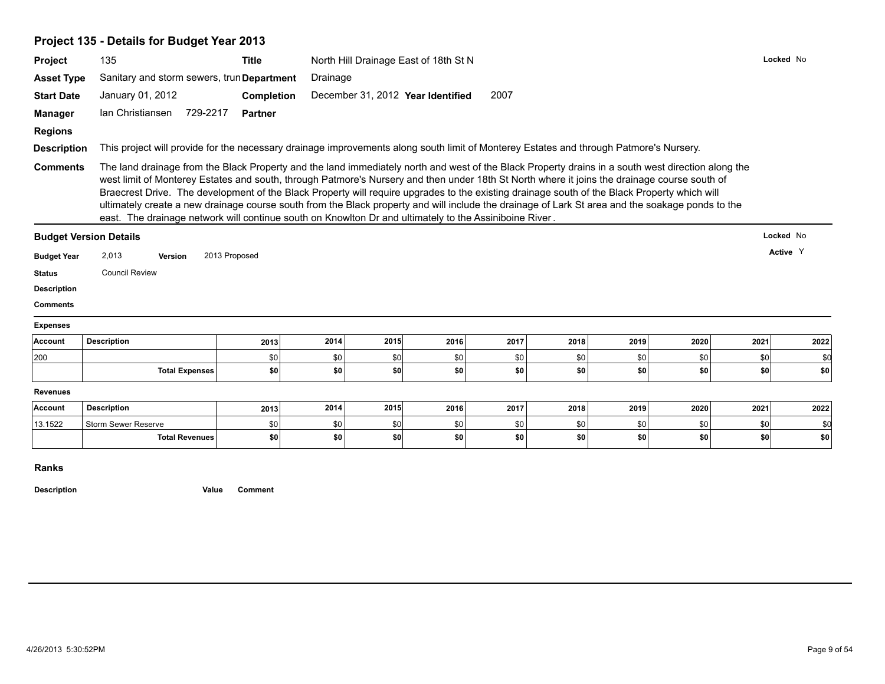|                                                                            | Project 135 - Details for Budget Year 2013                                                                                                                                                                                                                                                                                                                                                                                                                                                                                                                 |               |          |      |                                       |      |      |      |      |      |           |
|----------------------------------------------------------------------------|------------------------------------------------------------------------------------------------------------------------------------------------------------------------------------------------------------------------------------------------------------------------------------------------------------------------------------------------------------------------------------------------------------------------------------------------------------------------------------------------------------------------------------------------------------|---------------|----------|------|---------------------------------------|------|------|------|------|------|-----------|
| Project                                                                    | 135                                                                                                                                                                                                                                                                                                                                                                                                                                                                                                                                                        | <b>Title</b>  |          |      | North Hill Drainage East of 18th St N |      |      |      |      |      | Locked No |
| <b>Asset Type</b>                                                          | Sanitary and storm sewers, trun Department                                                                                                                                                                                                                                                                                                                                                                                                                                                                                                                 |               | Drainage |      |                                       |      |      |      |      |      |           |
| <b>Start Date</b>                                                          | January 01, 2012                                                                                                                                                                                                                                                                                                                                                                                                                                                                                                                                           | Completion    |          |      | December 31, 2012 Year Identified     | 2007 |      |      |      |      |           |
| <b>Manager</b>                                                             | Ian Christiansen<br>729-2217                                                                                                                                                                                                                                                                                                                                                                                                                                                                                                                               | Partner       |          |      |                                       |      |      |      |      |      |           |
| <b>Regions</b>                                                             |                                                                                                                                                                                                                                                                                                                                                                                                                                                                                                                                                            |               |          |      |                                       |      |      |      |      |      |           |
| <b>Description</b>                                                         | This project will provide for the necessary drainage improvements along south limit of Monterey Estates and through Patmore's Nursery.                                                                                                                                                                                                                                                                                                                                                                                                                     |               |          |      |                                       |      |      |      |      |      |           |
|                                                                            | west limit of Monterey Estates and south, through Patmore's Nursery and then under 18th St North where it joins the drainage course south of<br>Braecrest Drive. The development of the Black Property will require upgrades to the existing drainage south of the Black Property which will<br>ultimately create a new drainage course south from the Black property and will include the drainage of Lark St area and the soakage ponds to the<br>east. The drainage network will continue south on Knowlton Dr and ultimately to the Assiniboine River. |               |          |      |                                       |      |      |      |      |      |           |
|                                                                            | <b>Budget Version Details</b>                                                                                                                                                                                                                                                                                                                                                                                                                                                                                                                              |               |          |      |                                       |      |      |      |      |      | Locked No |
| <b>Budget Year</b>                                                         | 2,013<br><b>Version</b>                                                                                                                                                                                                                                                                                                                                                                                                                                                                                                                                    | 2013 Proposed |          |      |                                       |      |      |      |      |      | Active Y  |
| <b>Status</b>                                                              | <b>Council Review</b>                                                                                                                                                                                                                                                                                                                                                                                                                                                                                                                                      |               |          |      |                                       |      |      |      |      |      |           |
|                                                                            |                                                                                                                                                                                                                                                                                                                                                                                                                                                                                                                                                            |               |          |      |                                       |      |      |      |      |      |           |
|                                                                            |                                                                                                                                                                                                                                                                                                                                                                                                                                                                                                                                                            |               |          |      |                                       |      |      |      |      |      |           |
|                                                                            |                                                                                                                                                                                                                                                                                                                                                                                                                                                                                                                                                            |               |          |      |                                       |      |      |      |      |      |           |
|                                                                            |                                                                                                                                                                                                                                                                                                                                                                                                                                                                                                                                                            |               |          |      |                                       |      |      |      |      |      |           |
|                                                                            | <b>Description</b>                                                                                                                                                                                                                                                                                                                                                                                                                                                                                                                                         | 2013          | 2014     | 2015 | 2016                                  | 2017 | 2018 | 2019 | 2020 | 2021 | 2022      |
|                                                                            |                                                                                                                                                                                                                                                                                                                                                                                                                                                                                                                                                            | \$0           | \$0      | \$0  | \$0                                   | \$0  | \$0  | \$0  | \$0  | \$0  | \$0       |
| <b>Description</b><br><b>Comments</b><br><b>Expenses</b><br>Account<br>200 | <b>Total Expenses</b>                                                                                                                                                                                                                                                                                                                                                                                                                                                                                                                                      | \$0           | \$0      | \$0  | \$0                                   | \$0  | \$0  | \$0  | \$0  | \$0  | \$0       |
|                                                                            |                                                                                                                                                                                                                                                                                                                                                                                                                                                                                                                                                            |               |          |      |                                       |      |      |      |      |      |           |
|                                                                            | <b>Description</b>                                                                                                                                                                                                                                                                                                                                                                                                                                                                                                                                         | 2013          | 2014     | 2015 | 2016                                  | 2017 | 2018 | 2019 | 2020 | 2021 | 2022      |
| <b>Revenues</b><br><b>Account</b><br>13.1522                               | <b>Storm Sewer Reserve</b>                                                                                                                                                                                                                                                                                                                                                                                                                                                                                                                                 | \$0           | \$0      | \$0  | \$0                                   | \$0  | \$0  | \$0  | \$0  | \$0  | \$d       |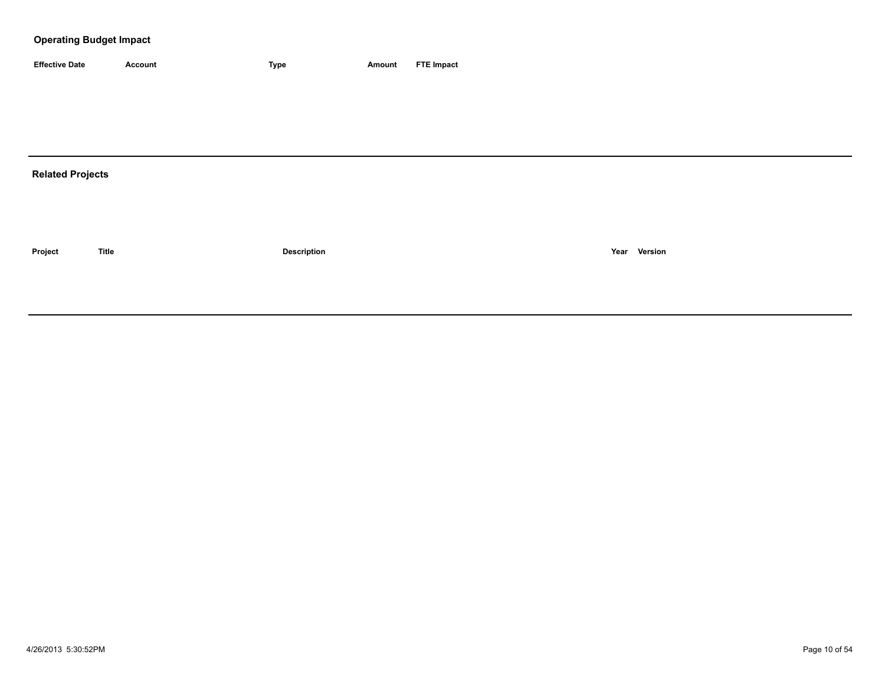| <b>Effective Date</b> | Account | <b>Type</b> | Amount | <b>FTE Impact</b> |
|-----------------------|---------|-------------|--------|-------------------|

# **Related Projects**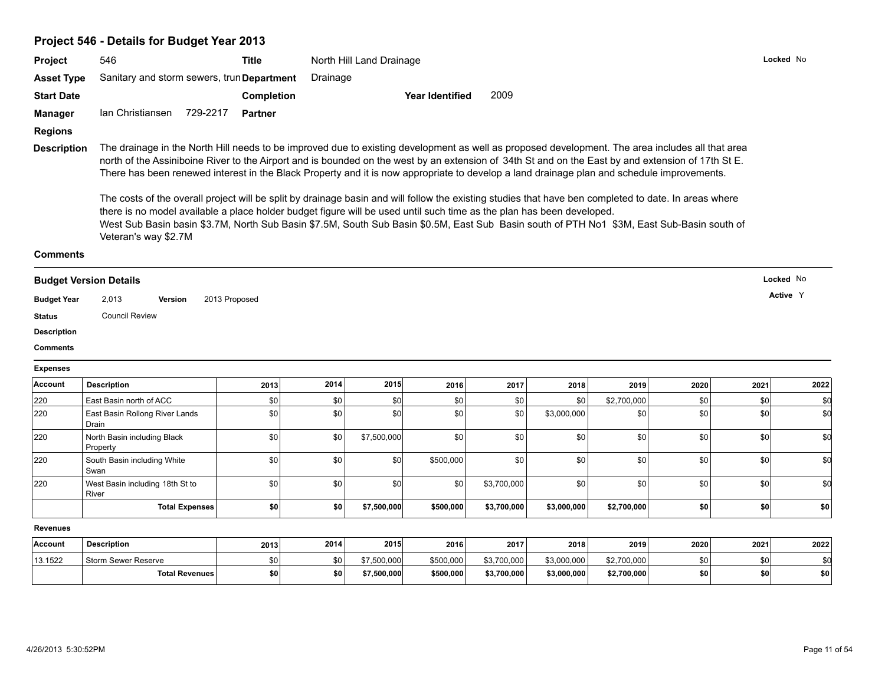# **Project 546 - Details for Budget Year 2013**

| <b>Project</b>                | 546                                        | Title          | North Hill Land Drainage                                                                                                                                                                                                                                                                                                                                                                                                                                                                                                                                                                                                                                                                                                                                                                                                                                                             | Locked No |
|-------------------------------|--------------------------------------------|----------------|--------------------------------------------------------------------------------------------------------------------------------------------------------------------------------------------------------------------------------------------------------------------------------------------------------------------------------------------------------------------------------------------------------------------------------------------------------------------------------------------------------------------------------------------------------------------------------------------------------------------------------------------------------------------------------------------------------------------------------------------------------------------------------------------------------------------------------------------------------------------------------------|-----------|
| <b>Asset Type</b>             | Sanitary and storm sewers, trun Department |                | Drainage                                                                                                                                                                                                                                                                                                                                                                                                                                                                                                                                                                                                                                                                                                                                                                                                                                                                             |           |
| <b>Start Date</b>             |                                            | Completion     | 2009<br>Year Identified                                                                                                                                                                                                                                                                                                                                                                                                                                                                                                                                                                                                                                                                                                                                                                                                                                                              |           |
| Manager                       | Ian Christiansen<br>729-2217               | <b>Partner</b> |                                                                                                                                                                                                                                                                                                                                                                                                                                                                                                                                                                                                                                                                                                                                                                                                                                                                                      |           |
| <b>Regions</b>                |                                            |                |                                                                                                                                                                                                                                                                                                                                                                                                                                                                                                                                                                                                                                                                                                                                                                                                                                                                                      |           |
| <b>Description</b>            | Veteran's way \$2.7M                       |                | The drainage in the North Hill needs to be improved due to existing development as well as proposed development. The area includes all that area<br>north of the Assiniboine River to the Airport and is bounded on the west by an extension of 34th St and on the East by and extension of 17th St E.<br>There has been renewed interest in the Black Property and it is now appropriate to develop a land drainage plan and schedule improvements.<br>The costs of the overall project will be split by drainage basin and will follow the existing studies that have ben completed to date. In areas where<br>there is no model available a place holder budget figure will be used until such time as the plan has been developed.<br>West Sub Basin basin \$3.7M, North Sub Basin \$7.5M, South Sub Basin \$0.5M, East Sub Basin south of PTH No1 \$3M, East Sub-Basin south of |           |
| <b>Comments</b>               |                                            |                |                                                                                                                                                                                                                                                                                                                                                                                                                                                                                                                                                                                                                                                                                                                                                                                                                                                                                      |           |
| <b>Budget Version Details</b> |                                            |                |                                                                                                                                                                                                                                                                                                                                                                                                                                                                                                                                                                                                                                                                                                                                                                                                                                                                                      | Locked No |

#### **Budget Version Details**

**Budget Year Version Active** 2,013 2013 Proposed <sup>Y</sup>

**Status** Council Review

**Description**

**Comments**

#### **Expenses**

| Account | <b>Description</b>                       | 2013             | 2014 | 2015        | 2016      | 2017        | 2018        | 2019        | 2020 | 2021       | 2022 |
|---------|------------------------------------------|------------------|------|-------------|-----------|-------------|-------------|-------------|------|------------|------|
| 220     | East Basin north of ACC                  | \$0              | \$0  |             | \$0       | \$0         | \$0         | \$2,700,000 | \$0  | \$0        |      |
| 220     | East Basin Rollong River Lands<br>Drain  | \$0              | \$0  |             | \$0       | \$0         | \$3,000,000 | \$0         | \$0  | \$0        | \$0  |
| 220     | North Basin including Black<br>Property  | \$0              | \$0  | \$7,500,000 | \$0       | \$0         | \$0         | \$0         | \$0  | \$0        | \$d  |
| 220     | South Basin including White<br>Swan      | \$0 <sub>1</sub> | \$0  | \$C         | \$500,000 | \$0         | \$0         | \$0         | \$0  | \$0        | \$0  |
| 220     | West Basin including 18th St to<br>River | \$0 <sub>1</sub> | \$0  | \$C         | \$0       | \$3,700,000 | \$0         | \$0         | \$0  | \$0        | \$0  |
|         | <b>Total Expenses</b>                    | \$0              | \$0  | \$7,500,000 | \$500,000 | \$3,700,000 | \$3,000,000 | \$2,700,000 | \$0  | <b>\$0</b> | \$O  |

**Revenues**

| <b>Account</b> | <b>Description</b>    | 2013             | 2014 | 2015        | 2016      | 2017        | 2018        | 2019        | 2020 | 2021 | 2022      |
|----------------|-----------------------|------------------|------|-------------|-----------|-------------|-------------|-------------|------|------|-----------|
| 13.1522        | Storm Sewer Reserve   | \$0 <sub>1</sub> | \$0  | \$7,500,000 | \$500,000 | \$3,700,000 | \$3,000,000 | \$2,700,000 |      |      |           |
|                | <b>Total Revenues</b> | \$0              |      | 7,500,000   | \$500,000 | \$3,700,000 | \$3,000,000 | \$2,700,000 |      | \$0  | <b>SO</b> |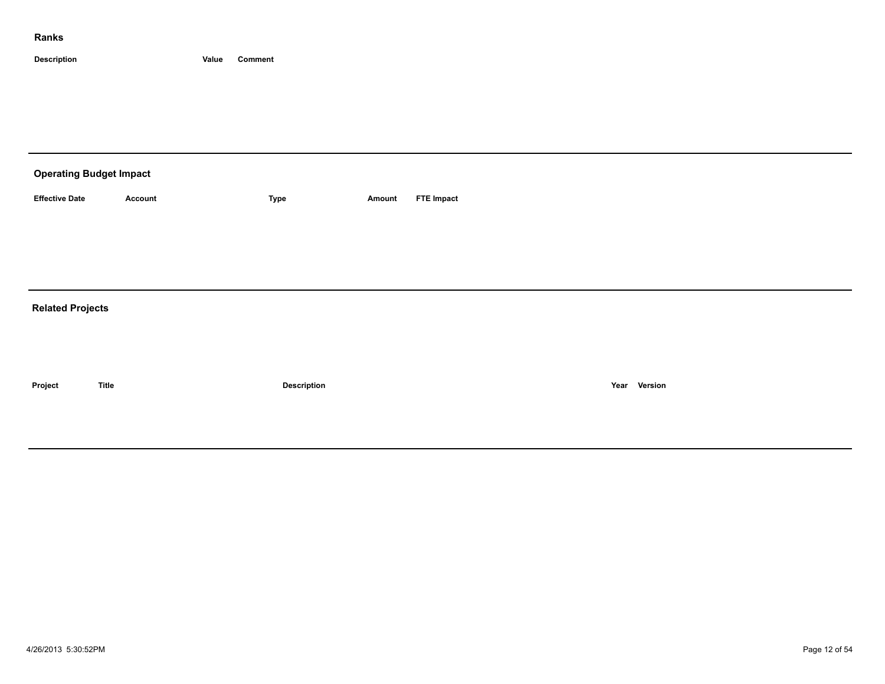| <b>Operating Budget Impact</b> |              |                    |        |                   |              |
|--------------------------------|--------------|--------------------|--------|-------------------|--------------|
| <b>Effective Date</b>          | Account      | Type               | Amount | <b>FTE Impact</b> |              |
|                                |              |                    |        |                   |              |
|                                |              |                    |        |                   |              |
|                                |              |                    |        |                   |              |
| <b>Related Projects</b>        |              |                    |        |                   |              |
|                                |              |                    |        |                   |              |
|                                |              |                    |        |                   |              |
| Project                        | <b>Title</b> | <b>Description</b> |        |                   | Year Version |
|                                |              |                    |        |                   |              |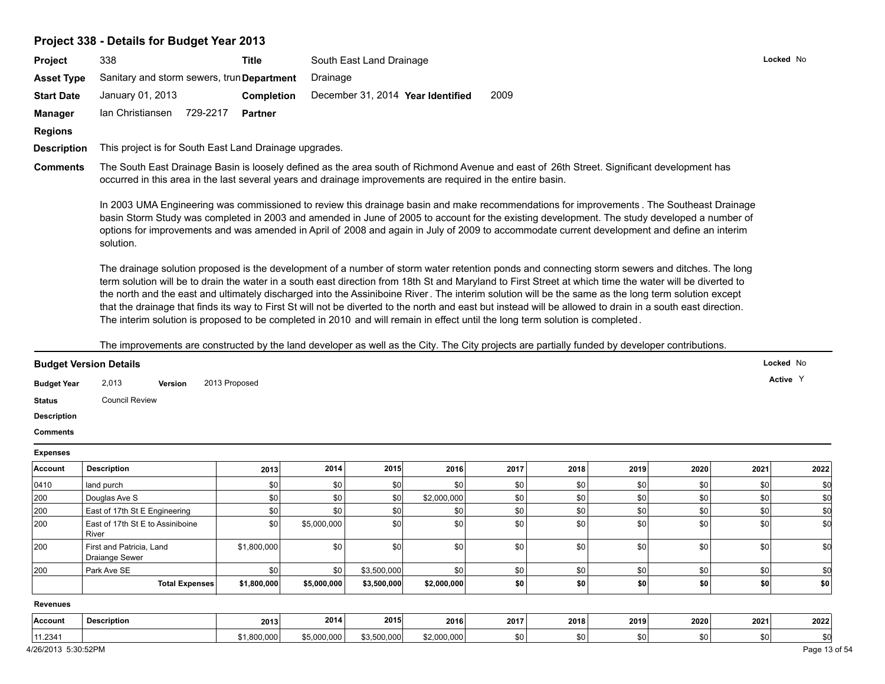|                                                                                                                                                | 338                                                                                                                                                                                                                                                                                                                                                                                                                                                                                                                                                                                                                                                                                                                                                               | <b>Title</b>   |             | South East Land Drainage |                                   |      |      |      |      |         | Locked No |  |  |  |
|------------------------------------------------------------------------------------------------------------------------------------------------|-------------------------------------------------------------------------------------------------------------------------------------------------------------------------------------------------------------------------------------------------------------------------------------------------------------------------------------------------------------------------------------------------------------------------------------------------------------------------------------------------------------------------------------------------------------------------------------------------------------------------------------------------------------------------------------------------------------------------------------------------------------------|----------------|-------------|--------------------------|-----------------------------------|------|------|------|------|---------|-----------|--|--|--|
| <b>Asset Type</b>                                                                                                                              | Sanitary and storm sewers, trun Department                                                                                                                                                                                                                                                                                                                                                                                                                                                                                                                                                                                                                                                                                                                        |                | Drainage    |                          |                                   |      |      |      |      |         |           |  |  |  |
| <b>Start Date</b>                                                                                                                              | January 01, 2013                                                                                                                                                                                                                                                                                                                                                                                                                                                                                                                                                                                                                                                                                                                                                  | Completion     |             |                          | December 31, 2014 Year Identified | 2009 |      |      |      |         |           |  |  |  |
| <b>Manager</b>                                                                                                                                 | Ian Christiansen 729-2217                                                                                                                                                                                                                                                                                                                                                                                                                                                                                                                                                                                                                                                                                                                                         | <b>Partner</b> |             |                          |                                   |      |      |      |      |         |           |  |  |  |
| <b>Regions</b>                                                                                                                                 |                                                                                                                                                                                                                                                                                                                                                                                                                                                                                                                                                                                                                                                                                                                                                                   |                |             |                          |                                   |      |      |      |      |         |           |  |  |  |
| <b>Description</b>                                                                                                                             | This project is for South East Land Drainage upgrades.                                                                                                                                                                                                                                                                                                                                                                                                                                                                                                                                                                                                                                                                                                            |                |             |                          |                                   |      |      |      |      |         |           |  |  |  |
| <b>Comments</b>                                                                                                                                | The South East Drainage Basin is loosely defined as the area south of Richmond Avenue and east of 26th Street. Significant development has<br>occurred in this area in the last several years and drainage improvements are required in the entire basin.                                                                                                                                                                                                                                                                                                                                                                                                                                                                                                         |                |             |                          |                                   |      |      |      |      |         |           |  |  |  |
|                                                                                                                                                | In 2003 UMA Engineering was commissioned to review this drainage basin and make recommendations for improvements. The Southeast Drainage<br>basin Storm Study was completed in 2003 and amended in June of 2005 to account for the existing development. The study developed a number of<br>options for improvements and was amended in April of 2008 and again in July of 2009 to accommodate current development and define an interim<br>solution.                                                                                                                                                                                                                                                                                                             |                |             |                          |                                   |      |      |      |      |         |           |  |  |  |
|                                                                                                                                                | The drainage solution proposed is the development of a number of storm water retention ponds and connecting storm sewers and ditches. The long<br>term solution will be to drain the water in a south east direction from 18th St and Maryland to First Street at which time the water will be diverted to<br>the north and the east and ultimately discharged into the Assiniboine River. The interim solution will be the same as the long term solution except<br>that the drainage that finds its way to First St will not be diverted to the north and east but instead will be allowed to drain in a south east direction.<br>The interim solution is proposed to be completed in 2010 and will remain in effect until the long term solution is completed. |                |             |                          |                                   |      |      |      |      |         |           |  |  |  |
|                                                                                                                                                | The improvements are constructed by the land developer as well as the City. The City projects are partially funded by developer contributions.                                                                                                                                                                                                                                                                                                                                                                                                                                                                                                                                                                                                                    |                |             |                          |                                   |      |      |      |      |         |           |  |  |  |
|                                                                                                                                                | <b>Budget Version Details</b>                                                                                                                                                                                                                                                                                                                                                                                                                                                                                                                                                                                                                                                                                                                                     |                |             |                          |                                   |      |      |      |      |         | Locked No |  |  |  |
|                                                                                                                                                |                                                                                                                                                                                                                                                                                                                                                                                                                                                                                                                                                                                                                                                                                                                                                                   |                |             |                          |                                   |      |      |      |      |         |           |  |  |  |
|                                                                                                                                                |                                                                                                                                                                                                                                                                                                                                                                                                                                                                                                                                                                                                                                                                                                                                                                   |                |             |                          |                                   |      |      |      |      |         | Active Y  |  |  |  |
|                                                                                                                                                | 2,013<br>Version                                                                                                                                                                                                                                                                                                                                                                                                                                                                                                                                                                                                                                                                                                                                                  | 2013 Proposed  |             |                          |                                   |      |      |      |      |         |           |  |  |  |
|                                                                                                                                                | <b>Council Review</b>                                                                                                                                                                                                                                                                                                                                                                                                                                                                                                                                                                                                                                                                                                                                             |                |             |                          |                                   |      |      |      |      |         |           |  |  |  |
|                                                                                                                                                |                                                                                                                                                                                                                                                                                                                                                                                                                                                                                                                                                                                                                                                                                                                                                                   |                |             |                          |                                   |      |      |      |      |         |           |  |  |  |
|                                                                                                                                                |                                                                                                                                                                                                                                                                                                                                                                                                                                                                                                                                                                                                                                                                                                                                                                   |                |             |                          |                                   |      |      |      |      |         |           |  |  |  |
|                                                                                                                                                |                                                                                                                                                                                                                                                                                                                                                                                                                                                                                                                                                                                                                                                                                                                                                                   |                |             |                          |                                   |      |      |      |      |         |           |  |  |  |
|                                                                                                                                                | <b>Description</b>                                                                                                                                                                                                                                                                                                                                                                                                                                                                                                                                                                                                                                                                                                                                                | 2013           | 2014        | 2015                     | 2016                              | 2017 | 2018 | 2019 | 2020 | 2021    | 2022      |  |  |  |
|                                                                                                                                                | land purch                                                                                                                                                                                                                                                                                                                                                                                                                                                                                                                                                                                                                                                                                                                                                        | \$0            | \$0         | \$0                      | \$0                               | \$0  | \$0  | \$0  | \$0  | \$0     | \$0       |  |  |  |
|                                                                                                                                                | Douglas Ave S                                                                                                                                                                                                                                                                                                                                                                                                                                                                                                                                                                                                                                                                                                                                                     | \$0            | \$0         | \$0                      | \$2,000,000                       | \$0  | \$0  | \$0  | \$0  | $ $ \$0 | \$d       |  |  |  |
|                                                                                                                                                | East of 17th St E Engineering                                                                                                                                                                                                                                                                                                                                                                                                                                                                                                                                                                                                                                                                                                                                     | \$0            | \$0         | \$0                      | \$0                               | \$0  | \$0  | \$0  | \$0  | \$0     | \$d       |  |  |  |
|                                                                                                                                                | East of 17th St E to Assiniboine<br>River                                                                                                                                                                                                                                                                                                                                                                                                                                                                                                                                                                                                                                                                                                                         | \$0            | \$5,000,000 | \$0                      | \$0                               | \$0  | \$0  | \$0  | \$0  | $ $ \$0 | \$d       |  |  |  |
| <b>Budget Year</b><br><b>Status</b><br><b>Description</b><br><b>Comments</b><br><b>Expenses</b><br>Account<br>0410<br>200<br>200<br>200<br>200 | First and Patricia, Land<br>Draiange Sewer                                                                                                                                                                                                                                                                                                                                                                                                                                                                                                                                                                                                                                                                                                                        | \$1,800,000    | \$0         | \$0                      | \$0                               | \$0  | \$0  | \$0  | \$0  | 30      | \$d       |  |  |  |
|                                                                                                                                                | Park Ave SE                                                                                                                                                                                                                                                                                                                                                                                                                                                                                                                                                                                                                                                                                                                                                       | \$0            | \$0         | \$3,500,000              | \$0                               | \$0  | \$0  | \$0  | \$0  | $ $ \$0 | \$d       |  |  |  |
| 200                                                                                                                                            | <b>Total Expenses</b>                                                                                                                                                                                                                                                                                                                                                                                                                                                                                                                                                                                                                                                                                                                                             | \$1,800,000    | \$5,000,000 | \$3,500,000              | \$2,000,000                       | \$0  | \$0  | \$0  | \$0  | \$0     | \$0       |  |  |  |
| <b>Revenues</b>                                                                                                                                |                                                                                                                                                                                                                                                                                                                                                                                                                                                                                                                                                                                                                                                                                                                                                                   |                |             |                          |                                   |      |      |      |      |         |           |  |  |  |
| <b>Account</b>                                                                                                                                 | <b>Description</b>                                                                                                                                                                                                                                                                                                                                                                                                                                                                                                                                                                                                                                                                                                                                                | 2013           | 2014        | 2015                     | 2016                              | 2017 | 2018 | 2019 | 2020 | 2021    | 2022      |  |  |  |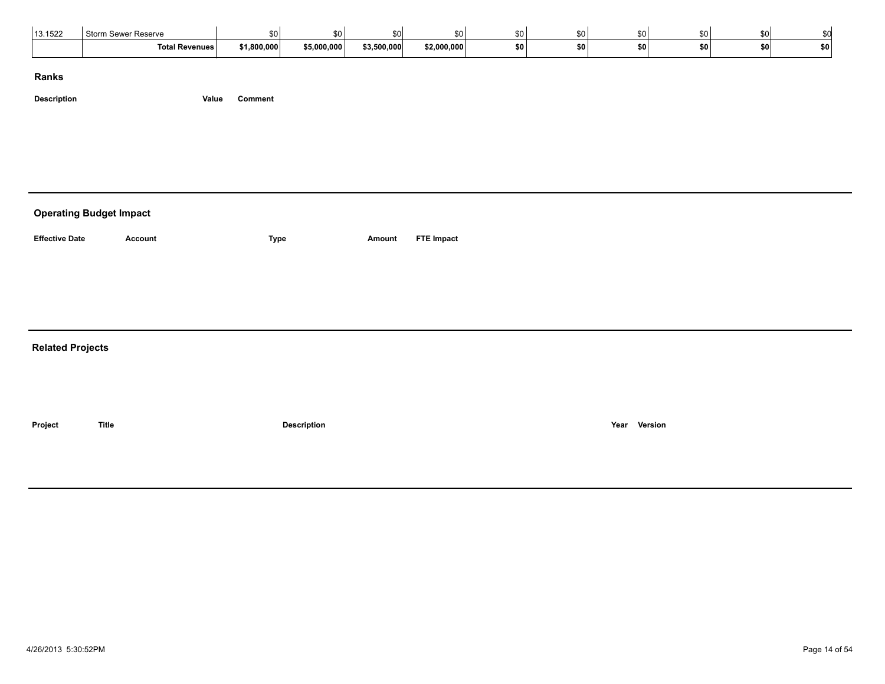| 13.1522 | <b>Storm Sewer Reserve</b> | ደበ l        |             |             |             |    | \$0 |       |       | ו ז |           |  |
|---------|----------------------------|-------------|-------------|-------------|-------------|----|-----|-------|-------|-----|-----------|--|
|         | <b>Total Revenues</b>      | \$1,800,000 | \$5,000,000 | \$3,500,000 | \$2,000,000 | œп | ¢Λ  | \$0 I | \$0 I |     | <b>SO</b> |  |

**Description Value Comment**

# **Operating Budget Impact Effective Date Account Type Amount FTE Impact Related Projects Project Title Description Year Version**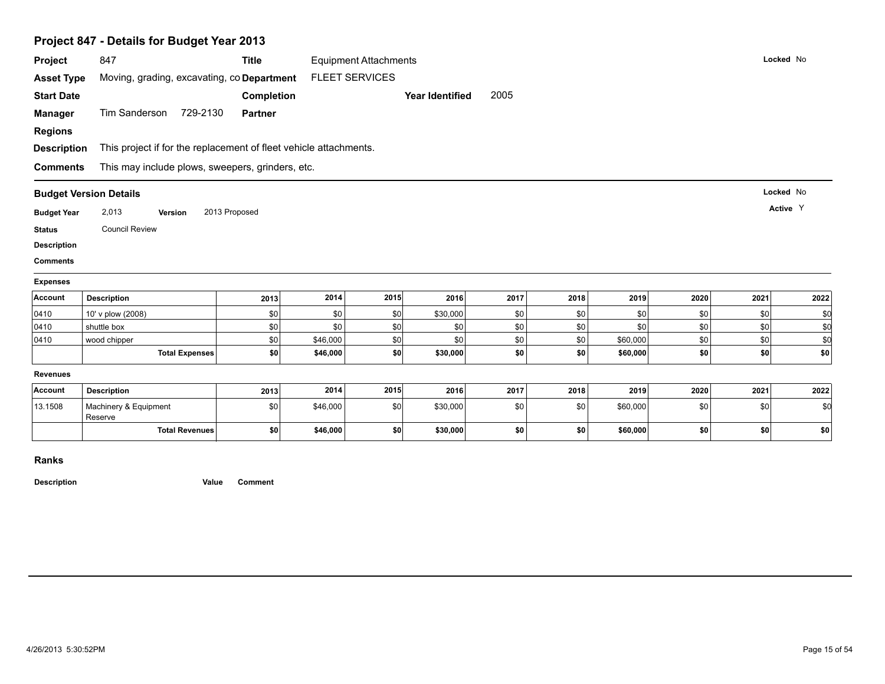| Project                               | 847                                                               | <b>Title</b>   |          | <b>Equipment Attachments</b> |                        |       |      |          |      | Locked No |      |
|---------------------------------------|-------------------------------------------------------------------|----------------|----------|------------------------------|------------------------|-------|------|----------|------|-----------|------|
| <b>Asset Type</b>                     | Moving, grading, excavating, co Department                        |                |          | <b>FLEET SERVICES</b>        |                        |       |      |          |      |           |      |
| <b>Start Date</b>                     |                                                                   | Completion     |          |                              | <b>Year Identified</b> | 2005  |      |          |      |           |      |
|                                       |                                                                   |                |          |                              |                        |       |      |          |      |           |      |
| <b>Manager</b>                        | Tim Sanderson 729-2130                                            | <b>Partner</b> |          |                              |                        |       |      |          |      |           |      |
| <b>Regions</b>                        |                                                                   |                |          |                              |                        |       |      |          |      |           |      |
| <b>Description</b>                    | This project if for the replacement of fleet vehicle attachments. |                |          |                              |                        |       |      |          |      |           |      |
| <b>Comments</b>                       | This may include plows, sweepers, grinders, etc.                  |                |          |                              |                        |       |      |          |      |           |      |
| <b>Budget Version Details</b>         |                                                                   |                |          |                              |                        |       |      |          |      | Locked No |      |
| <b>Budget Year</b>                    | 2,013<br>Version                                                  | 2013 Proposed  |          |                              |                        |       |      |          |      | Active Y  |      |
|                                       |                                                                   |                |          |                              |                        |       |      |          |      |           |      |
|                                       |                                                                   |                |          |                              |                        |       |      |          |      |           |      |
| <b>Status</b>                         | <b>Council Review</b>                                             |                |          |                              |                        |       |      |          |      |           |      |
|                                       |                                                                   |                |          |                              |                        |       |      |          |      |           |      |
| <b>Description</b><br><b>Comments</b> |                                                                   |                |          |                              |                        |       |      |          |      |           |      |
| <b>Expenses</b>                       |                                                                   |                |          |                              |                        |       |      |          |      |           |      |
| Account                               | <b>Description</b>                                                | 2013           | 2014     | 2015                         | 2016                   | 2017  | 2018 | 2019     | 2020 | 2021      | 2022 |
| 0410                                  | 10' v plow (2008)                                                 | \$0            | \$0      | \$0                          | \$30,000               | \$0   | \$0  | \$0      | \$0  | \$0       | \$d  |
| 0410                                  | shuttle box                                                       | \$0            | \$0      | \$0                          | \$0                    | \$0   | \$0  | \$0      | \$0  | sol       | \$d  |
| 0410                                  | wood chipper                                                      | \$0            | \$46,000 | \$0                          | \$0                    | $\$0$ | \$0  | \$60,000 | \$0  | \$0       | \$d  |
|                                       | <b>Total Expenses</b>                                             | \$0            | \$46,000 | \$0                          | \$30,000               | \$0   | \$0  | \$60,000 | \$0  | \$0       | \$0  |
| <b>Revenues</b>                       |                                                                   |                |          |                              |                        |       |      |          |      |           |      |
| Account                               | <b>Description</b>                                                | 2013           | 2014     | 2015                         | 2016                   | 2017  | 2018 | 2019     | 2020 | 2021      | 2022 |
| 13.1508                               | Machinery & Equipment<br>Reserve                                  | \$0            | \$46,000 | \$0                          | \$30,000               | \$0   | \$0  | \$60,000 | \$0  | \$0       | \$0  |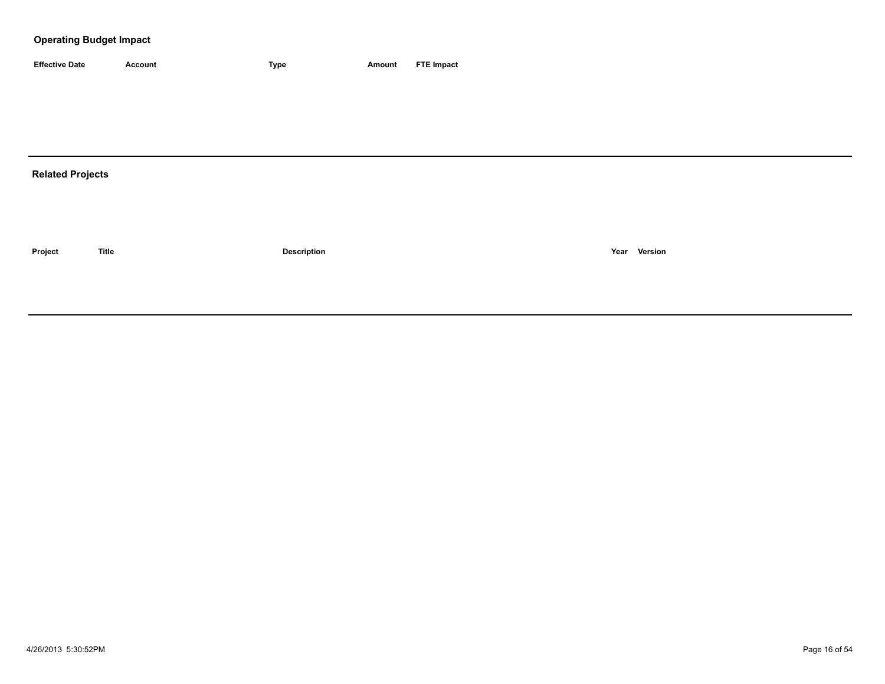| <b>Effective Date</b> | Account | 'vpe | Amount | <b>FTE Impact</b> |
|-----------------------|---------|------|--------|-------------------|

# **Related Projects**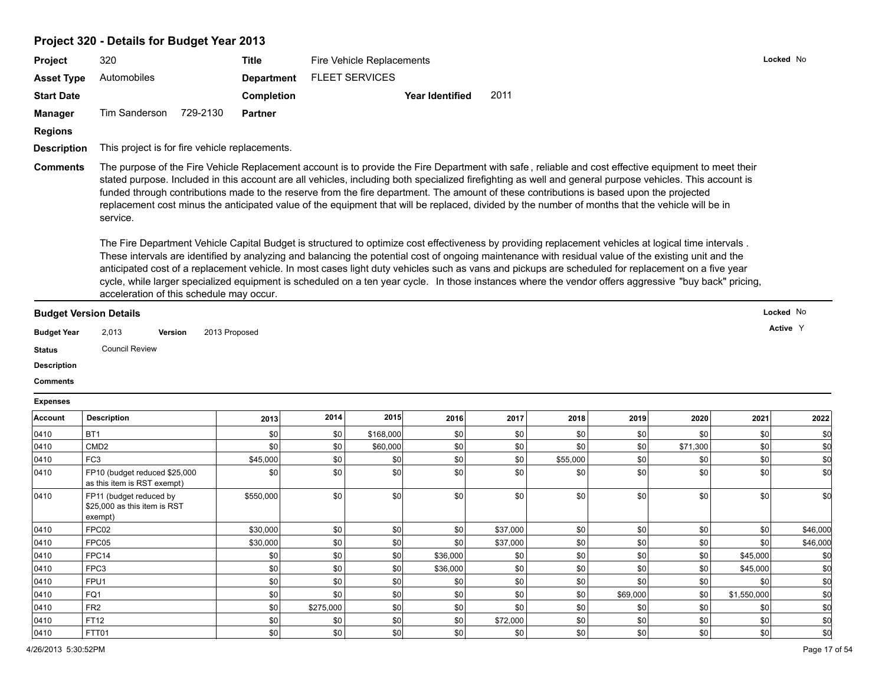# **Project 320 - Details for Budget Year 2013**

|                    | Project 320 - Details for Budget Year 2013           |          |                                                |      |                           |                                                                                                                                                                                                                                                                                                                                                                                                                                                                                                                                                                                                                                                                                                                                                                                                                                                                                                                                                                                                                                                                                                                                                                                                                                                 |      |      |      |      |      |           |  |
|--------------------|------------------------------------------------------|----------|------------------------------------------------|------|---------------------------|-------------------------------------------------------------------------------------------------------------------------------------------------------------------------------------------------------------------------------------------------------------------------------------------------------------------------------------------------------------------------------------------------------------------------------------------------------------------------------------------------------------------------------------------------------------------------------------------------------------------------------------------------------------------------------------------------------------------------------------------------------------------------------------------------------------------------------------------------------------------------------------------------------------------------------------------------------------------------------------------------------------------------------------------------------------------------------------------------------------------------------------------------------------------------------------------------------------------------------------------------|------|------|------|------|------|-----------|--|
| Project            | 320                                                  |          | <b>Title</b>                                   |      | Fire Vehicle Replacements |                                                                                                                                                                                                                                                                                                                                                                                                                                                                                                                                                                                                                                                                                                                                                                                                                                                                                                                                                                                                                                                                                                                                                                                                                                                 |      |      |      |      |      | Locked No |  |
| <b>Asset Type</b>  | Automobiles                                          |          | <b>Department</b>                              |      | <b>FLEET SERVICES</b>     |                                                                                                                                                                                                                                                                                                                                                                                                                                                                                                                                                                                                                                                                                                                                                                                                                                                                                                                                                                                                                                                                                                                                                                                                                                                 |      |      |      |      |      |           |  |
| <b>Start Date</b>  |                                                      |          | <b>Completion</b>                              |      |                           | <b>Year Identified</b>                                                                                                                                                                                                                                                                                                                                                                                                                                                                                                                                                                                                                                                                                                                                                                                                                                                                                                                                                                                                                                                                                                                                                                                                                          | 2011 |      |      |      |      |           |  |
| <b>Manager</b>     | <b>Tim Sanderson</b>                                 | 729-2130 | <b>Partner</b>                                 |      |                           |                                                                                                                                                                                                                                                                                                                                                                                                                                                                                                                                                                                                                                                                                                                                                                                                                                                                                                                                                                                                                                                                                                                                                                                                                                                 |      |      |      |      |      |           |  |
| <b>Regions</b>     |                                                      |          |                                                |      |                           |                                                                                                                                                                                                                                                                                                                                                                                                                                                                                                                                                                                                                                                                                                                                                                                                                                                                                                                                                                                                                                                                                                                                                                                                                                                 |      |      |      |      |      |           |  |
| <b>Description</b> |                                                      |          | This project is for fire vehicle replacements. |      |                           |                                                                                                                                                                                                                                                                                                                                                                                                                                                                                                                                                                                                                                                                                                                                                                                                                                                                                                                                                                                                                                                                                                                                                                                                                                                 |      |      |      |      |      |           |  |
| <b>Comments</b>    | service.<br>acceleration of this schedule may occur. |          |                                                |      |                           | The purpose of the Fire Vehicle Replacement account is to provide the Fire Department with safe, reliable and cost effective equipment to meet their<br>stated purpose. Included in this account are all vehicles, including both specialized firefighting as well and general purpose vehicles. This account is<br>funded through contributions made to the reserve from the fire department. The amount of these contributions is based upon the projected<br>replacement cost minus the anticipated value of the equipment that will be replaced, divided by the number of months that the vehicle will be in<br>The Fire Department Vehicle Capital Budget is structured to optimize cost effectiveness by providing replacement vehicles at logical time intervals.<br>These intervals are identified by analyzing and balancing the potential cost of ongoing maintenance with residual value of the existing unit and the<br>anticipated cost of a replacement vehicle. In most cases light duty vehicles such as vans and pickups are scheduled for replacement on a five year<br>cycle, while larger specialized equipment is scheduled on a ten year cycle. In those instances where the vendor offers aggressive "buy back" pricing, |      |      |      |      |      |           |  |
|                    | <b>Budget Version Details</b>                        |          |                                                |      |                           |                                                                                                                                                                                                                                                                                                                                                                                                                                                                                                                                                                                                                                                                                                                                                                                                                                                                                                                                                                                                                                                                                                                                                                                                                                                 |      |      |      |      |      | Locked No |  |
| <b>Budget Year</b> | 2,013                                                | Version  | 2013 Proposed                                  |      |                           |                                                                                                                                                                                                                                                                                                                                                                                                                                                                                                                                                                                                                                                                                                                                                                                                                                                                                                                                                                                                                                                                                                                                                                                                                                                 |      |      |      |      |      | Active Y  |  |
| <b>Status</b>      | <b>Council Review</b>                                |          |                                                |      |                           |                                                                                                                                                                                                                                                                                                                                                                                                                                                                                                                                                                                                                                                                                                                                                                                                                                                                                                                                                                                                                                                                                                                                                                                                                                                 |      |      |      |      |      |           |  |
| <b>Description</b> |                                                      |          |                                                |      |                           |                                                                                                                                                                                                                                                                                                                                                                                                                                                                                                                                                                                                                                                                                                                                                                                                                                                                                                                                                                                                                                                                                                                                                                                                                                                 |      |      |      |      |      |           |  |
| <b>Comments</b>    |                                                      |          |                                                |      |                           |                                                                                                                                                                                                                                                                                                                                                                                                                                                                                                                                                                                                                                                                                                                                                                                                                                                                                                                                                                                                                                                                                                                                                                                                                                                 |      |      |      |      |      |           |  |
| <b>Expenses</b>    |                                                      |          |                                                |      |                           |                                                                                                                                                                                                                                                                                                                                                                                                                                                                                                                                                                                                                                                                                                                                                                                                                                                                                                                                                                                                                                                                                                                                                                                                                                                 |      |      |      |      |      |           |  |
| Account            | <b>Description</b>                                   |          | 2013                                           | 2014 | 2015                      | 2016                                                                                                                                                                                                                                                                                                                                                                                                                                                                                                                                                                                                                                                                                                                                                                                                                                                                                                                                                                                                                                                                                                                                                                                                                                            | 2017 | 2018 | 2019 | 2020 | 2021 | 2022      |  |

| BT <sub>1</sub><br>\$0<br>\$0<br>\$0<br>\$168,000<br>\$0<br>\$0<br>\$0<br>\$0<br>\$0<br>\$0<br>\$0 <br>\$71,300<br>CMD <sub>2</sub><br>\$0<br>\$60,000<br>\$0<br>\$0<br>\$0 <sub>1</sub><br>\$0<br>FC <sub>3</sub><br>\$0 <br>\$0<br>\$45,000<br>\$0<br>\$0<br>\$0<br>\$55,000<br>\$0<br>\$0<br>\$0 <sub>1</sub><br>\$0<br>\$0<br>\$0<br>\$0<br>\$0<br>\$0<br>\$0<br>\$0 <sub>1</sub><br>FP10 (budget reduced \$25,000<br>as this item is RST exempt)<br>\$0<br>\$0<br>\$0<br>\$0<br>\$0<br>\$0<br>\$550,000<br>\$0<br>\$0<br>FP11 (budget reduced by<br>\$25,000 as this item is RST<br>exempt)<br>\$0 <br>\$0<br>\$0<br>\$0<br> \$0 <br>\$0 <br>FPC02<br>\$30,000<br>\$37,000<br>\$0<br>\$30,000<br>\$37,000<br>\$0<br>FPC05<br>\$0<br>\$0<br>\$0<br>\$0<br>\$0<br>\$0<br>FPC14<br>\$0<br>\$36,000<br>\$0<br><b>\$0</b><br>\$0<br>\$0 <br>\$0<br>\$0 <sub>1</sub><br>\$45,000<br>FPC3<br>\$0 <br>\$36,000<br>\$0 <br>\$0<br>\$0<br>\$45,000<br>\$0<br>\$0<br>\$0<br>\$0<br>FPU <sub>1</sub><br>\$0<br>\$0<br>\$0<br>\$0<br>\$0 <br>\$0<br>\$0<br>\$0<br>\$0 <br>\$0<br>FQ1<br>\$0<br>\$0<br>\$0 <br>\$69,000<br>\$0 <br>\$1,550,000<br>\$0<br>FR <sub>2</sub><br>\$0 <sub>1</sub><br>\$0<br>\$0 <br>\$0<br>\$0 <br>\$275,000<br>\$0<br>\$0 <br>\$0<br>FT12<br>\$0 <br>\$0<br>\$0<br>\$0 <br>\$0<br>\$0<br>\$0<br>\$72,000<br>\$0<br>\$0 <br>\$0 <br>\$0 <sub>1</sub><br>\$0<br>\$0<br>\$0<br>FTT01<br>\$0<br>\$0 <br>\$0 | Account | <b>Description</b> | 2013 | 2014 | 2015 | 2016 | 2017 | 2018 | 2019 | 2020 | 2021 | 2022      |
|----------------------------------------------------------------------------------------------------------------------------------------------------------------------------------------------------------------------------------------------------------------------------------------------------------------------------------------------------------------------------------------------------------------------------------------------------------------------------------------------------------------------------------------------------------------------------------------------------------------------------------------------------------------------------------------------------------------------------------------------------------------------------------------------------------------------------------------------------------------------------------------------------------------------------------------------------------------------------------------------------------------------------------------------------------------------------------------------------------------------------------------------------------------------------------------------------------------------------------------------------------------------------------------------------------------------------------------------------------------------------------------------------------------------------|---------|--------------------|------|------|------|------|------|------|------|------|------|-----------|
|                                                                                                                                                                                                                                                                                                                                                                                                                                                                                                                                                                                                                                                                                                                                                                                                                                                                                                                                                                                                                                                                                                                                                                                                                                                                                                                                                                                                                            | 0410    |                    |      |      |      |      |      |      |      |      |      |           |
|                                                                                                                                                                                                                                                                                                                                                                                                                                                                                                                                                                                                                                                                                                                                                                                                                                                                                                                                                                                                                                                                                                                                                                                                                                                                                                                                                                                                                            | 0410    |                    |      |      |      |      |      |      |      |      |      | <b>SG</b> |
|                                                                                                                                                                                                                                                                                                                                                                                                                                                                                                                                                                                                                                                                                                                                                                                                                                                                                                                                                                                                                                                                                                                                                                                                                                                                                                                                                                                                                            | 0410    |                    |      |      |      |      |      |      |      |      |      | \$ſ       |
|                                                                                                                                                                                                                                                                                                                                                                                                                                                                                                                                                                                                                                                                                                                                                                                                                                                                                                                                                                                                                                                                                                                                                                                                                                                                                                                                                                                                                            | 0410    |                    |      |      |      |      |      |      |      |      |      | \$0       |
|                                                                                                                                                                                                                                                                                                                                                                                                                                                                                                                                                                                                                                                                                                                                                                                                                                                                                                                                                                                                                                                                                                                                                                                                                                                                                                                                                                                                                            | 0410    |                    |      |      |      |      |      |      |      |      |      | \$0       |
|                                                                                                                                                                                                                                                                                                                                                                                                                                                                                                                                                                                                                                                                                                                                                                                                                                                                                                                                                                                                                                                                                                                                                                                                                                                                                                                                                                                                                            | 0410    |                    |      |      |      |      |      |      |      |      |      | \$46,000  |
|                                                                                                                                                                                                                                                                                                                                                                                                                                                                                                                                                                                                                                                                                                                                                                                                                                                                                                                                                                                                                                                                                                                                                                                                                                                                                                                                                                                                                            | 0410    |                    |      |      |      |      |      |      |      |      |      | \$46,000  |
|                                                                                                                                                                                                                                                                                                                                                                                                                                                                                                                                                                                                                                                                                                                                                                                                                                                                                                                                                                                                                                                                                                                                                                                                                                                                                                                                                                                                                            | 0410    |                    |      |      |      |      |      |      |      |      |      |           |
|                                                                                                                                                                                                                                                                                                                                                                                                                                                                                                                                                                                                                                                                                                                                                                                                                                                                                                                                                                                                                                                                                                                                                                                                                                                                                                                                                                                                                            | 0410    |                    |      |      |      |      |      |      |      |      |      | \$ſ       |
|                                                                                                                                                                                                                                                                                                                                                                                                                                                                                                                                                                                                                                                                                                                                                                                                                                                                                                                                                                                                                                                                                                                                                                                                                                                                                                                                                                                                                            | 0410    |                    |      |      |      |      |      |      |      |      |      | \$ſ       |
|                                                                                                                                                                                                                                                                                                                                                                                                                                                                                                                                                                                                                                                                                                                                                                                                                                                                                                                                                                                                                                                                                                                                                                                                                                                                                                                                                                                                                            | 0410    |                    |      |      |      |      |      |      |      |      |      |           |
|                                                                                                                                                                                                                                                                                                                                                                                                                                                                                                                                                                                                                                                                                                                                                                                                                                                                                                                                                                                                                                                                                                                                                                                                                                                                                                                                                                                                                            | 0410    |                    |      |      |      |      |      |      |      |      |      | \$ſ       |
|                                                                                                                                                                                                                                                                                                                                                                                                                                                                                                                                                                                                                                                                                                                                                                                                                                                                                                                                                                                                                                                                                                                                                                                                                                                                                                                                                                                                                            | 0410    |                    |      |      |      |      |      |      |      |      |      | \$        |
|                                                                                                                                                                                                                                                                                                                                                                                                                                                                                                                                                                                                                                                                                                                                                                                                                                                                                                                                                                                                                                                                                                                                                                                                                                                                                                                                                                                                                            | 0410    |                    |      |      |      |      |      |      |      |      |      | \$d       |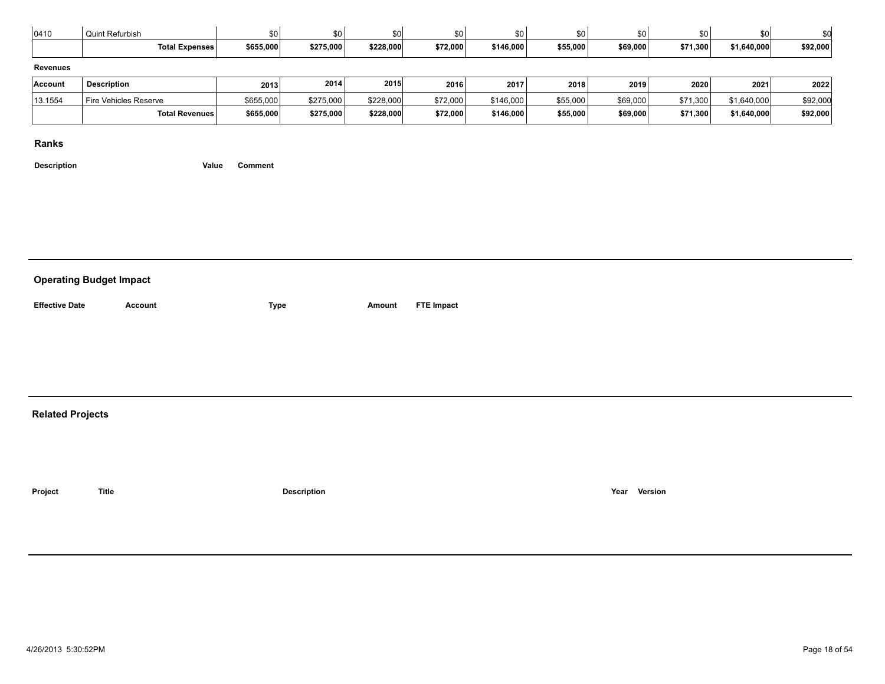| 0410            | Quint Refurbish       | \$0       | \$0       | \$0l      | \$0      | \$0       | \$0      | \$0      | \$0.     | \$0         | \$d      |
|-----------------|-----------------------|-----------|-----------|-----------|----------|-----------|----------|----------|----------|-------------|----------|
|                 | <b>Total Expenses</b> | \$655,000 | \$275,000 | \$228,000 | \$72,000 | \$146,000 | \$55,000 | \$69,000 | \$71,300 | \$1,640,000 | \$92,000 |
| <b>Revenues</b> |                       |           |           |           |          |           |          |          |          |             |          |
| Account         | <b>Description</b>    | 2013      | 2014      | 2015      | 2016     | 2017      | 2018     | 2019     | 2020     | 2021        | 2022     |
| 13.1554         | Fire Vehicles Reserve | \$655,000 | \$275,000 | \$228,000 | \$72,000 | \$146,000 | \$55,000 | \$69,000 | \$71,300 | \$1,640,000 | \$92,000 |
|                 | Total Revenues        | \$655,000 | \$275,000 | \$228,000 | \$72,000 | \$146,000 | \$55,000 | \$69,000 | \$71,300 | \$1,640,000 | \$92,000 |

**Description Value Comment**

#### **Related Projects**

**Project Title Description Year Version**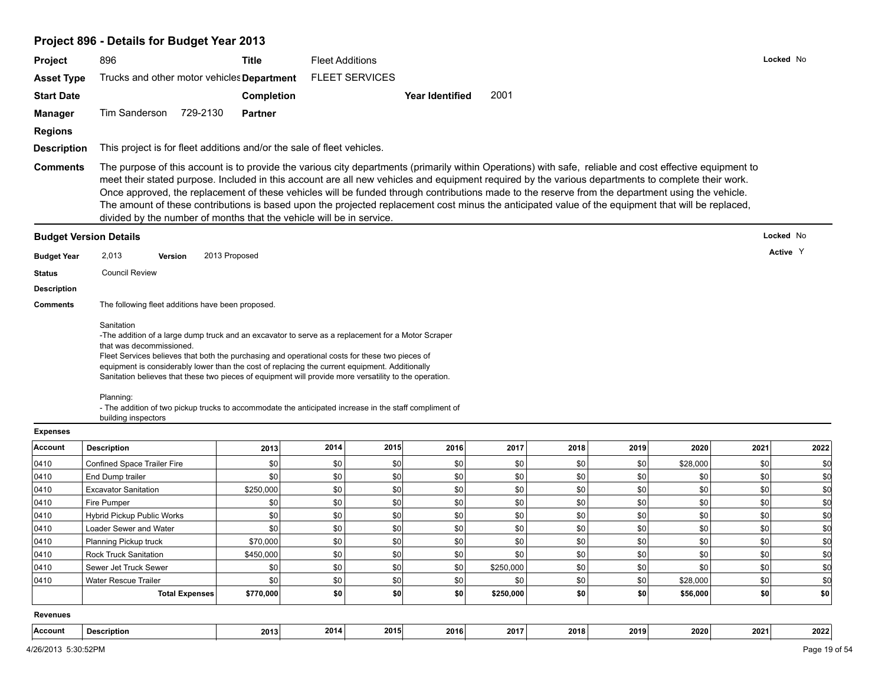# **Project 896 - Details for Budget Year 2013**

| Project            | 896                                                                                                                                                                                                                                                                                                                                                                                                                                                                                                                                                                                                                                                                                              | <b>Title</b>      | <b>Fleet Additions</b> |                       |                        |           |      |      |          |      | Locked No |
|--------------------|--------------------------------------------------------------------------------------------------------------------------------------------------------------------------------------------------------------------------------------------------------------------------------------------------------------------------------------------------------------------------------------------------------------------------------------------------------------------------------------------------------------------------------------------------------------------------------------------------------------------------------------------------------------------------------------------------|-------------------|------------------------|-----------------------|------------------------|-----------|------|------|----------|------|-----------|
| <b>Asset Type</b>  | Trucks and other motor vehicles Department                                                                                                                                                                                                                                                                                                                                                                                                                                                                                                                                                                                                                                                       |                   |                        | <b>FLEET SERVICES</b> |                        |           |      |      |          |      |           |
| <b>Start Date</b>  |                                                                                                                                                                                                                                                                                                                                                                                                                                                                                                                                                                                                                                                                                                  | <b>Completion</b> |                        |                       | <b>Year Identified</b> | 2001      |      |      |          |      |           |
| <b>Manager</b>     | Tim Sanderson 729-2130                                                                                                                                                                                                                                                                                                                                                                                                                                                                                                                                                                                                                                                                           | <b>Partner</b>    |                        |                       |                        |           |      |      |          |      |           |
|                    |                                                                                                                                                                                                                                                                                                                                                                                                                                                                                                                                                                                                                                                                                                  |                   |                        |                       |                        |           |      |      |          |      |           |
| <b>Regions</b>     |                                                                                                                                                                                                                                                                                                                                                                                                                                                                                                                                                                                                                                                                                                  |                   |                        |                       |                        |           |      |      |          |      |           |
| <b>Description</b> | This project is for fleet additions and/or the sale of fleet vehicles.                                                                                                                                                                                                                                                                                                                                                                                                                                                                                                                                                                                                                           |                   |                        |                       |                        |           |      |      |          |      |           |
| <b>Comments</b>    | The purpose of this account is to provide the various city departments (primarily within Operations) with safe, reliable and cost effective equipment to<br>meet their stated purpose. Included in this account are all new vehicles and equipment required by the various departments to complete their work.<br>Once approved, the replacement of these vehicles will be funded through contributions made to the reserve from the department using the vehicle.<br>The amount of these contributions is based upon the projected replacement cost minus the anticipated value of the equipment that will be replaced,<br>divided by the number of months that the vehicle will be in service. |                   |                        |                       |                        |           |      |      |          |      |           |
|                    | <b>Budget Version Details</b>                                                                                                                                                                                                                                                                                                                                                                                                                                                                                                                                                                                                                                                                    |                   |                        |                       |                        |           |      |      |          |      | Locked No |
| <b>Budget Year</b> | 2,013<br>Version                                                                                                                                                                                                                                                                                                                                                                                                                                                                                                                                                                                                                                                                                 | 2013 Proposed     |                        |                       |                        |           |      |      |          |      | Active Y  |
| <b>Status</b>      | <b>Council Review</b>                                                                                                                                                                                                                                                                                                                                                                                                                                                                                                                                                                                                                                                                            |                   |                        |                       |                        |           |      |      |          |      |           |
| <b>Description</b> |                                                                                                                                                                                                                                                                                                                                                                                                                                                                                                                                                                                                                                                                                                  |                   |                        |                       |                        |           |      |      |          |      |           |
| <b>Comments</b>    | The following fleet additions have been proposed.                                                                                                                                                                                                                                                                                                                                                                                                                                                                                                                                                                                                                                                |                   |                        |                       |                        |           |      |      |          |      |           |
|                    | equipment is considerably lower than the cost of replacing the current equipment. Additionally<br>Sanitation believes that these two pieces of equipment will provide more versatility to the operation.<br>Planning:<br>- The addition of two pickup trucks to accommodate the anticipated increase in the staff compliment of                                                                                                                                                                                                                                                                                                                                                                  |                   |                        |                       |                        |           |      |      |          |      |           |
| <b>Expenses</b>    | building inspectors                                                                                                                                                                                                                                                                                                                                                                                                                                                                                                                                                                                                                                                                              |                   |                        |                       |                        |           |      |      |          |      |           |
| Account            | <b>Description</b>                                                                                                                                                                                                                                                                                                                                                                                                                                                                                                                                                                                                                                                                               | 2013              | 2014                   | 2015                  | 2016                   | 2017      | 2018 | 2019 | 2020     | 2021 | 2022      |
| 0410               | Confined Space Trailer Fire                                                                                                                                                                                                                                                                                                                                                                                                                                                                                                                                                                                                                                                                      | \$0               | \$0                    | \$0                   | \$0                    | \$0       | \$0  | \$0  | \$28,000 | \$0  | \$0       |
| 0410               | End Dump trailer                                                                                                                                                                                                                                                                                                                                                                                                                                                                                                                                                                                                                                                                                 | \$0               | \$0                    | \$0                   | \$0                    | \$0       | \$0  | \$0  | \$0      | \$0  | \$0       |
| 0410               | <b>Excavator Sanitation</b>                                                                                                                                                                                                                                                                                                                                                                                                                                                                                                                                                                                                                                                                      | \$250,000         | \$0                    | \$0                   | \$0                    | \$0       | \$0  | \$0  | \$0      | \$0  | \$0       |
| 0410               | Fire Pumper                                                                                                                                                                                                                                                                                                                                                                                                                                                                                                                                                                                                                                                                                      | \$0               | \$0                    | \$0                   | \$0                    | \$0       | \$0  | \$0  | \$0      | \$0  | \$d       |
| 0410               | Hybrid Pickup Public Works                                                                                                                                                                                                                                                                                                                                                                                                                                                                                                                                                                                                                                                                       | \$0               | \$0                    | \$0                   | \$0                    | \$0       | \$0  | \$0  | \$0      | \$0  | \$0       |
| 0410               | Loader Sewer and Water                                                                                                                                                                                                                                                                                                                                                                                                                                                                                                                                                                                                                                                                           | \$0               | \$0                    | \$0                   | \$0                    | \$0       | \$0  | \$0  | \$0      | \$0  | \$d       |
| 0410               | Planning Pickup truck                                                                                                                                                                                                                                                                                                                                                                                                                                                                                                                                                                                                                                                                            | \$70,000          | \$0                    | \$0                   | \$0                    | \$0       | \$0  | \$0  | \$0      | \$0  | \$d       |
| 0410               | Rock Truck Sanitation                                                                                                                                                                                                                                                                                                                                                                                                                                                                                                                                                                                                                                                                            | \$450,000         | \$0                    | \$0                   | \$0                    | \$0       | \$0∣ | \$0∣ | \$0      | \$0  | \$0       |
| 0410               | Sewer Jet Truck Sewer                                                                                                                                                                                                                                                                                                                                                                                                                                                                                                                                                                                                                                                                            | \$0               | \$0                    | \$0                   | \$0                    | \$250,000 | \$0  | \$0  | \$0      | 50   | \$0       |
| 0410               | <b>Water Rescue Trailer</b>                                                                                                                                                                                                                                                                                                                                                                                                                                                                                                                                                                                                                                                                      | \$0               | \$0                    | \$0                   | \$0                    | \$0       | \$0  | \$0  | \$28,000 | 50   | \$0       |
|                    | <b>Total Expenses</b>                                                                                                                                                                                                                                                                                                                                                                                                                                                                                                                                                                                                                                                                            | \$770,000         | \$0                    | \$0                   | \$0                    | \$250,000 | \$0  | \$0  | \$56,000 | \$0  | \$0       |
| <b>Revenues</b>    |                                                                                                                                                                                                                                                                                                                                                                                                                                                                                                                                                                                                                                                                                                  |                   |                        |                       |                        |           |      |      |          |      |           |
| Account            | <b>Description</b>                                                                                                                                                                                                                                                                                                                                                                                                                                                                                                                                                                                                                                                                               | 2013              | 2014                   | 2015                  | 2016                   | 2017      | 2018 | 2019 | 2020     | 2021 | 2022      |
|                    |                                                                                                                                                                                                                                                                                                                                                                                                                                                                                                                                                                                                                                                                                                  |                   |                        |                       |                        |           |      |      |          |      |           |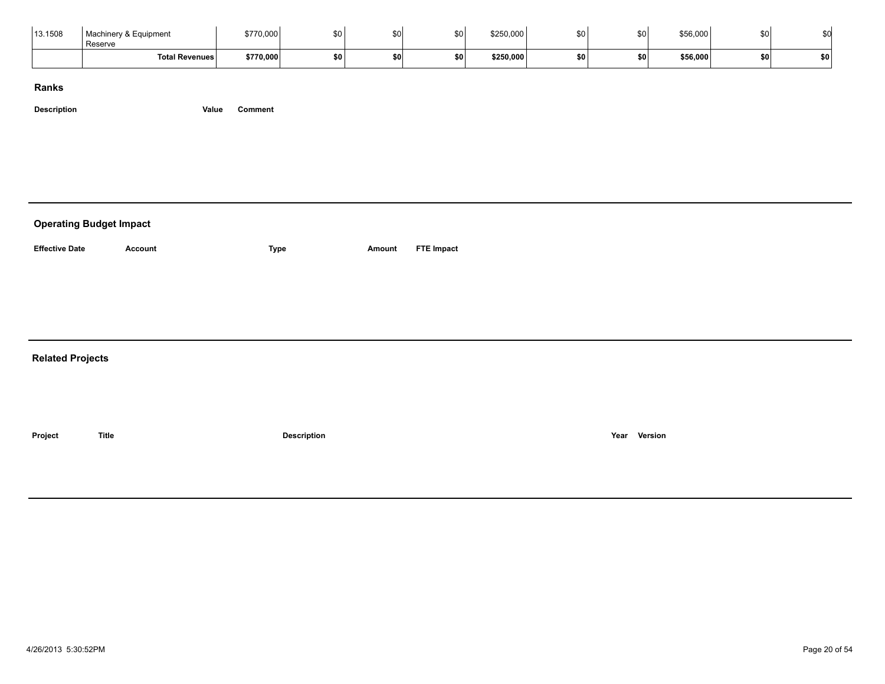| 13.1508 | Machinery & Equipment<br>Reserve | \$770,000 | cη.       |      | \$0       | \$250,000 | \$0 | \$0 <sub>1</sub> | \$56,000 |     |  |
|---------|----------------------------------|-----------|-----------|------|-----------|-----------|-----|------------------|----------|-----|--|
|         | <b>Total Revenues</b>            | \$770,000 | <b>SO</b> | EN I | <b>SO</b> | \$250,000 | \$0 | <b>\$01</b>      | \$56,000 | \$0 |  |

| <b>Operating Budget Impact</b> |                |                    |        |                   |
|--------------------------------|----------------|--------------------|--------|-------------------|
| <b>Effective Date</b>          | <b>Account</b> | Type               | Amount | <b>FTE Impact</b> |
|                                |                |                    |        |                   |
|                                |                |                    |        |                   |
| <b>Related Projects</b>        |                |                    |        |                   |
|                                |                |                    |        |                   |
| Project                        | <b>Title</b>   | <b>Description</b> |        | Version<br>Year   |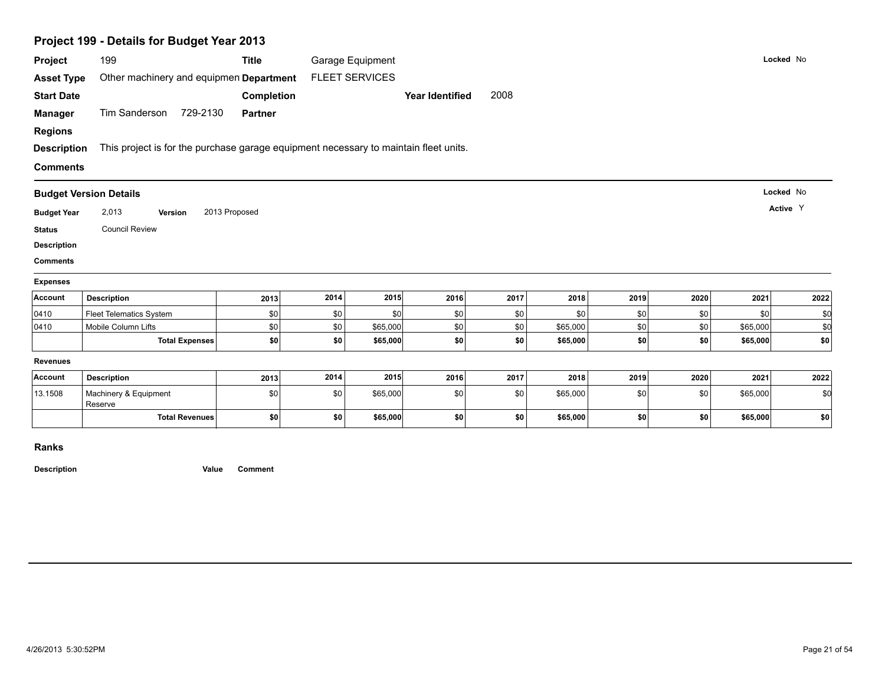|                                                                                                      | Project 199 - Details for Budget Year 2013                                           |                   |      |                       |                        |      |          |      |      |          |           |
|------------------------------------------------------------------------------------------------------|--------------------------------------------------------------------------------------|-------------------|------|-----------------------|------------------------|------|----------|------|------|----------|-----------|
| Project                                                                                              | 199                                                                                  | <b>Title</b>      |      | Garage Equipment      |                        |      |          |      |      |          | Locked No |
| <b>Asset Type</b>                                                                                    | Other machinery and equipmen Department                                              |                   |      | <b>FLEET SERVICES</b> |                        |      |          |      |      |          |           |
| <b>Start Date</b>                                                                                    |                                                                                      | <b>Completion</b> |      |                       | <b>Year Identified</b> | 2008 |          |      |      |          |           |
| <b>Manager</b>                                                                                       | Tim Sanderson 729-2130                                                               | <b>Partner</b>    |      |                       |                        |      |          |      |      |          |           |
| <b>Regions</b>                                                                                       |                                                                                      |                   |      |                       |                        |      |          |      |      |          |           |
| <b>Description</b>                                                                                   | This project is for the purchase garage equipment necessary to maintain fleet units. |                   |      |                       |                        |      |          |      |      |          |           |
| <b>Comments</b>                                                                                      |                                                                                      |                   |      |                       |                        |      |          |      |      |          |           |
|                                                                                                      | <b>Budget Version Details</b>                                                        |                   |      |                       |                        |      |          |      |      |          | Locked No |
|                                                                                                      |                                                                                      |                   |      |                       |                        |      |          |      |      |          | Active Y  |
| <b>Budget Year</b>                                                                                   | 2,013<br>Version                                                                     | 2013 Proposed     |      |                       |                        |      |          |      |      |          |           |
|                                                                                                      | <b>Council Review</b>                                                                |                   |      |                       |                        |      |          |      |      |          |           |
|                                                                                                      |                                                                                      |                   |      |                       |                        |      |          |      |      |          |           |
|                                                                                                      |                                                                                      |                   |      |                       |                        |      |          |      |      |          |           |
|                                                                                                      |                                                                                      |                   |      |                       |                        |      |          |      |      |          |           |
|                                                                                                      | <b>Description</b>                                                                   | 2013              | 2014 | 2015                  | 2016                   | 2017 | 2018     | 2019 | 2020 | 2021     | 2022      |
|                                                                                                      | Fleet Telematics System                                                              | \$0               | \$0  | \$0                   | \$0                    | \$0  | \$0      | \$0  | \$0  | \$0      | \$0       |
| <b>Status</b><br><b>Description</b><br><b>Comments</b><br><b>Expenses</b><br>Account<br>0410<br>0410 | Mobile Column Lifts                                                                  | \$0               | \$0  | \$65,000              | \$0                    | \$0  | \$65,000 | \$0  | \$0  | \$65,000 | \$d       |
|                                                                                                      | <b>Total Expenses</b>                                                                | \$0               | \$0  | \$65,000              | \$0                    | \$0  | \$65,000 | \$0  | \$0  | \$65,000 | \$0       |
| <b>Revenues</b>                                                                                      |                                                                                      |                   |      |                       |                        |      |          |      |      |          |           |
|                                                                                                      | <b>Description</b>                                                                   | 2013              | 2014 | 2015                  | 2016                   | 2017 | 2018     | 2019 | 2020 | 2021     | 2022      |
| Account<br>13.1508                                                                                   | Machinery & Equipment<br>Reserve                                                     | \$0               | \$0  | \$65,000              | \$0                    | \$0  | \$65,000 | \$0  | \$0  | \$65,000 | \$d       |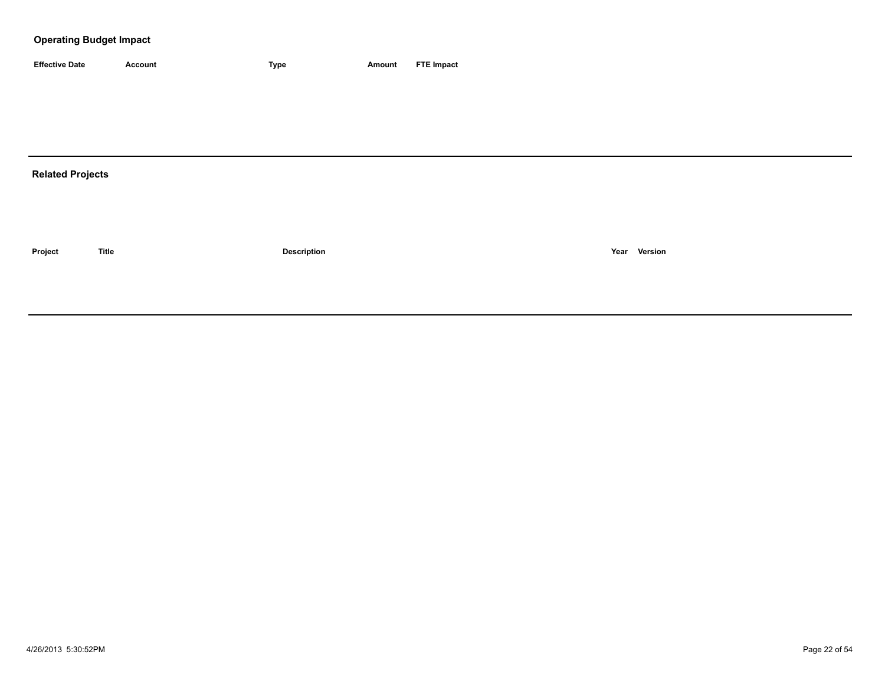| <b>Effective Date</b> | Account | 'vpe | Amount | <b>FTE Impact</b> |
|-----------------------|---------|------|--------|-------------------|

# **Related Projects**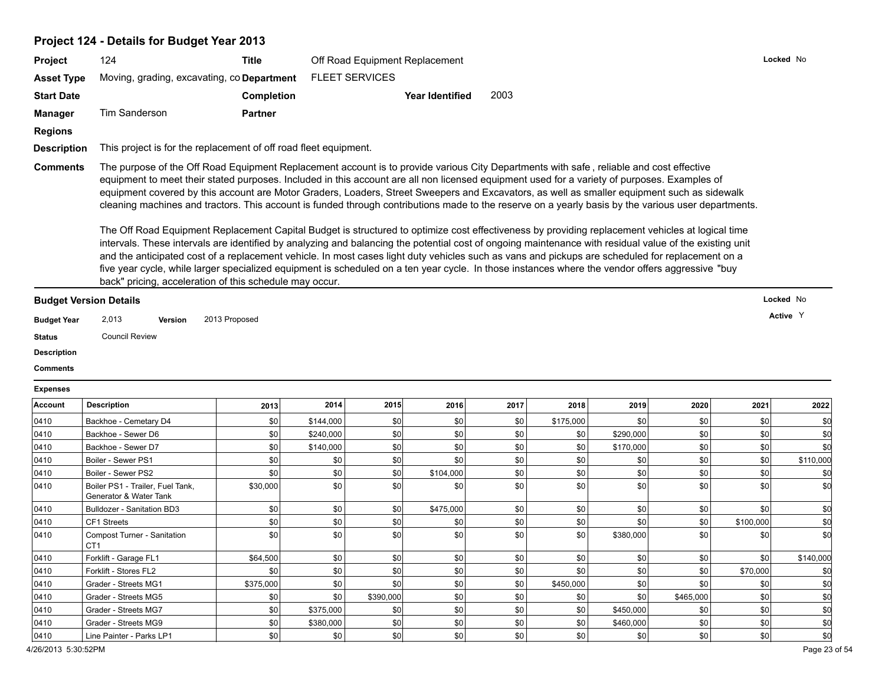# **Project 124 - Details for Budget Year 2013**

| <b>Project</b>     | 124                                                              | Title             | Off Road Equipment Replacement |                 |                                                                                                                                         | Locked No |
|--------------------|------------------------------------------------------------------|-------------------|--------------------------------|-----------------|-----------------------------------------------------------------------------------------------------------------------------------------|-----------|
| <b>Asset Type</b>  | Moving, grading, excavating, co <b>Department</b>                |                   | <b>FLEET SERVICES</b>          |                 |                                                                                                                                         |           |
| <b>Start Date</b>  |                                                                  | <b>Completion</b> |                                | Year Identified | 2003                                                                                                                                    |           |
| <b>Manager</b>     | Tim Sanderson                                                    | <b>Partner</b>    |                                |                 |                                                                                                                                         |           |
| <b>Regions</b>     |                                                                  |                   |                                |                 |                                                                                                                                         |           |
| <b>Description</b> | This project is for the replacement of off road fleet equipment. |                   |                                |                 |                                                                                                                                         |           |
| <b>Comments</b>    |                                                                  |                   |                                |                 | The purpose of the Off Road Equipment Replacement account is to provide various City Departments with safe, reliable and cost effective |           |

equipment to meet their stated purposes. Included in this account are all non licensed equipment used for a variety of purposes. Examples of equipment covered by this account are Motor Graders, Loaders, Street Sweepers and Excavators, as well as smaller equipment such as sidewalk cleaning machines and tractors. This account is funded through contributions made to the reserve on a yearly basis by the various user departments.

The Off Road Equipment Replacement Capital Budget is structured to optimize cost effectiveness by providing replacement vehicles at logical time intervals. These intervals are identified by analyzing and balancing the potential cost of ongoing maintenance with residual value of the existing unit and the anticipated cost of a replacement vehicle. In most cases light duty vehicles such as vans and pickups are scheduled for replacement on a five year cycle, while larger specialized equipment is scheduled on a ten year cycle. In those instances where the vendor offers aggressive "buy back" pricing, acceleration of this schedule may occur.

| <b>Budget Version Details</b> |       |         |               | Locked No |
|-------------------------------|-------|---------|---------------|-----------|
| <b>Budget Year</b>            | 2,013 | Version | 2013 Proposed | Active Y  |

**Status** Council Review

**Description**

**Comments**

#### **Expenses**

| Account | <b>Description</b>                                         | 2013      | 2014      | 2015      | 2016      | 2017 | 2018      | 2019      | 2020      | 2021      | 2022       |
|---------|------------------------------------------------------------|-----------|-----------|-----------|-----------|------|-----------|-----------|-----------|-----------|------------|
| 0410    | Backhoe - Cemetary D4                                      | \$0       | \$144,000 | \$0       | \$0       | \$0  | \$175,000 | \$0       | \$0       | \$0       |            |
| 0410    | Backhoe - Sewer D6                                         | \$0       | \$240,000 | \$0       | \$0       | \$0  | \$0       | \$290,000 | \$0       | \$0       |            |
| 0410    | Backhoe - Sewer D7                                         | \$0       | \$140,000 | \$0       | \$0       | \$0  | \$0       | \$170,000 | \$0       | \$0       | \$0        |
| 0410    | Boiler - Sewer PS1                                         | \$0       | \$0       | \$0       | \$0       | \$0  | \$0       | \$0       | \$0       | \$0       | \$110,000  |
| 0410    | Boiler - Sewer PS2                                         | \$0       | \$0       | \$0       | \$104,000 | \$0  | \$0       | \$0       | \$0       | \$0       |            |
| 0410    | Boiler PS1 - Trailer, Fuel Tank,<br>Generator & Water Tank | \$30,000  | \$0       | \$0       | \$0       | \$0  | \$0       | \$0       | \$0       | \$0       | <b>.SC</b> |
| 0410    | <b>Bulldozer - Sanitation BD3</b>                          | \$0       | \$0       | \$0       | \$475,000 | \$0  | \$0       | \$0       | \$0       | \$0       |            |
| 0410    | CF1 Streets                                                | \$0       | \$0       | \$0       | \$0       | \$0  | \$0       | \$0       | \$0       | \$100,000 |            |
| 0410    | Compost Turner - Sanitation<br>CT <sub>1</sub>             | \$0       | \$0       | \$0       | \$0       | \$0  | \$0       | \$380,000 | \$0       | \$0       | \$0        |
| 0410    | Forklift - Garage FL1                                      | \$64,500  | \$0       | \$0       | \$0       | \$0  | \$0       | \$0       | \$0       | \$0       | \$140,000  |
| 0410    | Forklift - Stores FL2                                      | \$0       | \$0       | \$0       | \$0       | \$0  | \$0       | \$0       | \$0       | \$70,000  |            |
| 0410    | Grader - Streets MG1                                       | \$375,000 | \$0       | \$0       | \$0       | \$0  | \$450,000 | \$0       | \$0       | \$0       |            |
| 0410    | Grader - Streets MG5                                       | \$0       | \$0       | \$390,000 | \$0       | \$0  | \$0       | \$0       | \$465,000 | \$0       |            |
| 0410    | Grader - Streets MG7                                       | \$0       | \$375,000 | \$0       | \$0       | \$0  | \$0       | \$450,000 | \$0       | \$0       |            |
| 0410    | Grader - Streets MG9                                       | \$0       | \$380,000 | \$0       | \$0       | \$0  | \$0       | \$460,000 | \$0       | \$0       |            |
| 0410    | Line Painter - Parks LP1                                   | \$0       | \$0       | \$0       | \$0       | \$0  | \$0       | \$0       | \$0       | \$0       | \$0        |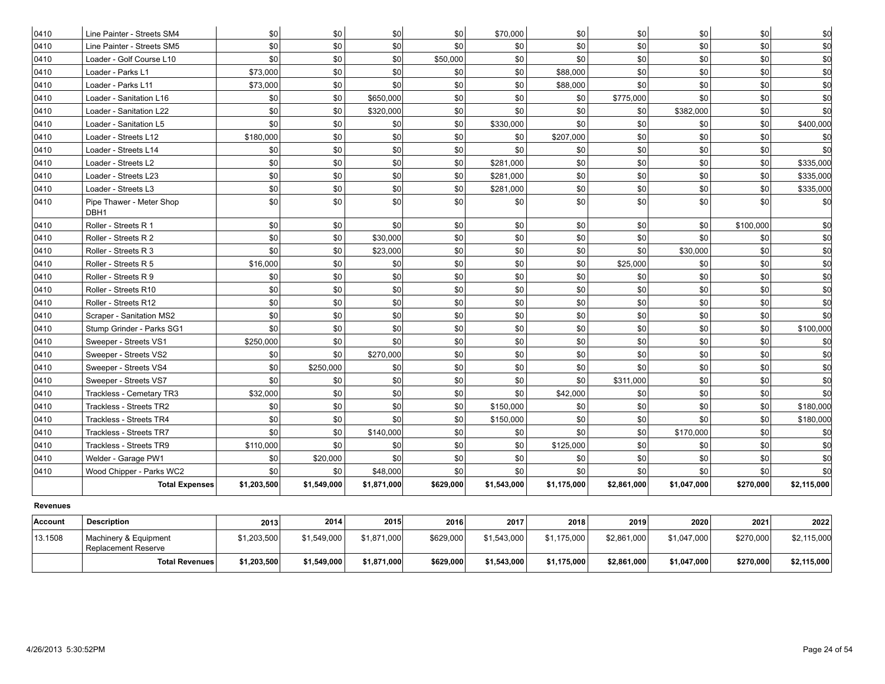| 0410     | Line Painter - Streets SM4                          | \$0         | \$0         | \$0         | \$0       | \$70,000    | \$0         | \$0         | \$0         | \$0       | \$0         |
|----------|-----------------------------------------------------|-------------|-------------|-------------|-----------|-------------|-------------|-------------|-------------|-----------|-------------|
| 0410     | Line Painter - Streets SM5                          | \$0         | \$0         | \$0         | \$0       | \$0         | \$0         | \$0         | \$0         | \$0       | \$d         |
| 0410     | Loader - Golf Course L10                            | \$0         | \$0         | \$0         | \$50,000  | \$0         | \$0         | \$0         | \$0         | \$0       | \$d         |
| 0410     | Loader - Parks L1                                   | \$73,000    | \$0         | \$0         | \$0       | \$0         | \$88,000    | \$0         | \$0         | \$0       | \$d         |
| 0410     | Loader - Parks L11                                  | \$73,000    | \$0         | \$0         | \$0       | \$0         | \$88,000    | \$0         | \$0         | \$0       | \$d         |
| 0410     | Loader - Sanitation L16                             | \$0         | \$0         | \$650,000   | \$0       | \$0         | \$0         | \$775,000   | \$0         | \$0       | \$d         |
| 0410     | Loader - Sanitation L22                             | \$0         | \$0         | \$320,000   | \$0       | \$0         | \$0         | \$0         | \$382,000   | \$0       | \$d         |
| 0410     | Loader - Sanitation L5                              | \$0         | \$0         | \$0         | \$0       | \$330,000   | \$0         | \$0         | \$0         | \$0       | \$400,000   |
| 0410     | Loader - Streets L12                                | \$180,000   | \$0         | \$0         | \$0       | \$0         | \$207,000   | \$0         | \$0         | \$0       | \$0         |
| 0410     | Loader - Streets L14                                | \$0         | \$0         | \$0         | \$0       | \$0         | \$0         | \$0         | \$0         | \$0       | \$0         |
| 0410     | Loader - Streets L2                                 | \$0         | \$0         | \$0         | \$0       | \$281,000   | \$0         | \$0         | \$0         | \$0       | \$335,000   |
| 0410     | Loader - Streets L23                                | \$0         | \$0         | \$0         | \$0       | \$281,000   | \$0         | \$0         | \$0         | \$0       | \$335,000   |
| 0410     | Loader - Streets L3                                 | \$0         | \$0         | \$0         | \$0       | \$281,000   | \$0         | \$0         | \$0         | \$0       | \$335,000   |
| 0410     | Pipe Thawer - Meter Shop<br>DBH1                    | \$0         | \$0         | \$0         | \$0       | \$0         | \$0         | \$0         | \$0         | \$0       | \$d         |
| 0410     | Roller - Streets R 1                                | \$0         | \$0         | \$0         | \$0       | \$0         | \$0         | \$0         | \$0         | \$100,000 | \$d         |
| 0410     | Roller - Streets R 2                                | \$0         | \$0         | \$30,000    | \$0       | \$0         | \$0         | \$0         | \$0         | \$0       | \$d         |
| 0410     | Roller - Streets R 3                                | \$0         | \$0         | \$23,000    | \$0       | \$0         | \$0         | \$0         | \$30,000    | \$0       | \$d         |
| 0410     | Roller - Streets R 5                                | \$16,000    | \$0         | \$0         | \$0       | \$0         | \$0         | \$25,000    | \$0         | \$0       | \$0         |
| 0410     | Roller - Streets R 9                                | \$0         | \$0         | \$0         | \$0       | \$0         | \$0         | \$0         | \$0         | \$0       | \$d         |
| 0410     | Roller - Streets R10                                | \$0         | \$0         | \$0         | \$0       | \$0         | \$0         | \$0         | \$0         | \$0       | \$d         |
| 0410     | Roller - Streets R12                                | \$0         | $$0$$       | \$0         | \$0       | \$0         | \$0         | \$0         | \$0         | \$0       | \$d         |
| 0410     | Scraper - Sanitation MS2                            | \$0         | \$0         | \$0         | \$0       | \$0         | \$0         | \$0         | \$0         | \$0       | \$0         |
| 0410     | Stump Grinder - Parks SG1                           | \$0         | \$0         | \$0         | \$0       | \$0         | \$0         | \$0         | \$0         | \$0       | \$100,000   |
| 0410     | Sweeper - Streets VS1                               | \$250,000   | \$0         | \$0         | \$0       | \$0         | \$0         | \$0         | \$0         | \$0       | \$0         |
| 0410     | Sweeper - Streets VS2                               | \$0         | \$0         | \$270,000   | \$0       | \$0         | \$0         | \$0         | \$0         | \$0       | \$d         |
| 0410     | Sweeper - Streets VS4                               | \$0         | \$250,000   | \$0         | \$0       | \$0         | \$0         | \$0         | \$0         | \$0       | \$d         |
| 0410     | Sweeper - Streets VS7                               | \$0         | \$0         | \$0         | \$0       | \$0         | \$0         | \$311,000   | \$0         | \$0       | \$d         |
| 0410     | Trackless - Cemetary TR3                            | \$32,000    | \$0         | \$0         | \$0       | \$0         | \$42,000    | \$0         | \$0         | \$0       | \$d         |
| 0410     | Trackless - Streets TR2                             | \$0         | \$0         | \$0         | \$0       | \$150,000   | \$0         | \$0         | \$0         | \$0       | \$180,000   |
| 0410     | Trackless - Streets TR4                             | \$0         | \$0         | \$0         | \$0       | \$150,000   | \$0         | \$0         | \$0         | \$0       | \$180,000   |
| 0410     | Trackless - Streets TR7                             | \$0         | \$0         | \$140,000   | \$0       | \$0         | \$0         | \$0         | \$170,000   | \$0       | \$d         |
| 0410     | Trackless - Streets TR9                             | \$110,000   | \$0         | \$0         | \$0       | \$0         | \$125,000   | \$0         | \$0         | \$0       | \$d         |
| 0410     | Welder - Garage PW1                                 | \$0         | \$20,000    | \$0         | \$0       | \$0         | \$0         | \$0         | \$0         | \$0       | \$d         |
| 0410     | Wood Chipper - Parks WC2                            | \$0         | \$0         | \$48,000    | \$0       | \$0         | \$0         | \$0         | \$0         | \$0       | \$d         |
|          | <b>Total Expenses</b>                               | \$1,203,500 | \$1,549,000 | \$1,871,000 | \$629,000 | \$1,543,000 | \$1,175,000 | \$2,861,000 | \$1,047,000 | \$270,000 | \$2,115,000 |
| Revenues |                                                     |             |             |             |           |             |             |             |             |           |             |
| Account  | <b>Description</b>                                  | 2013        | 2014        | 2015        | 2016      | 2017        | 2018        | 2019        | 2020        | 2021      | 2022        |
| 13.1508  | Machinery & Equipment<br><b>Replacement Reserve</b> | \$1,203,500 | \$1,549,000 | \$1,871,000 | \$629,000 | \$1,543,000 | \$1,175,000 | \$2,861,000 | \$1,047,000 | \$270,000 | \$2,115,000 |
|          | <b>Total Revenues</b>                               | \$1,203,500 | \$1,549,000 | \$1,871,000 | \$629,000 | \$1,543,000 | \$1,175,000 | \$2,861,000 | \$1,047,000 | \$270,000 | \$2,115,000 |
|          |                                                     |             |             |             |           |             |             |             |             |           |             |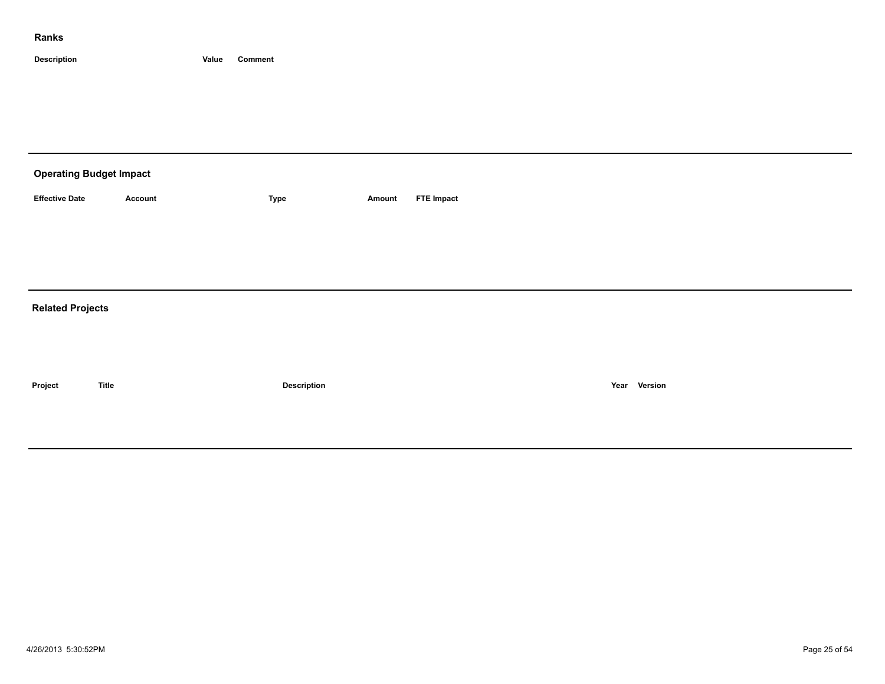| <b>Operating Budget Impact</b> |              |                    |        |                   |              |
|--------------------------------|--------------|--------------------|--------|-------------------|--------------|
| <b>Effective Date</b>          | Account      | Type               | Amount | <b>FTE Impact</b> |              |
|                                |              |                    |        |                   |              |
|                                |              |                    |        |                   |              |
|                                |              |                    |        |                   |              |
| <b>Related Projects</b>        |              |                    |        |                   |              |
|                                |              |                    |        |                   |              |
|                                |              |                    |        |                   |              |
| Project                        | <b>Title</b> | <b>Description</b> |        |                   | Year Version |
|                                |              |                    |        |                   |              |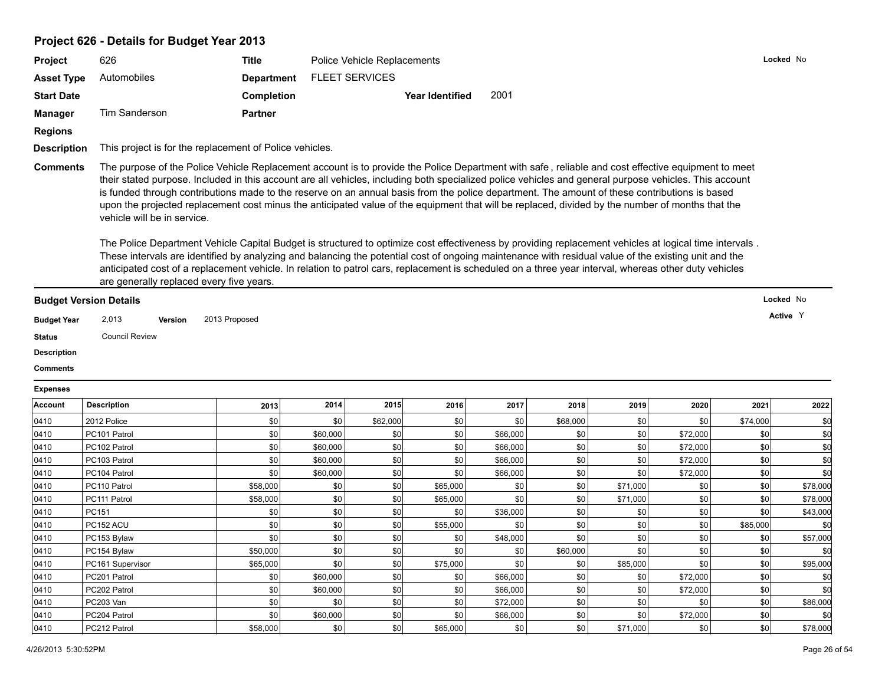| Project                                                                      | 626                                                                                                                                                                                                                                                                                                                                                                                                                                                                                                                                                                                                                                                                                                                                                                                                                                                                                                                                                                                                               | Title             |                       | Police Vehicle Replacements |                        |          |          |          |          |          | Locked No                          |
|------------------------------------------------------------------------------|-------------------------------------------------------------------------------------------------------------------------------------------------------------------------------------------------------------------------------------------------------------------------------------------------------------------------------------------------------------------------------------------------------------------------------------------------------------------------------------------------------------------------------------------------------------------------------------------------------------------------------------------------------------------------------------------------------------------------------------------------------------------------------------------------------------------------------------------------------------------------------------------------------------------------------------------------------------------------------------------------------------------|-------------------|-----------------------|-----------------------------|------------------------|----------|----------|----------|----------|----------|------------------------------------|
| <b>Asset Type</b>                                                            | Automobiles                                                                                                                                                                                                                                                                                                                                                                                                                                                                                                                                                                                                                                                                                                                                                                                                                                                                                                                                                                                                       | <b>Department</b> | <b>FLEET SERVICES</b> |                             |                        |          |          |          |          |          |                                    |
| <b>Start Date</b>                                                            |                                                                                                                                                                                                                                                                                                                                                                                                                                                                                                                                                                                                                                                                                                                                                                                                                                                                                                                                                                                                                   | <b>Completion</b> |                       |                             | <b>Year Identified</b> | 2001     |          |          |          |          |                                    |
|                                                                              |                                                                                                                                                                                                                                                                                                                                                                                                                                                                                                                                                                                                                                                                                                                                                                                                                                                                                                                                                                                                                   |                   |                       |                             |                        |          |          |          |          |          |                                    |
| <b>Manager</b>                                                               | Tim Sanderson                                                                                                                                                                                                                                                                                                                                                                                                                                                                                                                                                                                                                                                                                                                                                                                                                                                                                                                                                                                                     | <b>Partner</b>    |                       |                             |                        |          |          |          |          |          |                                    |
| Regions                                                                      |                                                                                                                                                                                                                                                                                                                                                                                                                                                                                                                                                                                                                                                                                                                                                                                                                                                                                                                                                                                                                   |                   |                       |                             |                        |          |          |          |          |          |                                    |
| <b>Description</b>                                                           | This project is for the replacement of Police vehicles.                                                                                                                                                                                                                                                                                                                                                                                                                                                                                                                                                                                                                                                                                                                                                                                                                                                                                                                                                           |                   |                       |                             |                        |          |          |          |          |          |                                    |
|                                                                              | their stated purpose. Included in this account are all vehicles, including both specialized police vehicles and general purpose vehicles. This account<br>is funded through contributions made to the reserve on an annual basis from the police department. The amount of these contributions is based<br>upon the projected replacement cost minus the anticipated value of the equipment that will be replaced, divided by the number of months that the<br>vehicle will be in service.<br>The Police Department Vehicle Capital Budget is structured to optimize cost effectiveness by providing replacement vehicles at logical time intervals.<br>These intervals are identified by analyzing and balancing the potential cost of ongoing maintenance with residual value of the existing unit and the<br>anticipated cost of a replacement vehicle. In relation to patrol cars, replacement is scheduled on a three year interval, whereas other duty vehicles<br>are generally replaced every five years. |                   |                       |                             |                        |          |          |          |          |          |                                    |
|                                                                              | <b>Budget Version Details</b>                                                                                                                                                                                                                                                                                                                                                                                                                                                                                                                                                                                                                                                                                                                                                                                                                                                                                                                                                                                     |                   |                       |                             |                        |          |          |          |          |          | Locked No                          |
| <b>Budget Year</b><br><b>Status</b><br><b>Description</b><br><b>Comments</b> | 2,013<br>Version<br><b>Council Review</b>                                                                                                                                                                                                                                                                                                                                                                                                                                                                                                                                                                                                                                                                                                                                                                                                                                                                                                                                                                         | 2013 Proposed     |                       |                             |                        |          |          |          |          |          | Active Y                           |
| <b>Expenses</b>                                                              |                                                                                                                                                                                                                                                                                                                                                                                                                                                                                                                                                                                                                                                                                                                                                                                                                                                                                                                                                                                                                   |                   |                       |                             |                        |          |          |          |          |          |                                    |
| Account                                                                      | <b>Description</b>                                                                                                                                                                                                                                                                                                                                                                                                                                                                                                                                                                                                                                                                                                                                                                                                                                                                                                                                                                                                | 2013              | 2014                  | 2015                        | 2016                   | 2017     | 2018     | 2019     | 2020     | 2021     | 2022                               |
|                                                                              | 2012 Police                                                                                                                                                                                                                                                                                                                                                                                                                                                                                                                                                                                                                                                                                                                                                                                                                                                                                                                                                                                                       | \$0               | \$0                   | \$62,000                    | \$0                    | \$0      | \$68,000 | \$0      | \$0      | \$74,000 | \$d                                |
|                                                                              | PC101 Patrol                                                                                                                                                                                                                                                                                                                                                                                                                                                                                                                                                                                                                                                                                                                                                                                                                                                                                                                                                                                                      | \$0               | \$60,000              | \$0                         | \$0                    | \$66,000 | \$0      | \$0      | \$72,000 | \$0      | \$d                                |
|                                                                              | PC102 Patrol                                                                                                                                                                                                                                                                                                                                                                                                                                                                                                                                                                                                                                                                                                                                                                                                                                                                                                                                                                                                      | \$0               | \$60,000              | \$0                         | \$0                    | \$66,000 | \$0      | \$0      | \$72,000 | 30       | \$d                                |
|                                                                              | PC103 Patrol                                                                                                                                                                                                                                                                                                                                                                                                                                                                                                                                                                                                                                                                                                                                                                                                                                                                                                                                                                                                      | \$0               | \$60,000              | \$0                         | \$0                    | \$66,000 | \$0      | \$0      | \$72,000 | 30       | \$d                                |
|                                                                              | PC104 Patrol                                                                                                                                                                                                                                                                                                                                                                                                                                                                                                                                                                                                                                                                                                                                                                                                                                                                                                                                                                                                      | \$0               | \$60,000              | \$0                         | \$0                    | \$66,000 | \$0      | \$0      | \$72,000 | \$0      | \$d                                |
|                                                                              | PC110 Patrol                                                                                                                                                                                                                                                                                                                                                                                                                                                                                                                                                                                                                                                                                                                                                                                                                                                                                                                                                                                                      | \$58,000          | \$0                   | \$0                         | \$65,000               | \$0      | \$0      | \$71,000 | \$0      | \$0      | \$78,000                           |
|                                                                              | PC111 Patrol                                                                                                                                                                                                                                                                                                                                                                                                                                                                                                                                                                                                                                                                                                                                                                                                                                                                                                                                                                                                      | \$58,000          | \$0                   | \$0                         | \$65,000               | \$0      | \$0      | \$71,000 | \$0      | \$0      | \$78,000                           |
|                                                                              | PC151                                                                                                                                                                                                                                                                                                                                                                                                                                                                                                                                                                                                                                                                                                                                                                                                                                                                                                                                                                                                             | \$0               | \$0                   | \$0                         | \$0                    | \$36,000 | \$0      | \$0      | \$0      | 30       |                                    |
|                                                                              | PC152 ACU                                                                                                                                                                                                                                                                                                                                                                                                                                                                                                                                                                                                                                                                                                                                                                                                                                                                                                                                                                                                         | \$0               | \$0                   | \$0                         | \$55,000               | \$0      | \$0      | \$0      | \$0      | \$85,000 |                                    |
| 0410<br>0410<br>0410<br>0410<br>0410<br>0410<br>0410<br>0410<br>0410<br>0410 | PC153 Bylaw                                                                                                                                                                                                                                                                                                                                                                                                                                                                                                                                                                                                                                                                                                                                                                                                                                                                                                                                                                                                       | \$0               | \$0                   | \$0                         | \$0                    | \$48,000 | \$0      | \$0      | \$0      | \$0      |                                    |
| 0410                                                                         | PC154 Bylaw                                                                                                                                                                                                                                                                                                                                                                                                                                                                                                                                                                                                                                                                                                                                                                                                                                                                                                                                                                                                       | \$50,000          | \$0                   | \$0                         | \$0                    | \$0      | \$60,000 | \$0      | \$0      | \$0      | \$43,000<br>\$0<br>\$57,000<br>\$0 |
| 0410                                                                         | PC161 Supervisor                                                                                                                                                                                                                                                                                                                                                                                                                                                                                                                                                                                                                                                                                                                                                                                                                                                                                                                                                                                                  | \$65,000          | \$0                   | \$0                         | \$75,000               | \$0      | \$0      | \$85,000 | \$0      | 30       | \$95,000                           |

0410 | PC202 Patrol | \$0| \$0| \$0| \$66,000 | \$0| \$72,000 | \$0| \$0| \$0| 0410 PC203 Van \$0 \$0 \$0 \$0 \$72,000 \$0 \$0 \$0 \$0 \$86,000 0410 | PC204 Patrol | \$0 | \$60,000 | \$0 | \$60,000 | \$0 | \$72,000 | \$0 | \$0 0410 | PC212 Patrol | \$58,000 | \$0 | \$65,000 | \$0 | \$71,000 | \$0 | \$0 | \$78,000 | \$78,000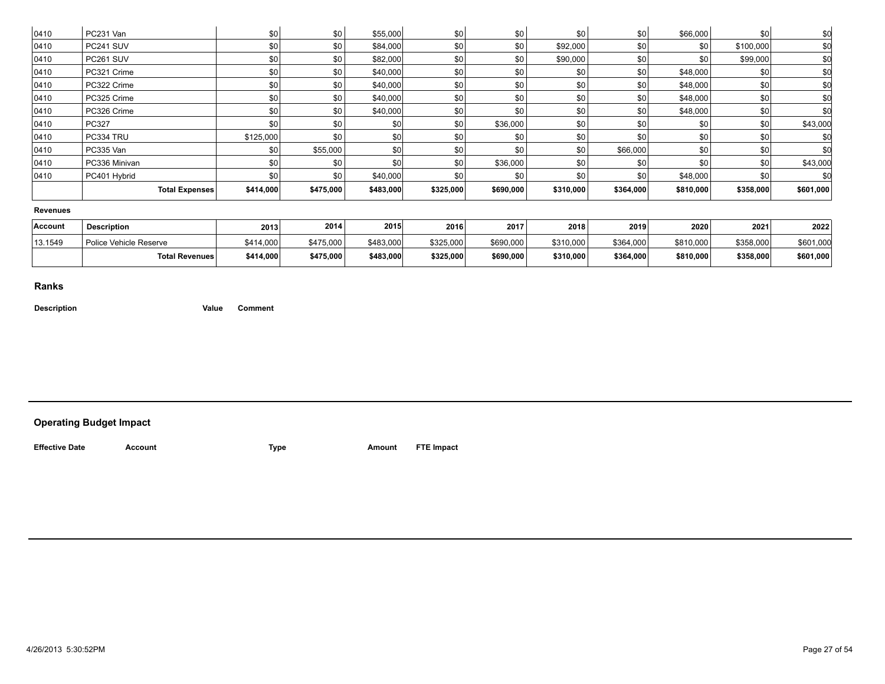| 0410            | PC231 Van              | \$0       | \$0       | \$55,000         | \$0       | \$0       | \$0       | \$0       | \$66,000  | <b>\$0</b> | \$0       |
|-----------------|------------------------|-----------|-----------|------------------|-----------|-----------|-----------|-----------|-----------|------------|-----------|
| 0410            | PC241 SUV              | \$0       | \$0       | \$84,000         | \$0       | \$0       | \$92,000  | \$0       | \$0       | \$100,000  | \$0       |
| 0410            | PC261 SUV              | \$0       | \$0       | \$82,000         | \$0       | \$0       | \$90,000  | \$0       | \$0       | \$99,000   | \$0       |
| 0410            | PC321 Crime            | \$0       | \$0       | \$40,000         | \$0       | \$0       | \$0       | \$0       | \$48,000  | \$0        | \$0       |
| 0410            | PC322 Crime            | \$0       | \$0       | \$40,000         | \$0       | \$0       | \$0       | \$0       | \$48,000  | \$0        | \$0       |
| 0410            | PC325 Crime            | \$0       | \$0       | \$40,000         | \$0       | \$0       | \$0       | \$0       | \$48,000  | \$0        | \$0       |
| 0410            | PC326 Crime            | \$0       | \$0       | \$40,000         | \$0       | \$0       | \$0       | \$0       | \$48,000  | \$0        | \$C       |
| 0410            | PC327                  | \$0       | \$0       | \$0 <sub>1</sub> | \$0       | \$36,000  | \$0       | \$0       | \$0       | \$0        | \$43,000  |
| 0410            | PC334 TRU              | \$125,000 | \$0       | \$0              | \$0       | \$0       | \$0       | \$0       | \$0       | \$0        |           |
| 0410            | PC335 Van              | \$0       | \$55,000  | \$0              | \$0       | \$0       | \$0       | \$66,000  | \$0       | \$0        | \$C       |
| 0410            | PC336 Minivan          | \$0       | \$0       | \$0              | \$0       | \$36,000  | \$0       | \$0       | \$0       | \$0        | \$43,000  |
| 0410            | PC401 Hybrid           | \$0       | \$0       | \$40,000         | \$0       | \$0       | \$0       | \$0       | \$48,000  | \$0        | \$C       |
|                 | <b>Total Expenses</b>  | \$414,000 | \$475,000 | \$483,000        | \$325,000 | \$690,000 | \$310,000 | \$364,000 | \$810,000 | \$358,000  | \$601,000 |
| <b>Revenues</b> |                        |           |           |                  |           |           |           |           |           |            |           |
| Account         | <b>Description</b>     | 2013      | 2014      | 2015             | 2016      | 2017      | 2018      | 2019      | 2020      | 2021       | 2022      |
| 13.1549         | Police Vehicle Reserve | \$414,000 | \$475,000 | \$483,000        | \$325,000 | \$690,000 | \$310,000 | \$364,000 | \$810,000 | \$358,000  | \$601,000 |
|                 | <b>Total Revenues</b>  | \$414,000 | \$475,000 | \$483,000        | \$325,000 | \$690,000 | \$310,000 | \$364,000 | \$810,000 | \$358,000  | \$601,000 |
|                 |                        |           |           |                  |           |           |           |           |           |            |           |

**Description Value Comment**

#### **Operating Budget Impact**

**Effective Date Account Type Amount FTE Impact**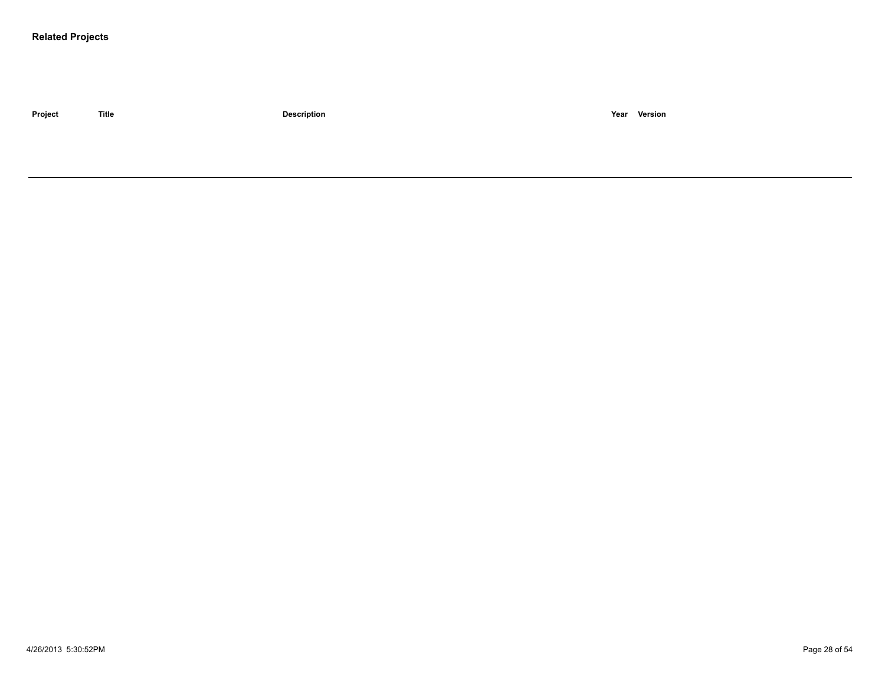#### **Related Projects**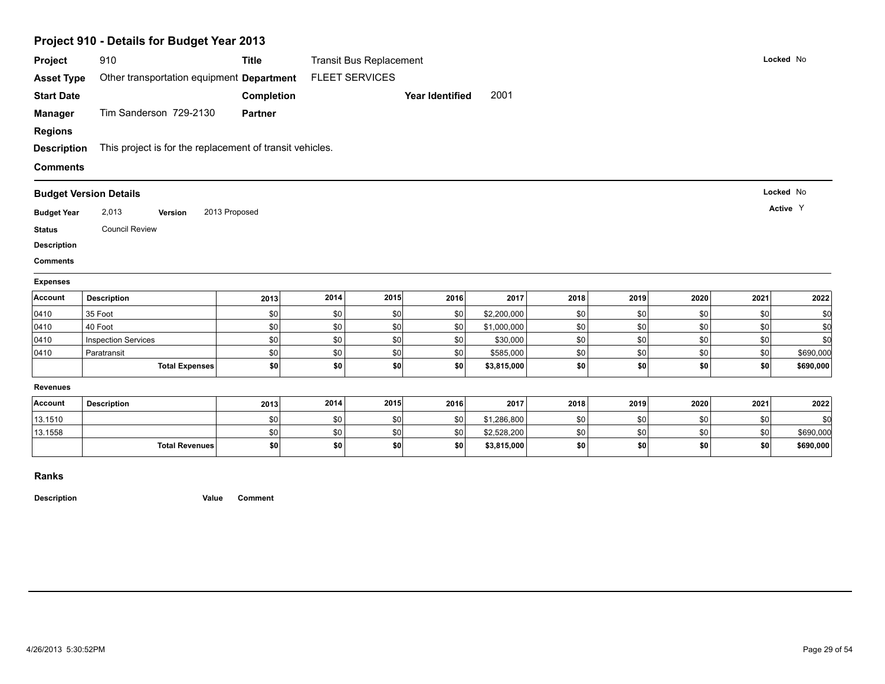|                                                        | Project 910 - Details for Budget Year 2013               |                   |                       |                                |                 |             |            |            |            |            |            |
|--------------------------------------------------------|----------------------------------------------------------|-------------------|-----------------------|--------------------------------|-----------------|-------------|------------|------------|------------|------------|------------|
| Project                                                | 910                                                      | <b>Title</b>      |                       | <b>Transit Bus Replacement</b> |                 |             |            |            |            |            | Locked No  |
| <b>Asset Type</b>                                      | Other transportation equipment Department                |                   | <b>FLEET SERVICES</b> |                                |                 |             |            |            |            |            |            |
| <b>Start Date</b>                                      |                                                          | <b>Completion</b> |                       |                                | Year Identified | 2001        |            |            |            |            |            |
| <b>Manager</b>                                         | Tim Sanderson 729-2130                                   | <b>Partner</b>    |                       |                                |                 |             |            |            |            |            |            |
| <b>Regions</b>                                         |                                                          |                   |                       |                                |                 |             |            |            |            |            |            |
| <b>Description</b>                                     | This project is for the replacement of transit vehicles. |                   |                       |                                |                 |             |            |            |            |            |            |
| <b>Comments</b>                                        |                                                          |                   |                       |                                |                 |             |            |            |            |            |            |
|                                                        | <b>Budget Version Details</b>                            |                   |                       |                                |                 |             |            |            |            |            | Locked No  |
| <b>Budget Year</b>                                     | 2,013<br>Version                                         | 2013 Proposed     |                       |                                |                 |             |            |            |            |            | Active Y   |
|                                                        | <b>Council Review</b>                                    |                   |                       |                                |                 |             |            |            |            |            |            |
|                                                        |                                                          |                   |                       |                                |                 |             |            |            |            |            |            |
|                                                        |                                                          |                   |                       |                                |                 |             |            |            |            |            |            |
|                                                        |                                                          |                   |                       |                                |                 |             |            |            |            |            |            |
| <b>Status</b><br><b>Description</b><br><b>Comments</b> |                                                          |                   |                       |                                |                 |             |            |            |            |            |            |
| <b>Expenses</b><br>Account                             | <b>Description</b>                                       |                   | 2014                  | 2015                           | 2016            | 2017        | 2018       | 2019       | 2020       | 2021       |            |
|                                                        | 35 Foot                                                  | 2013              |                       |                                |                 | \$2,200,000 |            |            |            |            | 2022       |
| 0410<br>0410                                           | 40 Foot                                                  | \$0<br>\$0        | \$0<br>\$0            | \$0<br>\$0                     | \$0<br>\$0      | \$1,000,000 | \$0<br>\$0 | \$0<br>\$0 | \$0<br>\$0 | \$0<br>\$0 | \$0<br>\$0 |
| 0410                                                   | <b>Inspection Services</b>                               | \$0               | \$0                   | \$0                            | \$0             | \$30,000    | \$0        | \$0        | \$0        | \$0        | \$0        |
| 0410                                                   | Paratransit                                              | \$0               | \$0                   | \$0                            | \$0             | \$585,000   | \$0        | \$0        | \$0        | \$0        | \$690,000  |
|                                                        | <b>Total Expenses</b>                                    | \$0               | \$0                   | \$0                            | \$0             | \$3,815,000 | \$0        | \$0        | \$0        | \$0        | \$690,000  |
| <b>Revenues</b>                                        |                                                          |                   |                       |                                |                 |             |            |            |            |            |            |
| Account                                                | <b>Description</b>                                       | 2013              | 2014                  | 2015                           | 2016            | 2017        | 2018       | 2019       | 2020       | 2021       | 2022       |
| 13.1510                                                |                                                          | \$0               | \$0                   | \$0                            | \$0             | \$1,286,800 | \$0        | \$0        | \$0        | \$0        | \$0        |
| 13.1558                                                |                                                          | \$0               | \$0                   | \$0                            | \$0             | \$2,528,200 | \$0        | \$0        | \$0        | \$0        | \$690,000  |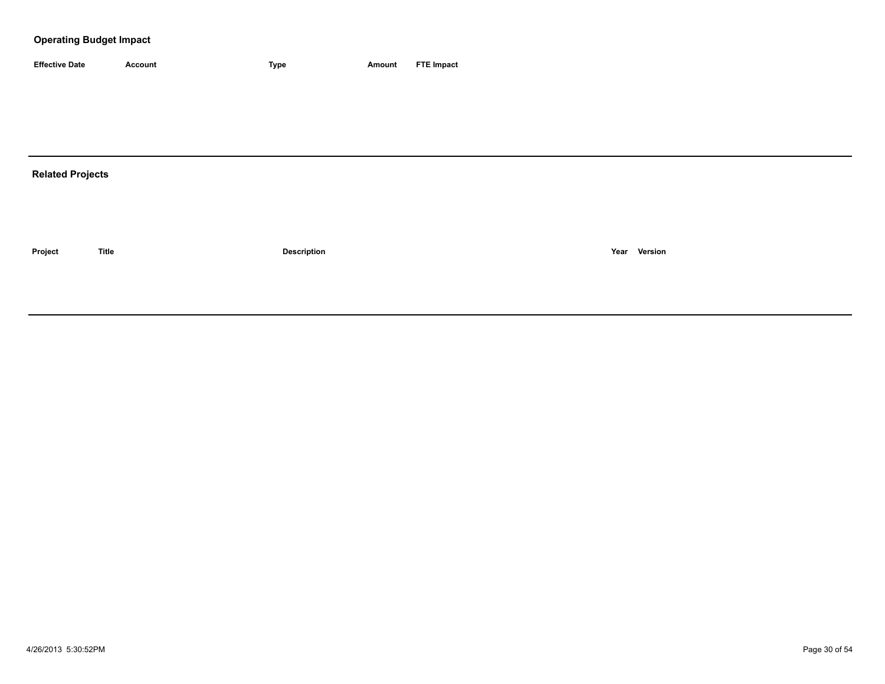| <b>Effective Date</b> | Account | <b>Type</b> | Amount | <b>FTE Impact</b> |
|-----------------------|---------|-------------|--------|-------------------|

# **Related Projects**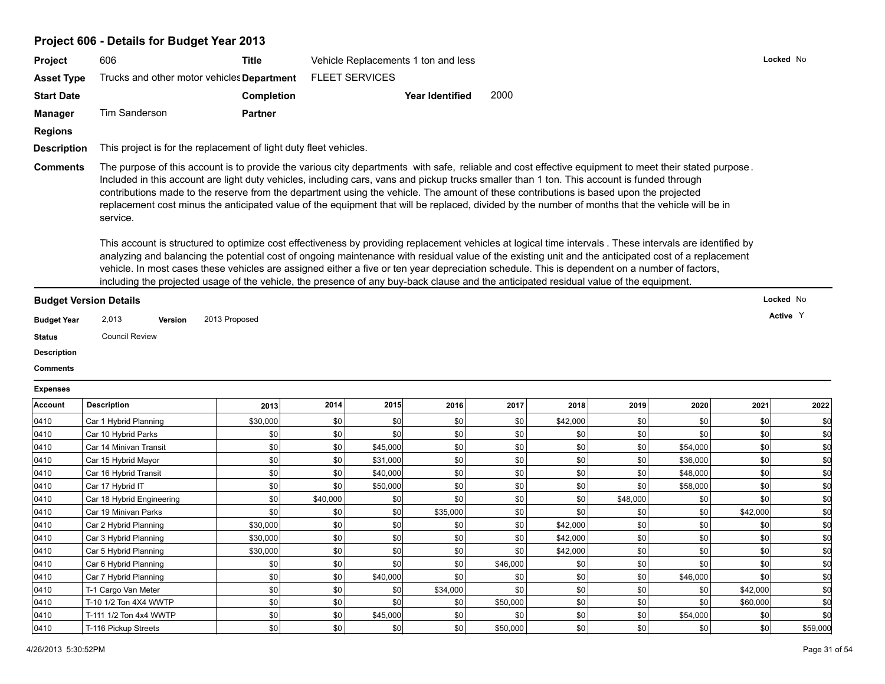# **Project 606 - Details for Budget Year 2013**

|                    | Project 606 - Details for Budget rear 2013                                                                                                            |                                                                                                                                                                                                                                                                                                                                                                                                                                                                                                                                                                                                                                                                                                                                                                                                                                                                                                            |      |                       |                                     |      |          |      |          |      |           |  |
|--------------------|-------------------------------------------------------------------------------------------------------------------------------------------------------|------------------------------------------------------------------------------------------------------------------------------------------------------------------------------------------------------------------------------------------------------------------------------------------------------------------------------------------------------------------------------------------------------------------------------------------------------------------------------------------------------------------------------------------------------------------------------------------------------------------------------------------------------------------------------------------------------------------------------------------------------------------------------------------------------------------------------------------------------------------------------------------------------------|------|-----------------------|-------------------------------------|------|----------|------|----------|------|-----------|--|
| Project            | 606                                                                                                                                                   | <b>Title</b>                                                                                                                                                                                                                                                                                                                                                                                                                                                                                                                                                                                                                                                                                                                                                                                                                                                                                               |      |                       | Vehicle Replacements 1 ton and less |      |          |      |          |      | Locked No |  |
| <b>Asset Type</b>  | Trucks and other motor vehicles Department                                                                                                            |                                                                                                                                                                                                                                                                                                                                                                                                                                                                                                                                                                                                                                                                                                                                                                                                                                                                                                            |      | <b>FLEET SERVICES</b> |                                     |      |          |      |          |      |           |  |
| <b>Start Date</b>  |                                                                                                                                                       | Completion                                                                                                                                                                                                                                                                                                                                                                                                                                                                                                                                                                                                                                                                                                                                                                                                                                                                                                 |      |                       | <b>Year Identified</b>              | 2000 |          |      |          |      |           |  |
| Manager            | Tim Sanderson                                                                                                                                         | <b>Partner</b>                                                                                                                                                                                                                                                                                                                                                                                                                                                                                                                                                                                                                                                                                                                                                                                                                                                                                             |      |                       |                                     |      |          |      |          |      |           |  |
| <b>Regions</b>     |                                                                                                                                                       |                                                                                                                                                                                                                                                                                                                                                                                                                                                                                                                                                                                                                                                                                                                                                                                                                                                                                                            |      |                       |                                     |      |          |      |          |      |           |  |
| <b>Description</b> | This project is for the replacement of light duty fleet vehicles.                                                                                     |                                                                                                                                                                                                                                                                                                                                                                                                                                                                                                                                                                                                                                                                                                                                                                                                                                                                                                            |      |                       |                                     |      |          |      |          |      |           |  |
|                    | The purpose of this account is to provide the various city departments with safe, reliable and cost effective equipment to meet their stated purpose. |                                                                                                                                                                                                                                                                                                                                                                                                                                                                                                                                                                                                                                                                                                                                                                                                                                                                                                            |      |                       |                                     |      |          |      |          |      |           |  |
|                    | service.                                                                                                                                              | contributions made to the reserve from the department using the vehicle. The amount of these contributions is based upon the projected<br>replacement cost minus the anticipated value of the equipment that will be replaced, divided by the number of months that the vehicle will be in<br>This account is structured to optimize cost effectiveness by providing replacement vehicles at logical time intervals . These intervals are identified by<br>analyzing and balancing the potential cost of ongoing maintenance with residual value of the existing unit and the anticipated cost of a replacement<br>vehicle. In most cases these vehicles are assigned either a five or ten year depreciation schedule. This is dependent on a number of factors,<br>including the projected usage of the vehicle, the presence of any buy-back clause and the anticipated residual value of the equipment. |      |                       |                                     |      |          |      |          |      |           |  |
|                    | <b>Budget Version Details</b>                                                                                                                         |                                                                                                                                                                                                                                                                                                                                                                                                                                                                                                                                                                                                                                                                                                                                                                                                                                                                                                            |      |                       |                                     |      |          |      |          |      | Locked No |  |
| <b>Budget Year</b> | 2,013<br>Version                                                                                                                                      | 2013 Proposed                                                                                                                                                                                                                                                                                                                                                                                                                                                                                                                                                                                                                                                                                                                                                                                                                                                                                              |      |                       |                                     |      |          |      |          |      | Active Y  |  |
| <b>Status</b>      | <b>Council Review</b>                                                                                                                                 |                                                                                                                                                                                                                                                                                                                                                                                                                                                                                                                                                                                                                                                                                                                                                                                                                                                                                                            |      |                       |                                     |      |          |      |          |      |           |  |
| <b>Description</b> |                                                                                                                                                       |                                                                                                                                                                                                                                                                                                                                                                                                                                                                                                                                                                                                                                                                                                                                                                                                                                                                                                            |      |                       |                                     |      |          |      |          |      |           |  |
| <b>Comments</b>    |                                                                                                                                                       |                                                                                                                                                                                                                                                                                                                                                                                                                                                                                                                                                                                                                                                                                                                                                                                                                                                                                                            |      |                       |                                     |      |          |      |          |      |           |  |
|                    |                                                                                                                                                       |                                                                                                                                                                                                                                                                                                                                                                                                                                                                                                                                                                                                                                                                                                                                                                                                                                                                                                            |      |                       |                                     |      |          |      |          |      |           |  |
| <b>Expenses</b>    |                                                                                                                                                       |                                                                                                                                                                                                                                                                                                                                                                                                                                                                                                                                                                                                                                                                                                                                                                                                                                                                                                            |      |                       |                                     |      |          |      |          |      |           |  |
| Account            | <b>Description</b>                                                                                                                                    | 2013                                                                                                                                                                                                                                                                                                                                                                                                                                                                                                                                                                                                                                                                                                                                                                                                                                                                                                       | 2014 | 2015                  | 2016                                | 2017 | 2018     | 2019 | 2020     | 2021 | 2022      |  |
| 0410               | Car 1 Hybrid Planning                                                                                                                                 | \$30,000                                                                                                                                                                                                                                                                                                                                                                                                                                                                                                                                                                                                                                                                                                                                                                                                                                                                                                   | \$0  | \$0                   | \$0                                 | \$0  | \$42,000 | \$0  | \$0      | \$0  | \$d       |  |
| 0410               | Car 10 Hybrid Parks                                                                                                                                   | \$0                                                                                                                                                                                                                                                                                                                                                                                                                                                                                                                                                                                                                                                                                                                                                                                                                                                                                                        | \$0  | \$0                   | \$0                                 | \$0  | \$0      | \$0  | \$0      | \$0  | \$d       |  |
| 0410               | Car 14 Minivan Transit                                                                                                                                | \$0                                                                                                                                                                                                                                                                                                                                                                                                                                                                                                                                                                                                                                                                                                                                                                                                                                                                                                        | \$0  | \$45,000              | \$0                                 | \$0  | \$0      | \$0  | \$54,000 | \$0  | \$d       |  |
| 0410               | Car 15 Hybrid Mayor                                                                                                                                   | \$0                                                                                                                                                                                                                                                                                                                                                                                                                                                                                                                                                                                                                                                                                                                                                                                                                                                                                                        | \$0  | \$31,000              | \$0                                 | \$0  | \$0      | \$0  | \$36,000 | \$0  | \$d       |  |

| 0410 | Car 14 Minivan Transit    | \$0              | \$0      | \$45,000         | \$0      | \$0      | \$0              | \$0              | \$54,000         | \$0 <sub>1</sub> |          |
|------|---------------------------|------------------|----------|------------------|----------|----------|------------------|------------------|------------------|------------------|----------|
| 0410 | Car 15 Hybrid Mayor       | \$0              | \$0      | \$31,000         | \$0      | \$0      | \$0              | \$0              | \$36,000         | \$0              |          |
| 0410 | Car 16 Hybrid Transit     | \$0              | \$0      | \$40,000         | \$0      | \$0      | \$0 <sub>1</sub> | <b>SO</b>        | \$48,000         | \$0              |          |
| 0410 | Car 17 Hybrid IT          | \$0              | \$0      | \$50,000         | \$0      | \$0      | \$0              | \$0              | \$58,000         | \$0              |          |
| 0410 | Car 18 Hybrid Engineering | \$0 <sub>1</sub> | \$40,000 | \$0              | \$0      | \$0      | \$0              | \$48,000         | \$0              | \$0 <sub>1</sub> |          |
| 0410 | Car 19 Minivan Parks      | \$0              | \$0      | \$0              | \$35,000 | \$0      | \$0              | \$0              | \$0              | \$42,000         |          |
| 0410 | Car 2 Hybrid Planning     | \$30,000         | \$0      | \$0              | \$0      | \$0      | \$42,000         | \$0              | \$0              | \$0              |          |
| 0410 | Car 3 Hybrid Planning     | \$30,000         | \$0      | \$0 <sub>1</sub> | \$0      | \$0      | \$42,000         | \$0              | \$0              | \$0              |          |
| 0410 | Car 5 Hybrid Planning     | \$30,000         | \$0      | \$0              | \$0      | \$0      | \$42,000         | \$0              | \$0              | \$0              |          |
| 0410 | Car 6 Hybrid Planning     | \$0              | \$0      | \$0              | \$0      | \$46,000 | \$0              | \$0              | \$0              | \$0 <sub>1</sub> |          |
| 0410 | Car 7 Hybrid Planning     | \$0              | \$0      | \$40,000         | \$0      | \$0      | \$0              | \$0              | \$46,000         | \$0              |          |
| 0410 | T-1 Cargo Van Meter       | \$0              | \$0      | \$0              | \$34,000 | \$0      | \$0              | \$0              | \$0 <sub>1</sub> | \$42,000         |          |
| 0410 | T-10 1/2 Ton 4X4 WWTP     | \$0              | \$0      | \$0              | \$0      | \$50,000 | \$0              | \$0 <sub>0</sub> | \$0              | \$60,000         |          |
| 0410 | T-111 1/2 Ton 4x4 WWTP    | \$0              | \$0      | \$45,000         | \$0      | \$0      | \$0              | \$0              | \$54,000         | \$0              |          |
| 0410 | T-116 Pickup Streets      | \$0              | \$0      | \$0              | \$0      | \$50,000 | \$0              | \$0              | \$0.             | \$0              | \$59,000 |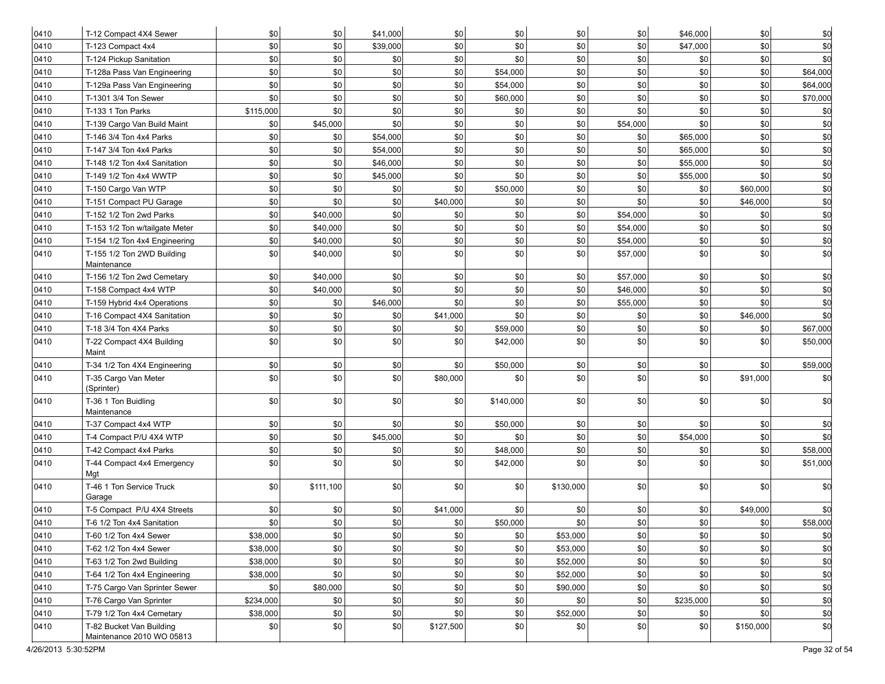|      |                                                       |           | \$0       | \$41,000 | \$0       | \$0            |           | \$0      | \$46,000    | \$0       |            |
|------|-------------------------------------------------------|-----------|-----------|----------|-----------|----------------|-----------|----------|-------------|-----------|------------|
| 0410 | T-12 Compact 4X4 Sewer                                | \$0       | \$0       |          |           |                | \$0       |          |             |           | \$0        |
| 0410 | T-123 Compact 4x4                                     | \$0       |           | \$39,000 | \$0       | \$0            | \$0       | \$0      | \$47,000    | \$0       | \$0        |
| 0410 | T-124 Pickup Sanitation                               | \$0       | \$0       | \$0      | \$0       | \$0            | \$0       | \$0      | \$0         | \$0       | \$0        |
| 0410 | T-128a Pass Van Engineering                           | \$0       | \$0       | \$0      | \$0       | \$54,000       | \$0       | \$0      | \$0         | \$0       | \$64,000   |
| 0410 | T-129a Pass Van Engineering                           | \$0       | \$0       | \$0      | \$0       | \$54,000       | \$0       | \$0      | \$0         | \$0       | \$64,000   |
| 0410 | T-1301 3/4 Ton Sewer                                  | \$0       | \$0       | \$0      | \$0       | \$60,000       | \$0       | \$0      | \$0         | \$0       | \$70,000   |
| 0410 | T-133 1 Ton Parks                                     | \$115,000 | \$0       | \$0      | \$0       | \$0            | \$0       | \$0      | \$0         | \$0       | \$d        |
| 0410 | T-139 Cargo Van Build Maint                           | \$0       | \$45,000  | \$0      | \$0       | \$0            | \$0       | \$54,000 | \$0         | \$0       | \$d        |
| 0410 | T-146 3/4 Ton 4x4 Parks                               | \$0       | \$0       | \$54,000 | \$0       | \$0            | \$0       | \$0      | \$65,000    | \$0       | \$d        |
| 0410 | T-147 3/4 Ton 4x4 Parks                               | \$0       | \$0       | \$54,000 | \$0       | \$0            | \$0       | \$0      | \$65,000    | \$0       | \$d        |
| 0410 | T-148 1/2 Ton 4x4 Sanitation                          | \$0       | \$0       | \$46,000 | \$0       | \$0            | \$0       | \$0      | \$55,000    | \$0       | \$d        |
| 0410 | T-149 1/2 Ton 4x4 WWTP                                | \$0       | \$0       | \$45,000 | \$0       | \$0            | \$0       | \$0      | \$55,000    | \$0       | \$d        |
| 0410 | T-150 Cargo Van WTP                                   | \$0       | \$0       | \$0      | \$0       | \$50,000       | \$0       | \$0      | \$0         | \$60,000  | \$d        |
| 0410 | T-151 Compact PU Garage                               | \$0       | \$0       | \$0      | \$40,000  | \$0            | \$0       | \$0      | \$0         | \$46,000  | \$d        |
| 0410 | T-152 1/2 Ton 2wd Parks                               | \$0       | \$40,000  | \$0      | \$0       | \$0            | \$0       | \$54,000 | \$0         | \$0       | \$d        |
| 0410 | T-153 1/2 Ton w/tailgate Meter                        | \$0       | \$40,000  | \$0      | \$0       | \$0            | \$0       | \$54,000 | \$0         | \$0       | \$d        |
| 0410 | T-154 1/2 Ton 4x4 Engineering                         | \$0       | \$40,000  | \$0      | \$0       | \$0            | \$0       | \$54,000 | \$0         | \$0       | \$0        |
| 0410 | T-155 1/2 Ton 2WD Building<br>Maintenance             | \$0       | \$40,000  | \$0      | \$0       | \$0            | \$0       | \$57,000 | \$0         | \$0       | \$d        |
| 0410 | T-156 1/2 Ton 2wd Cemetary                            | \$0       | \$40,000  | \$0      | \$0       | \$0            | \$0       | \$57,000 | \$0         | \$0       | \$0        |
| 0410 | T-158 Compact 4x4 WTP                                 | \$0       | \$40,000  | \$0      | \$0       | \$0            | \$0       | \$46,000 | \$0         | \$0       | \$0        |
| 0410 | T-159 Hybrid 4x4 Operations                           | \$0       | \$0       | \$46,000 | \$0       | \$0            | \$0       | \$55,000 | \$0         | \$0       | \$0        |
| 0410 | T-16 Compact 4X4 Sanitation                           | \$0       | \$0       | \$0      | \$41,000  | \$0            | \$0       | \$0      | \$0         | \$46,000  | \$0        |
| 0410 | T-18 3/4 Ton 4X4 Parks                                | \$0       | \$0       | \$0      | \$0       | \$59,000       | \$0       | \$0      | \$0         | \$0       | \$67,000   |
| 0410 | T-22 Compact 4X4 Building<br>Maint                    | \$0       | \$0       | \$0      | \$0       | \$42,000       | \$0       | \$0      | \$0         | \$0       | \$50,000   |
| 0410 | T-34 1/2 Ton 4X4 Engineering                          | \$0       | \$0       | \$0      | \$0       | \$50,000       | \$0       | \$0      | \$0         | \$0       | \$59,000   |
| 0410 | T-35 Cargo Van Meter<br>(Sprinter)                    | \$0       | \$0       | \$0      | \$80,000  | \$0            | \$0       | \$0      | \$0         | \$91,000  | <b>\$0</b> |
| 0410 | T-36 1 Ton Buidling<br>Maintenance                    | \$0       | \$0       | \$0      | \$0       | \$140,000      | \$0       | \$0      | \$0         | \$0       | \$d        |
| 0410 | T-37 Compact 4x4 WTP                                  | \$0       | \$0       | \$0      | \$0       | \$50,000       | \$0       | \$0      | \$0         | \$0       | \$0        |
| 0410 | T-4 Compact P/U 4X4 WTP                               | \$0       | \$0       | \$45,000 | \$0       | \$0            | \$0       | \$0      | \$54,000    | \$0       | \$0        |
| 0410 | T-42 Compact 4x4 Parks                                | \$0       | \$0       | \$0      | \$0       | \$48,000       | \$0       | \$0      | \$0         | \$0       | \$58,000   |
| 0410 | T-44 Compact 4x4 Emergency<br>Mgt                     | \$0       | \$0       | \$0      | \$0       | \$42,000       | \$0       | \$0      | \$0         | \$0       | \$51,000   |
| 0410 | T-46 1 Ton Service Truck<br>Garage                    | \$0       | \$111,100 | \$0      | \$0       | \$0            | \$130,000 | \$0      | \$0         | \$0       | \$0        |
| 0410 | T-5 Compact P/U 4X4 Streets                           | \$0       | \$0       | \$0      | \$41,000  | \$0            | \$0       | \$0      | \$0         | \$49,000  | \$0        |
| 0410 | T-6 1/2 Ton 4x4 Sanitation                            | \$0       | \$0       | \$0      | \$0       | \$50,000       | \$0       | \$0      | \$0         | \$0       | \$58,000   |
| 0410 | T-60 1/2 Ton 4x4 Sewer                                | \$38,000  | \$0       | \$0      | \$0       | \$0            | \$53,000  | \$0      | \$0         | \$0       | \$d        |
| 0410 | T-62 1/2 Ton 4x4 Sewer                                | \$38,000  | \$0       | \$0      | \$0       | \$0            | \$53,000  | \$0      | $\vert$ \$0 | \$0       | \$d        |
| 0410 | T-63 1/2 Ton 2wd Building                             | \$38,000  | \$0       | \$0      | \$0       | \$0            | \$52,000  | \$0      | $ $ \$0     | \$0       | \$d        |
| 0410 | T-64 1/2 Ton 4x4 Engineering                          | \$38,000  | \$0       | \$0      | \$0       | $\frac{1}{20}$ | \$52,000  | \$0      | \$0         | \$0       | \$d        |
| 0410 | T-75 Cargo Van Sprinter Sewer                         | \$0       | \$80,000  | \$0      | \$0       | \$0            | \$90,000  | \$0      | $ $ \$0     | \$0       | \$d        |
| 0410 | T-76 Cargo Van Sprinter                               | \$234,000 | \$0       | \$0      | \$0       | \$0            | \$0       | \$0      | \$235,000   | \$0       | \$d        |
| 0410 | T-79 1/2 Ton 4x4 Cemetary                             | \$38,000  | \$0       | \$0      | \$0       | \$0            | \$52,000  | \$0      | $ $ \$0     | \$0       | \$d        |
| 0410 | T-82 Bucket Van Building<br>Maintenance 2010 WO 05813 | \$0       | \$0       | \$0      | \$127,500 | \$0            | \$0       | \$0      | \$0         | \$150,000 | \$d        |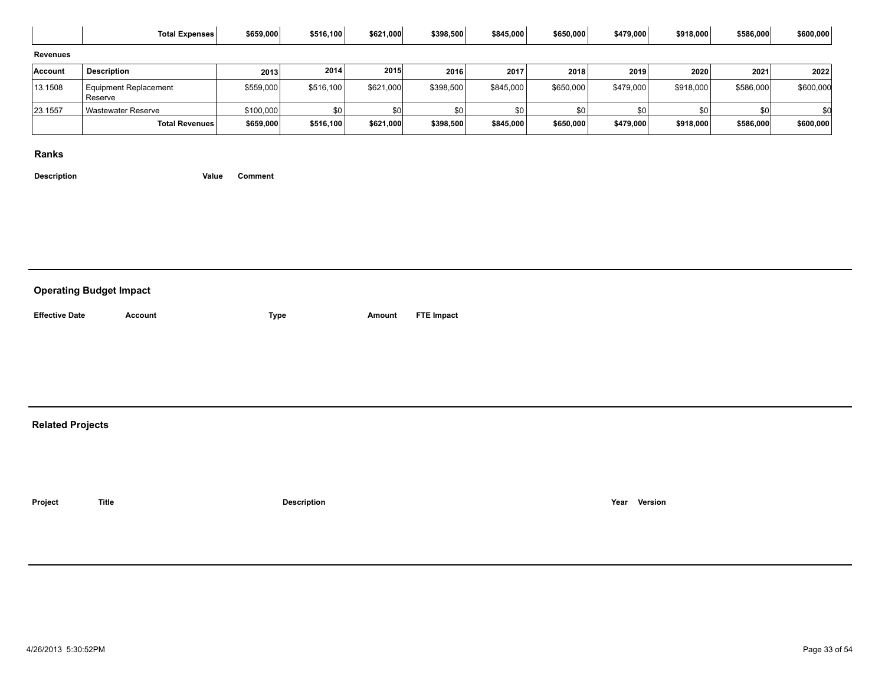|                 | <b>Total Expenses</b>            | \$659,000 | \$516,100 | \$621,000 | \$398,500 | \$845,000 | \$650,000 | \$479,000        | \$918,000 | \$586,000 | \$600,000 |
|-----------------|----------------------------------|-----------|-----------|-----------|-----------|-----------|-----------|------------------|-----------|-----------|-----------|
| <b>Revenues</b> |                                  |           |           |           |           |           |           |                  |           |           |           |
| Account         | <b>Description</b>               | 2013      | 2014      | 2015      | 2016      | 2017      | 2018      | 2019             | 2020      | 2021      | 2022      |
| 13.1508         | Equipment Replacement<br>Reserve | \$559,000 | \$516,100 | \$621,000 | \$398,500 | \$845,000 | \$650,000 | \$479,000        | \$918,000 | \$586,000 | \$600,000 |
| 23.1557         | Wastewater Reserve               | \$100,000 | \$0       |           | ፍበ        | \$0       | \$0       | \$0 <sub>1</sub> | <b>SO</b> | \$01      |           |
|                 | Total Revenues                   | \$659,000 | \$516,100 | \$621,000 | \$398,500 | \$845,000 | \$650,000 | \$479,000        | \$918,000 | \$586,000 | \$600,000 |

**Description Value Comment**

#### **Operating Budget Impact**

**Effective Date Account Type Amount FTE Impact**

#### **Related Projects**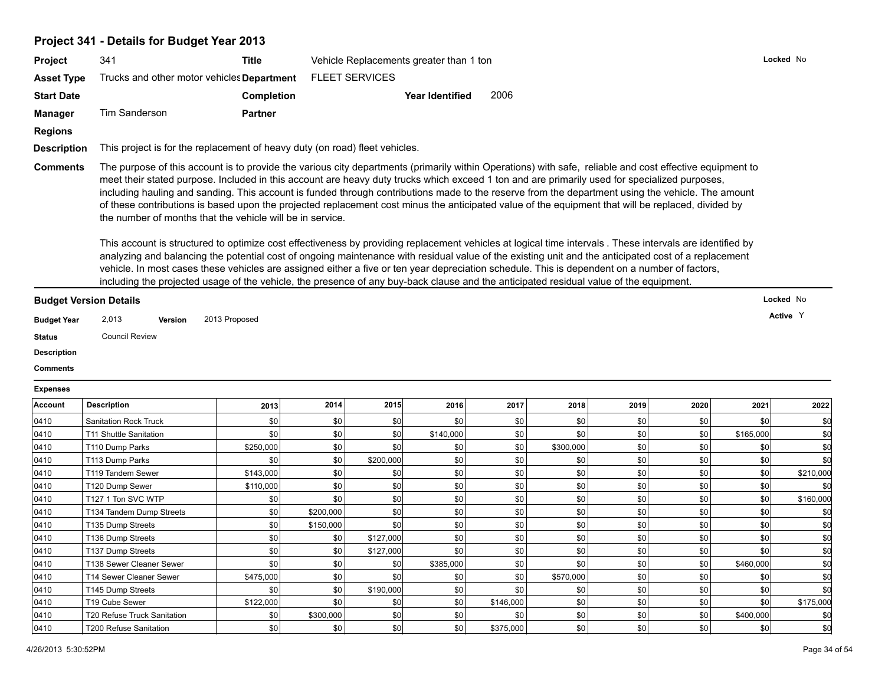#### **Project 341 - Details for Budget Year 2013**

| <b>Project</b>     | 341                                                                                                                                                      | Title                                                                       | Vehicle Replacements greater than 1 ton | Locked No |  |  |  |  |  |
|--------------------|----------------------------------------------------------------------------------------------------------------------------------------------------------|-----------------------------------------------------------------------------|-----------------------------------------|-----------|--|--|--|--|--|
| <b>Asset Type</b>  | Trucks and other motor vehicles <b>Department</b>                                                                                                        |                                                                             | <b>FLEET SERVICES</b>                   |           |  |  |  |  |  |
| <b>Start Date</b>  |                                                                                                                                                          | Completion                                                                  | 2006<br><b>Year Identified</b>          |           |  |  |  |  |  |
| <b>Manager</b>     | Tim Sanderson                                                                                                                                            | <b>Partner</b>                                                              |                                         |           |  |  |  |  |  |
| <b>Regions</b>     |                                                                                                                                                          |                                                                             |                                         |           |  |  |  |  |  |
| <b>Description</b> |                                                                                                                                                          | This project is for the replacement of heavy duty (on road) fleet vehicles. |                                         |           |  |  |  |  |  |
| <b>Comments</b>    | The purpose of this account is to provide the various city departments (primarily within Operations) with safe, reliable and cost effective equipment to |                                                                             |                                         |           |  |  |  |  |  |

meet their stated purpose. Included in this account are heavy duty trucks which exceed 1 ton and are primarily used for specialized purposes, including hauling and sanding. This account is funded through contributions made to the reserve from the department using the vehicle. The amount of these contributions is based upon the projected replacement cost minus the anticipated value of the equipment that will be replaced, divided by the number of months that the vehicle will be in service.

This account is structured to optimize cost effectiveness by providing replacement vehicles at logical time intervals . These intervals are identified by analyzing and balancing the potential cost of ongoing maintenance with residual value of the existing unit and the anticipated cost of a replacement vehicle. In most cases these vehicles are assigned either a five or ten year depreciation schedule. This is dependent on a number of factors, including the projected usage of the vehicle, the presence of any buy-back clause and the anticipated residual value of the equipment.

#### **Budget Version Details**

- **Budget Year Version Active** 2,013 2013 Proposed <sup>Y</sup>
- **Status** Council Review
- **Description**
- **Comments**

#### **Expenses**

| <b>Account</b> | <b>Description</b>           | 2013      | 2014      | 2015      | 2016      | 2017      | 2018      | 2019             | 2020             | 2021      | 2022      |
|----------------|------------------------------|-----------|-----------|-----------|-----------|-----------|-----------|------------------|------------------|-----------|-----------|
| 0410           | <b>Sanitation Rock Truck</b> | \$0       | \$0       | \$0       | \$0       | \$0       | \$0       | \$0              | \$0              | \$0       |           |
| 0410           | T11 Shuttle Sanitation       | \$0       | \$0       | \$0       | \$140,000 | \$0       | \$0       | \$0              | \$0              | \$165,000 |           |
| 0410           | T110 Dump Parks              | \$250,000 | \$0       | \$0       | \$0       | \$0       | \$300,000 | \$0              | \$0              | \$0       |           |
| 0410           | T113 Dump Parks              | \$0       | \$0       | \$200,000 | \$0       | \$0       | \$0       | \$0              | \$0              | \$0       |           |
| 0410           | T119 Tandem Sewer            | \$143,000 | \$0       | \$0       | \$0       | \$0       | \$0       | \$0              | \$0              | \$0       | \$210,000 |
| 0410           | T120 Dump Sewer              | \$110,000 | \$0       | \$0       | \$0       | \$0       | \$0       | \$0              | \$0              | \$0       |           |
| 0410           | T127 1 Ton SVC WTP           | \$0       | \$0       | \$0       | \$0       | \$0       | \$0       | \$0              | \$0              | \$0       | \$160,000 |
| 0410           | T134 Tandem Dump Streets     | \$0       | \$200,000 | \$0       | \$0       | \$0       | \$0       | \$0              | \$0              | \$0       |           |
| 0410           | T135 Dump Streets            | \$0       | \$150,000 | \$0       | \$0       | \$0       | \$0       | \$0              | \$0              | \$0       |           |
| 0410           | T136 Dump Streets            | \$0       | \$0       | \$127,000 | \$0       | \$0       | \$0       | \$0              | \$0              | \$0       |           |
| 0410           | T137 Dump Streets            | \$0       | \$0       | \$127,000 | \$0       | \$0       | \$0       | \$0              | \$0              | \$0       |           |
| 0410           | T138 Sewer Cleaner Sewer     | \$0       | \$0       | \$0       | \$385,000 | \$0       | \$0       | \$0              | \$0              | \$460,000 |           |
| 0410           | T14 Sewer Cleaner Sewer      | \$475,000 | \$0       | \$0       | \$0       | \$0       | \$570,000 | \$0              | \$0 <sub>1</sub> | \$0       |           |
| 0410           | T145 Dump Streets            | \$0       | \$0       | \$190,000 | \$0       | \$0       | \$0       | \$0              | <b>\$0</b>       | \$0       |           |
| 0410           | T19 Cube Sewer               | \$122,000 | \$0       | \$0       | \$0       | \$146,000 | \$0       | \$0              | \$0              | \$0       | \$175,000 |
| 0410           | T20 Refuse Truck Sanitation  | \$0       | \$300,000 | \$0       | \$0       | \$0       | \$0       | \$0              | \$0              | \$400,000 |           |
| 0410           | T200 Refuse Sanitation       | \$0       | \$0       | \$0       | \$0       | \$375,000 | \$0       | \$0 <sub>1</sub> | \$0              | \$0       |           |

**Locked** No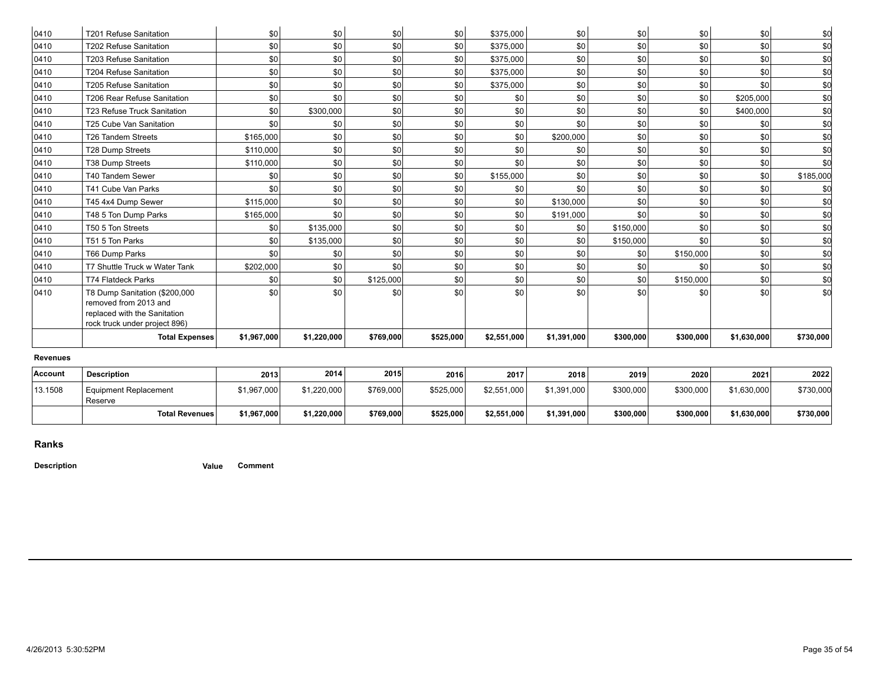| \$0<br>\$0<br>\$0 <br>\$0<br>\$0<br>\$0 <br>\$0<br>0410<br>\$0<br>\$375,000<br>T202 Refuse Sanitation<br>\$0 <br>\$0<br>\$0<br>\$0<br>\$0<br>\$0<br>\$0<br>\$0<br>0410<br>T203 Refuse Sanitation<br>\$375,000<br>\$0 <br>\$0<br>\$0<br>\$0<br>\$0 <br>\$0<br>\$0<br>\$0<br><b>T204 Refuse Sanitation</b><br>\$375,000<br>\$0 <br>\$0<br>\$0<br>\$0<br>\$0<br>\$0<br>\$0<br>\$0<br>T205 Refuse Sanitation<br>\$375,000<br>\$0 <br>\$0<br>\$0<br>\$0<br>\$0<br>\$0<br>\$0<br>\$0<br>\$205,000<br>T206 Rear Refuse Sanitation<br>\$0 <br>\$0<br>\$300,000<br>\$0<br>\$0<br>\$0<br><b>T23 Refuse Truck Sanitation</b><br>\$0<br>\$0<br>\$400,000<br>\$0 <br>\$0<br> \$0 <br>\$0<br>\$0<br>\$0<br>\$0<br>T25 Cube Van Sanitation<br>\$0<br>\$0<br>\$0 <br>\$0<br>\$200,000<br>\$0<br>\$0<br>\$0<br>\$165.000<br>\$0<br>\$0<br><b>T26 Tandem Streets</b><br>\$0 <br>\$0 <br>\$0<br>\$0<br>\$0<br>\$0<br>\$0<br><b>T28 Dump Streets</b><br>\$110,000<br>\$0<br>\$0 <br>\$0<br>\$0<br>\$0<br>\$0<br>\$0<br>\$0<br><b>T38 Dump Streets</b><br>\$110,000<br>\$0<br>\$0 <br>\$0<br>\$0<br>\$155,000<br>\$0<br>\$0<br>\$0<br>T40 Tandem Sewer<br>\$0<br>\$0<br>\$0 <br>\$0<br>\$0<br>\$0<br>\$0<br>T41 Cube Van Parks<br>\$0<br>\$0<br>\$0<br>\$0<br>\$0 <br>\$0<br>\$0 <br>\$0<br>\$0<br>\$0<br>\$0<br>T45 4x4 Dump Sewer<br>\$115,000<br>\$130,000<br>\$0 <br>\$0<br>\$0<br>\$0<br>\$0<br>\$0<br>\$0<br>T48 5 Ton Dump Parks<br>\$165,000<br>\$191,000<br>\$0 <br>\$0<br>\$0 <br>\$0<br>T50 5 Ton Streets<br>\$135,000<br>\$0<br>\$0 <br>\$150,000<br>\$0<br>\$0 <br>\$0<br>\$0<br>\$0<br>T51 5 Ton Parks<br>\$0<br>\$0<br>\$0<br>\$135,000<br>\$150,000<br>\$0 <br>\$0<br>\$0<br>\$0<br>\$0<br>\$0 <br>\$150,000<br>T66 Dump Parks<br>\$0<br>\$0<br>\$0 <br>\$0<br>\$0<br>\$202,000<br>\$0<br>\$0<br>\$0<br>T7 Shuttle Truck w Water Tank<br>\$0<br>\$0<br>\$0 <br>\$0<br>\$0<br>\$0<br>\$0<br>\$150,000<br>\$0<br><b>T74 Flatdeck Parks</b><br>\$0<br>\$125,000<br>\$0 <br>\$0<br>\$0<br>\$0<br>\$0<br>\$0<br>\$0<br>T8 Dump Sanitation (\$200,000<br>\$0<br>\$0<br>removed from 2013 and<br>replaced with the Sanitation<br>rock truck under project 896)<br><b>Total Expenses</b><br>\$1,967,000<br>\$1,220,000<br>\$769,000<br>\$525,000<br>\$2,551,000<br>\$1,391,000<br>\$300,000<br>\$300,000<br>\$1,630,000 | 0410 | T201 Refuse Sanitation | \$0 | \$0 | \$0 | \$0 | \$375.000 | \$0 | \$0 | \$0 | \$0 | \$C |
|------------------------------------------------------------------------------------------------------------------------------------------------------------------------------------------------------------------------------------------------------------------------------------------------------------------------------------------------------------------------------------------------------------------------------------------------------------------------------------------------------------------------------------------------------------------------------------------------------------------------------------------------------------------------------------------------------------------------------------------------------------------------------------------------------------------------------------------------------------------------------------------------------------------------------------------------------------------------------------------------------------------------------------------------------------------------------------------------------------------------------------------------------------------------------------------------------------------------------------------------------------------------------------------------------------------------------------------------------------------------------------------------------------------------------------------------------------------------------------------------------------------------------------------------------------------------------------------------------------------------------------------------------------------------------------------------------------------------------------------------------------------------------------------------------------------------------------------------------------------------------------------------------------------------------------------------------------------------------------------------------------------------------------------------------------------------------------------------------------------------------------------------------------------------------------------------------------------------------------------------------------------------------------------------------------|------|------------------------|-----|-----|-----|-----|-----------|-----|-----|-----|-----|-----|
| \$C<br>\$f                                                                                                                                                                                                                                                                                                                                                                                                                                                                                                                                                                                                                                                                                                                                                                                                                                                                                                                                                                                                                                                                                                                                                                                                                                                                                                                                                                                                                                                                                                                                                                                                                                                                                                                                                                                                                                                                                                                                                                                                                                                                                                                                                                                                                                                                                                 |      |                        |     |     |     |     |           |     |     |     |     | \$C |
| \$C<br>\$C<br>\$0<br>\$C<br>\$0<br>\$C<br>\$0<br>\$185,000<br>\$0<br>\$C<br>\$0<br>\$C<br>\$0<br>\$C<br>\$0<br>\$0                                                                                                                                                                                                                                                                                                                                                                                                                                                                                                                                                                                                                                                                                                                                                                                                                                                                                                                                                                                                                                                                                                                                                                                                                                                                                                                                                                                                                                                                                                                                                                                                                                                                                                                                                                                                                                                                                                                                                                                                                                                                                                                                                                                         |      |                        |     |     |     |     |           |     |     |     |     |     |
| 0410<br>0410<br>0410<br>0410<br>0410<br>0410<br>0410<br>0410<br>0410<br>0410<br>0410<br>0410<br>0410<br>0410<br>0410<br>0410<br>0410                                                                                                                                                                                                                                                                                                                                                                                                                                                                                                                                                                                                                                                                                                                                                                                                                                                                                                                                                                                                                                                                                                                                                                                                                                                                                                                                                                                                                                                                                                                                                                                                                                                                                                                                                                                                                                                                                                                                                                                                                                                                                                                                                                       | 0410 |                        |     |     |     |     |           |     |     |     |     |     |
|                                                                                                                                                                                                                                                                                                                                                                                                                                                                                                                                                                                                                                                                                                                                                                                                                                                                                                                                                                                                                                                                                                                                                                                                                                                                                                                                                                                                                                                                                                                                                                                                                                                                                                                                                                                                                                                                                                                                                                                                                                                                                                                                                                                                                                                                                                            |      |                        |     |     |     |     |           |     |     |     |     |     |
|                                                                                                                                                                                                                                                                                                                                                                                                                                                                                                                                                                                                                                                                                                                                                                                                                                                                                                                                                                                                                                                                                                                                                                                                                                                                                                                                                                                                                                                                                                                                                                                                                                                                                                                                                                                                                                                                                                                                                                                                                                                                                                                                                                                                                                                                                                            |      |                        |     |     |     |     |           |     |     |     |     |     |
|                                                                                                                                                                                                                                                                                                                                                                                                                                                                                                                                                                                                                                                                                                                                                                                                                                                                                                                                                                                                                                                                                                                                                                                                                                                                                                                                                                                                                                                                                                                                                                                                                                                                                                                                                                                                                                                                                                                                                                                                                                                                                                                                                                                                                                                                                                            |      |                        |     |     |     |     |           |     |     |     |     |     |
|                                                                                                                                                                                                                                                                                                                                                                                                                                                                                                                                                                                                                                                                                                                                                                                                                                                                                                                                                                                                                                                                                                                                                                                                                                                                                                                                                                                                                                                                                                                                                                                                                                                                                                                                                                                                                                                                                                                                                                                                                                                                                                                                                                                                                                                                                                            |      |                        |     |     |     |     |           |     |     |     |     |     |
|                                                                                                                                                                                                                                                                                                                                                                                                                                                                                                                                                                                                                                                                                                                                                                                                                                                                                                                                                                                                                                                                                                                                                                                                                                                                                                                                                                                                                                                                                                                                                                                                                                                                                                                                                                                                                                                                                                                                                                                                                                                                                                                                                                                                                                                                                                            |      |                        |     |     |     |     |           |     |     |     |     |     |
|                                                                                                                                                                                                                                                                                                                                                                                                                                                                                                                                                                                                                                                                                                                                                                                                                                                                                                                                                                                                                                                                                                                                                                                                                                                                                                                                                                                                                                                                                                                                                                                                                                                                                                                                                                                                                                                                                                                                                                                                                                                                                                                                                                                                                                                                                                            |      |                        |     |     |     |     |           |     |     |     |     |     |
|                                                                                                                                                                                                                                                                                                                                                                                                                                                                                                                                                                                                                                                                                                                                                                                                                                                                                                                                                                                                                                                                                                                                                                                                                                                                                                                                                                                                                                                                                                                                                                                                                                                                                                                                                                                                                                                                                                                                                                                                                                                                                                                                                                                                                                                                                                            |      |                        |     |     |     |     |           |     |     |     |     |     |
|                                                                                                                                                                                                                                                                                                                                                                                                                                                                                                                                                                                                                                                                                                                                                                                                                                                                                                                                                                                                                                                                                                                                                                                                                                                                                                                                                                                                                                                                                                                                                                                                                                                                                                                                                                                                                                                                                                                                                                                                                                                                                                                                                                                                                                                                                                            |      |                        |     |     |     |     |           |     |     |     |     |     |
|                                                                                                                                                                                                                                                                                                                                                                                                                                                                                                                                                                                                                                                                                                                                                                                                                                                                                                                                                                                                                                                                                                                                                                                                                                                                                                                                                                                                                                                                                                                                                                                                                                                                                                                                                                                                                                                                                                                                                                                                                                                                                                                                                                                                                                                                                                            |      |                        |     |     |     |     |           |     |     |     |     |     |
|                                                                                                                                                                                                                                                                                                                                                                                                                                                                                                                                                                                                                                                                                                                                                                                                                                                                                                                                                                                                                                                                                                                                                                                                                                                                                                                                                                                                                                                                                                                                                                                                                                                                                                                                                                                                                                                                                                                                                                                                                                                                                                                                                                                                                                                                                                            |      |                        |     |     |     |     |           |     |     |     |     |     |
|                                                                                                                                                                                                                                                                                                                                                                                                                                                                                                                                                                                                                                                                                                                                                                                                                                                                                                                                                                                                                                                                                                                                                                                                                                                                                                                                                                                                                                                                                                                                                                                                                                                                                                                                                                                                                                                                                                                                                                                                                                                                                                                                                                                                                                                                                                            |      |                        |     |     |     |     |           |     |     |     |     |     |
|                                                                                                                                                                                                                                                                                                                                                                                                                                                                                                                                                                                                                                                                                                                                                                                                                                                                                                                                                                                                                                                                                                                                                                                                                                                                                                                                                                                                                                                                                                                                                                                                                                                                                                                                                                                                                                                                                                                                                                                                                                                                                                                                                                                                                                                                                                            |      |                        |     |     |     |     |           |     |     |     |     |     |
|                                                                                                                                                                                                                                                                                                                                                                                                                                                                                                                                                                                                                                                                                                                                                                                                                                                                                                                                                                                                                                                                                                                                                                                                                                                                                                                                                                                                                                                                                                                                                                                                                                                                                                                                                                                                                                                                                                                                                                                                                                                                                                                                                                                                                                                                                                            |      |                        |     |     |     |     |           |     |     |     |     |     |
|                                                                                                                                                                                                                                                                                                                                                                                                                                                                                                                                                                                                                                                                                                                                                                                                                                                                                                                                                                                                                                                                                                                                                                                                                                                                                                                                                                                                                                                                                                                                                                                                                                                                                                                                                                                                                                                                                                                                                                                                                                                                                                                                                                                                                                                                                                            |      |                        |     |     |     |     |           |     |     |     |     |     |
|                                                                                                                                                                                                                                                                                                                                                                                                                                                                                                                                                                                                                                                                                                                                                                                                                                                                                                                                                                                                                                                                                                                                                                                                                                                                                                                                                                                                                                                                                                                                                                                                                                                                                                                                                                                                                                                                                                                                                                                                                                                                                                                                                                                                                                                                                                            |      |                        |     |     |     |     |           |     |     |     |     |     |
|                                                                                                                                                                                                                                                                                                                                                                                                                                                                                                                                                                                                                                                                                                                                                                                                                                                                                                                                                                                                                                                                                                                                                                                                                                                                                                                                                                                                                                                                                                                                                                                                                                                                                                                                                                                                                                                                                                                                                                                                                                                                                                                                                                                                                                                                                                            |      |                        |     |     |     |     |           |     |     |     |     |     |
| \$730,000                                                                                                                                                                                                                                                                                                                                                                                                                                                                                                                                                                                                                                                                                                                                                                                                                                                                                                                                                                                                                                                                                                                                                                                                                                                                                                                                                                                                                                                                                                                                                                                                                                                                                                                                                                                                                                                                                                                                                                                                                                                                                                                                                                                                                                                                                                  |      |                        |     |     |     |     |           |     |     |     |     |     |
|                                                                                                                                                                                                                                                                                                                                                                                                                                                                                                                                                                                                                                                                                                                                                                                                                                                                                                                                                                                                                                                                                                                                                                                                                                                                                                                                                                                                                                                                                                                                                                                                                                                                                                                                                                                                                                                                                                                                                                                                                                                                                                                                                                                                                                                                                                            |      |                        |     |     |     |     |           |     |     |     |     |     |

#### **Revenues**

| Account | <b>Description</b>               | 2013        | 2014        | 2015      | 2016      | 2017        | 2018        | 2019      | 2020      | 2021        | 2022      |
|---------|----------------------------------|-------------|-------------|-----------|-----------|-------------|-------------|-----------|-----------|-------------|-----------|
| 13.1508 | Equipment Replacement<br>Reserve | \$1,967,000 | \$1,220,000 | \$769,000 | \$525,000 | \$2,551,000 | \$1,391,000 | \$300,000 | \$300,000 | \$1,630,000 | \$730,000 |
|         | <b>Total Revenues</b>            | \$1,967,000 | \$1,220,000 | \$769,000 | \$525,000 | \$2,551,000 | \$1,391,000 | \$300,000 | \$300,000 | \$1,630,000 | \$730,000 |

#### **Ranks**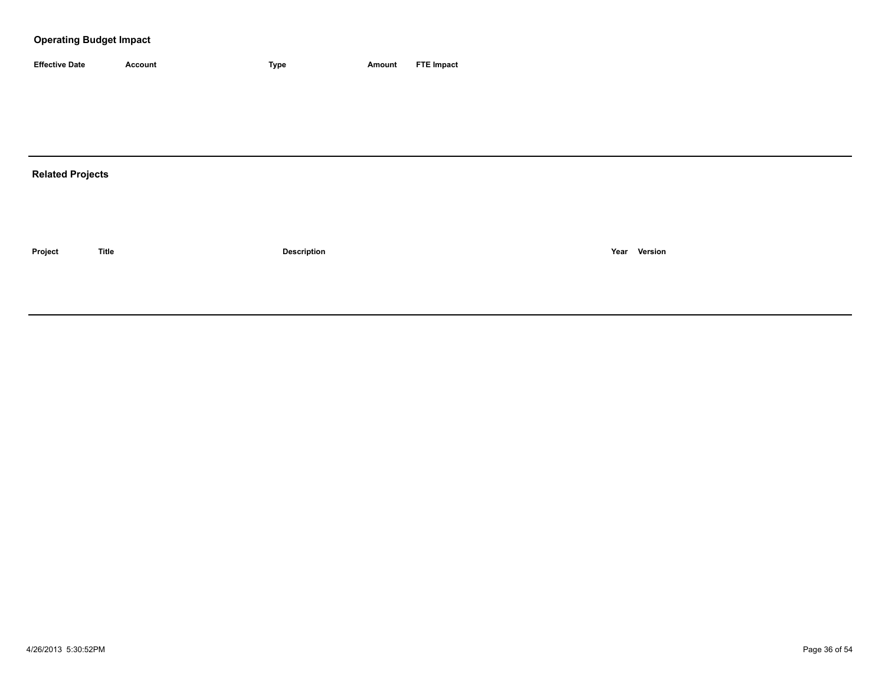| <b>Effective Date</b> | Account | 'vpe | Amount | <b>FTE Impact</b> |
|-----------------------|---------|------|--------|-------------------|

# **Related Projects**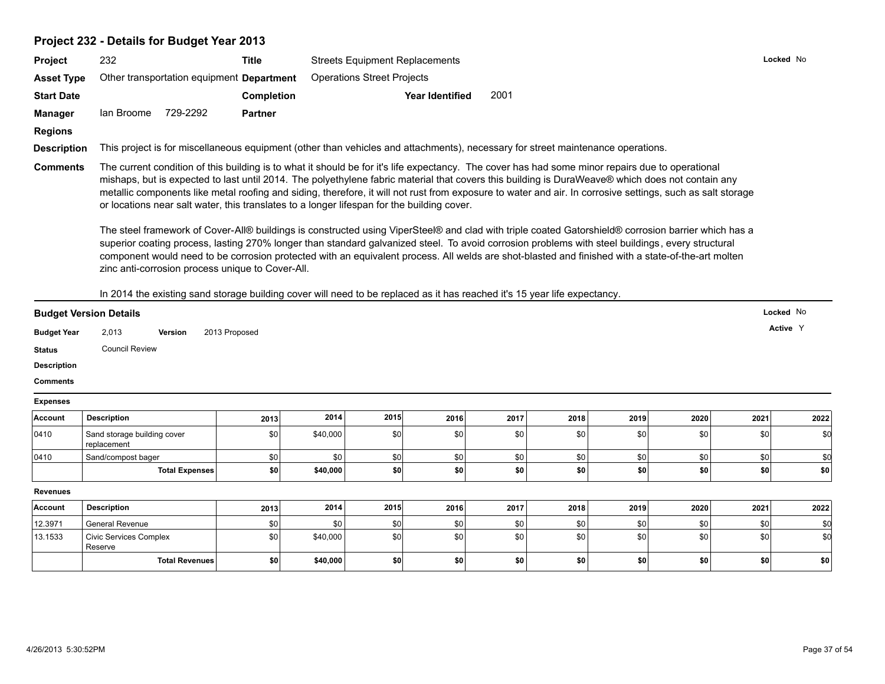#### **Project 232 - Details for Budget Year 2013**

| <b>Project</b>     | 232        |                                                  | Title          | <b>Streets Equipment Replacements</b>                                                                                                                                                                                                                                                                | Lo( |
|--------------------|------------|--------------------------------------------------|----------------|------------------------------------------------------------------------------------------------------------------------------------------------------------------------------------------------------------------------------------------------------------------------------------------------------|-----|
| <b>Asset Type</b>  |            | Other transportation equipment <b>Department</b> |                | <b>Operations Street Projects</b>                                                                                                                                                                                                                                                                    |     |
| <b>Start Date</b>  |            |                                                  | Completion     | 2001<br>Year Identified                                                                                                                                                                                                                                                                              |     |
| <b>Manager</b>     | lan Broome | 729-2292                                         | <b>Partner</b> |                                                                                                                                                                                                                                                                                                      |     |
| <b>Regions</b>     |            |                                                  |                |                                                                                                                                                                                                                                                                                                      |     |
| <b>Description</b> |            |                                                  |                | This project is for miscellaneous equipment (other than vehicles and attachments), necessary for street maintenance operations.                                                                                                                                                                      |     |
| <b>Comments</b>    |            |                                                  |                | The current condition of this building is to what it should be for it's life expectancy. The cover has had some minor repairs due to operational<br>mishane but is expected to lest until 2014. The polyothylope fobrio meterial that equase this building is DuralMegya® which does not contain any |     |

mishaps, but is expected to last until 2014. The polyethylene fabric material that covers this building is DuraWeave® which does not contain any metallic components like metal roofing and siding, therefore, it will not rust from exposure to water and air. In corrosive settings, such as salt storage or locations near salt water, this translates to a longer lifespan for the building cover.

The steel framework of Cover-All® buildings is constructed using ViperSteel® and clad with triple coated Gatorshield® corrosion barrier which has a superior coating process, lasting 270% longer than standard galvanized steel. To avoid corrosion problems with steel buildings, every structural component would need to be corrosion protected with an equivalent process. All welds are shot-blasted and finished with a state-of-the-art molten zinc anti-corrosion process unique to Cover-All.

In 2014 the existing sand storage building cover will need to be replaced as it has reached it's 15 year life expectancy.

| <b>Budget Version Details</b> |                       |         |               |  | Locked No |
|-------------------------------|-----------------------|---------|---------------|--|-----------|
| <b>Budget Year</b>            | 2,013                 | Version | 2013 Proposed |  | Active Y  |
| <b>Status</b>                 | <b>Council Review</b> |         |               |  |           |

**Description**

**Comments**

#### **Expenses**

| Account         | <b>Description</b>                         | 2013 | 2014     | 2015 | 2016 | 2017 | 2018 | 2019             | 2020 | 2021             | 2022 |
|-----------------|--------------------------------------------|------|----------|------|------|------|------|------------------|------|------------------|------|
| 0410            | Sand storage building cover<br>replacement | \$0  | \$40,000 | \$0  | \$0  | \$0  | \$0  | \$0              | \$0  | \$0              | \$0  |
| 0410            | Sand/compost bager                         | \$0  | \$0      | \$0  | \$0  | \$0  | \$0  | \$0              | \$0  | \$0              |      |
|                 | <b>Total Expenses</b>                      | \$0  | \$40,000 | \$0  | \$0  | \$0  | \$0  | \$0              | \$0  | \$0              | \$0  |
|                 |                                            |      |          |      |      |      |      |                  |      |                  |      |
| <b>Revenues</b> |                                            |      |          |      |      |      |      |                  |      |                  |      |
| Account         | <b>Description</b>                         | 2013 | 2014     | 2015 | 2016 | 2017 | 2018 | 2019             | 2020 | 2021             | 2022 |
| 12.3971         | General Revenue                            | \$0  | \$0      | \$0  | \$0  | \$0  | \$0  | \$0              | \$0  | \$0              |      |
| 13.1533         | <b>Civic Services Complex</b><br>Reserve   | \$0  | \$40,000 | \$0  | \$0  | \$0  | \$0  | \$0 <sub>1</sub> | \$0  | \$0 <sub>1</sub> | \$0  |

**Locked** No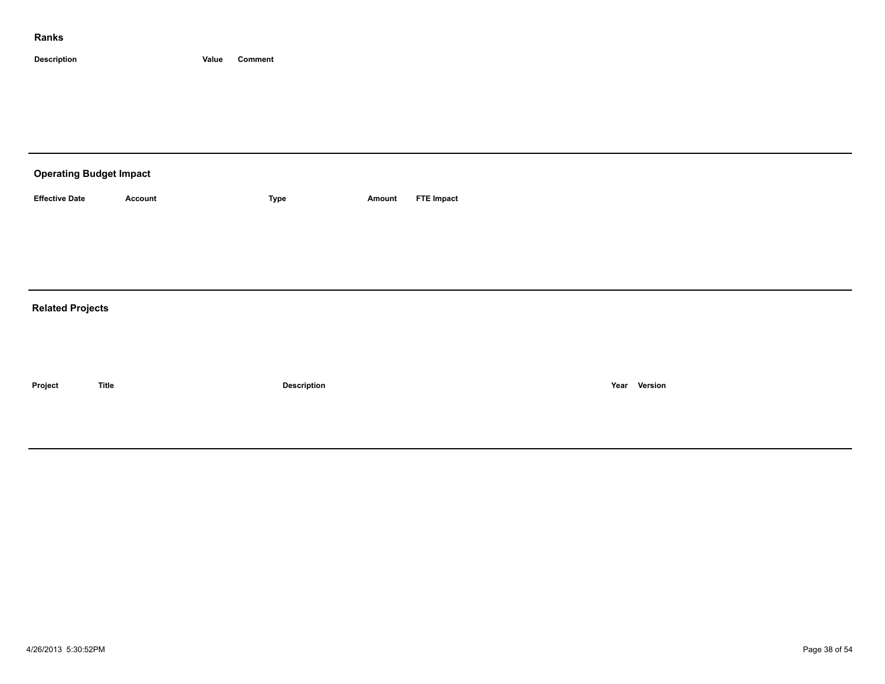| <b>Operating Budget Impact</b> |                |             |        |                   |  |  |  |  |  |  |
|--------------------------------|----------------|-------------|--------|-------------------|--|--|--|--|--|--|
| <b>Effective Date</b>          | <b>Account</b> | Type        | Amount | <b>FTE Impact</b> |  |  |  |  |  |  |
|                                |                |             |        |                   |  |  |  |  |  |  |
|                                |                |             |        |                   |  |  |  |  |  |  |
|                                |                |             |        |                   |  |  |  |  |  |  |
| <b>Related Projects</b>        |                |             |        |                   |  |  |  |  |  |  |
|                                |                |             |        |                   |  |  |  |  |  |  |
|                                |                |             |        |                   |  |  |  |  |  |  |
| Project                        | <b>Title</b>   | Description |        | Year Version      |  |  |  |  |  |  |
|                                |                |             |        |                   |  |  |  |  |  |  |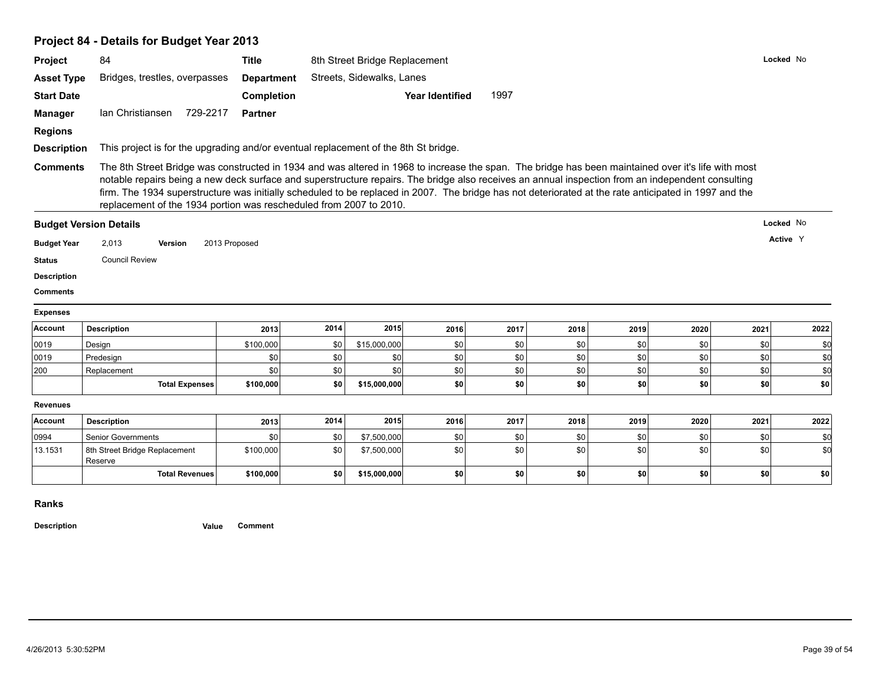# **Project 84 - Details for Budget Year 2013**

|                                                                                      | 84                                                                                                                                                                                                                                                                                                                                                                                                                                                                                                                                      | <b>Title</b>      |      | 8th Street Bridge Replacement                                                       |                        |      |      |      |      |      | Locked No |
|--------------------------------------------------------------------------------------|-----------------------------------------------------------------------------------------------------------------------------------------------------------------------------------------------------------------------------------------------------------------------------------------------------------------------------------------------------------------------------------------------------------------------------------------------------------------------------------------------------------------------------------------|-------------------|------|-------------------------------------------------------------------------------------|------------------------|------|------|------|------|------|-----------|
| <b>Asset Type</b>                                                                    | Bridges, trestles, overpasses                                                                                                                                                                                                                                                                                                                                                                                                                                                                                                           | <b>Department</b> |      | Streets, Sidewalks, Lanes                                                           |                        |      |      |      |      |      |           |
| <b>Start Date</b>                                                                    |                                                                                                                                                                                                                                                                                                                                                                                                                                                                                                                                         | Completion        |      |                                                                                     | <b>Year Identified</b> | 1997 |      |      |      |      |           |
| <b>Manager</b>                                                                       | 729-2217<br>Ian Christiansen                                                                                                                                                                                                                                                                                                                                                                                                                                                                                                            | <b>Partner</b>    |      |                                                                                     |                        |      |      |      |      |      |           |
| <b>Regions</b>                                                                       |                                                                                                                                                                                                                                                                                                                                                                                                                                                                                                                                         |                   |      |                                                                                     |                        |      |      |      |      |      |           |
| <b>Description</b>                                                                   |                                                                                                                                                                                                                                                                                                                                                                                                                                                                                                                                         |                   |      | This project is for the upgrading and/or eventual replacement of the 8th St bridge. |                        |      |      |      |      |      |           |
| <b>Comments</b>                                                                      | The 8th Street Bridge was constructed in 1934 and was altered in 1968 to increase the span. The bridge has been maintained over it's life with most<br>notable repairs being a new deck surface and superstructure repairs. The bridge also receives an annual inspection from an independent consulting<br>firm. The 1934 superstructure was initially scheduled to be replaced in 2007. The bridge has not deteriorated at the rate anticipated in 1997 and the<br>replacement of the 1934 portion was rescheduled from 2007 to 2010. |                   |      |                                                                                     |                        |      |      |      |      |      |           |
|                                                                                      | <b>Budget Version Details</b>                                                                                                                                                                                                                                                                                                                                                                                                                                                                                                           |                   |      |                                                                                     |                        |      |      |      |      |      | Locked No |
| <b>Budget Year</b>                                                                   | 2,013<br>Version                                                                                                                                                                                                                                                                                                                                                                                                                                                                                                                        | 2013 Proposed     |      |                                                                                     |                        |      |      |      |      |      | Active Y  |
|                                                                                      |                                                                                                                                                                                                                                                                                                                                                                                                                                                                                                                                         |                   |      |                                                                                     |                        |      |      |      |      |      |           |
|                                                                                      | <b>Council Review</b>                                                                                                                                                                                                                                                                                                                                                                                                                                                                                                                   |                   |      |                                                                                     |                        |      |      |      |      |      |           |
|                                                                                      |                                                                                                                                                                                                                                                                                                                                                                                                                                                                                                                                         |                   |      |                                                                                     |                        |      |      |      |      |      |           |
|                                                                                      |                                                                                                                                                                                                                                                                                                                                                                                                                                                                                                                                         |                   |      |                                                                                     |                        |      |      |      |      |      |           |
|                                                                                      |                                                                                                                                                                                                                                                                                                                                                                                                                                                                                                                                         |                   |      |                                                                                     |                        |      |      |      |      |      |           |
| <b>Status</b><br><b>Description</b><br><b>Comments</b><br><b>Expenses</b><br>Account | <b>Description</b>                                                                                                                                                                                                                                                                                                                                                                                                                                                                                                                      | 2013              | 2014 | 2015                                                                                | 2016                   | 2017 | 2018 | 2019 | 2020 | 2021 | 2022      |
|                                                                                      | Design                                                                                                                                                                                                                                                                                                                                                                                                                                                                                                                                  | \$100,000         | \$0  | \$15,000,000                                                                        | \$0                    | \$0  | \$0  | \$0  | \$0  | \$0  | \$d       |
| 0019<br>0019                                                                         | Predesign                                                                                                                                                                                                                                                                                                                                                                                                                                                                                                                               | \$0               | \$0  | \$0                                                                                 | \$0                    | \$0  | \$0  | \$0  | \$0  | \$0  | \$d       |
|                                                                                      | Replacement                                                                                                                                                                                                                                                                                                                                                                                                                                                                                                                             | \$0               | \$0  | \$0                                                                                 | \$0                    | \$0  | \$0  | \$0  | \$0  | \$0  | \$d       |
| 200                                                                                  | <b>Total Expenses</b>                                                                                                                                                                                                                                                                                                                                                                                                                                                                                                                   | \$100,000         | \$0  | \$15,000,000                                                                        | \$0                    | \$0  | \$0  | \$0  | \$0  | \$0  | \$0       |
| <b>Revenues</b>                                                                      |                                                                                                                                                                                                                                                                                                                                                                                                                                                                                                                                         |                   |      |                                                                                     |                        |      |      |      |      |      |           |
| <b>Account</b>                                                                       | <b>Description</b>                                                                                                                                                                                                                                                                                                                                                                                                                                                                                                                      | 2013              | 2014 | 2015                                                                                | 2016                   | 2017 | 2018 | 2019 | 2020 | 2021 | 2022      |
| 0994                                                                                 | <b>Senior Governments</b>                                                                                                                                                                                                                                                                                                                                                                                                                                                                                                               | \$0               | \$0  | \$7,500,000                                                                         | \$0                    | \$0  | \$0  | \$0  | \$0  | \$0  | \$0       |
| 13.1531                                                                              | 8th Street Bridge Replacement<br>Reserve                                                                                                                                                                                                                                                                                                                                                                                                                                                                                                | \$100,000         | \$0  | \$7,500,000                                                                         | \$0                    | \$0  | \$0  | \$0  | \$0  | \$0  | \$d       |

**Ranks**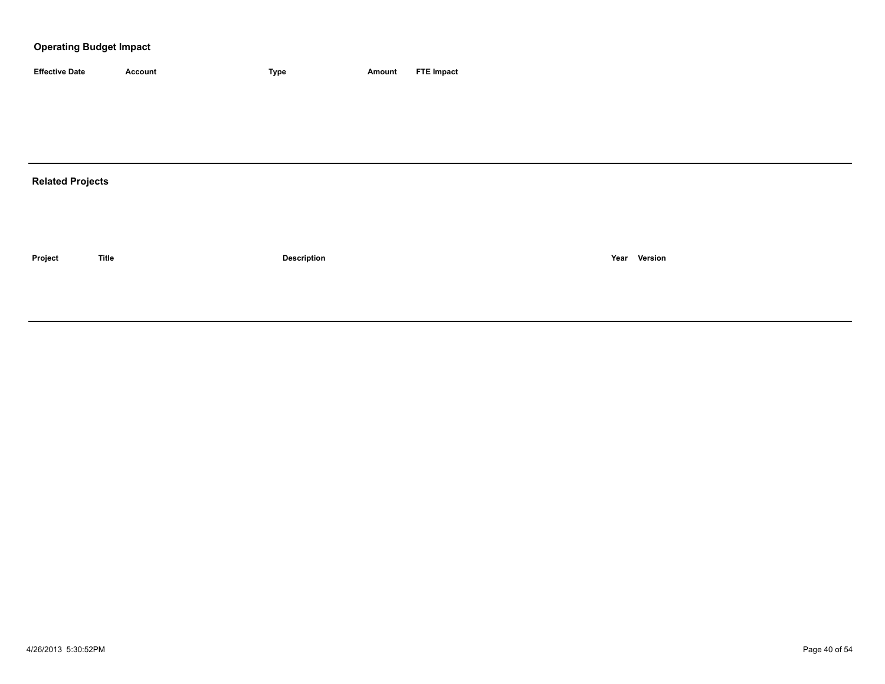| <b>Effective Date</b>   | <b>Account</b> | <b>Type</b>        | <b>Amount</b> | <b>FTE Impact</b> |
|-------------------------|----------------|--------------------|---------------|-------------------|
|                         |                |                    |               |                   |
|                         |                |                    |               |                   |
|                         |                |                    |               |                   |
|                         |                |                    |               |                   |
| <b>Related Projects</b> |                |                    |               |                   |
|                         |                |                    |               |                   |
|                         |                |                    |               |                   |
|                         |                |                    |               |                   |
| Project                 | <b>Title</b>   | <b>Description</b> |               | Year Version      |
|                         |                |                    |               |                   |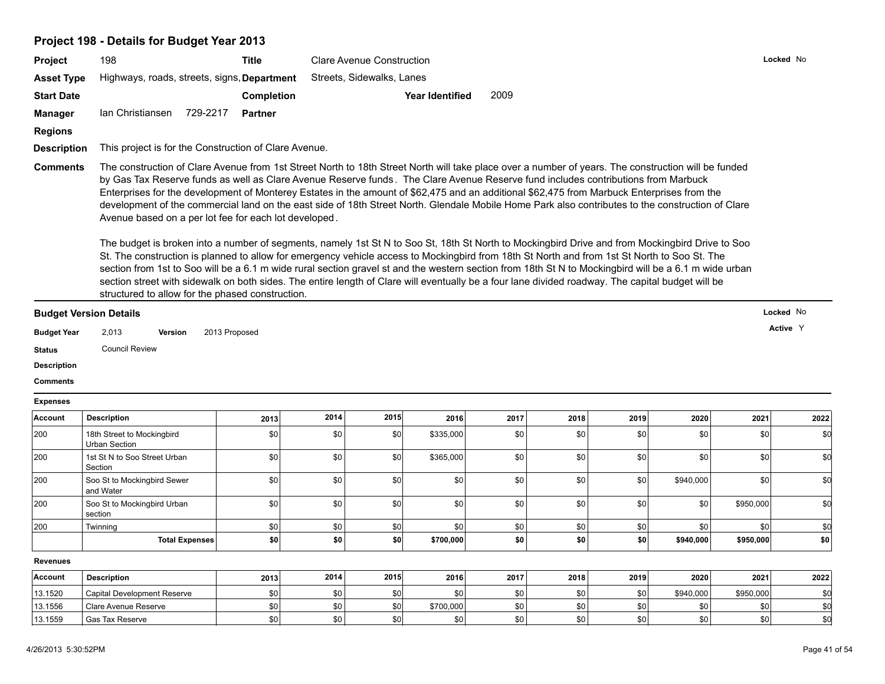#### **Project 198 - Details for Budget Year 2013**

| <b>Project</b>     | 198                                                   | Title                                                                                                                                                                                                                                                                                                                                                                                                                                                                                                                                                                                       | <b>Clare Avenue Construction</b> | Locked N |  |  |  |  |  |  |
|--------------------|-------------------------------------------------------|---------------------------------------------------------------------------------------------------------------------------------------------------------------------------------------------------------------------------------------------------------------------------------------------------------------------------------------------------------------------------------------------------------------------------------------------------------------------------------------------------------------------------------------------------------------------------------------------|----------------------------------|----------|--|--|--|--|--|--|
| <b>Asset Type</b>  | Highways, roads, streets, signs, <b>Department</b>    |                                                                                                                                                                                                                                                                                                                                                                                                                                                                                                                                                                                             | Streets, Sidewalks, Lanes        |          |  |  |  |  |  |  |
| <b>Start Date</b>  |                                                       | <b>Completion</b>                                                                                                                                                                                                                                                                                                                                                                                                                                                                                                                                                                           | 2009<br>Year Identified          |          |  |  |  |  |  |  |
| <b>Manager</b>     | Ian Christiansen<br>729-2217                          | <b>Partner</b>                                                                                                                                                                                                                                                                                                                                                                                                                                                                                                                                                                              |                                  |          |  |  |  |  |  |  |
| <b>Regions</b>     |                                                       |                                                                                                                                                                                                                                                                                                                                                                                                                                                                                                                                                                                             |                                  |          |  |  |  |  |  |  |
| <b>Description</b> | This project is for the Construction of Clare Avenue. |                                                                                                                                                                                                                                                                                                                                                                                                                                                                                                                                                                                             |                                  |          |  |  |  |  |  |  |
| <b>Comments</b>    |                                                       | The construction of Clare Avenue from 1st Street North to 18th Street North will take place over a number of years. The construction will be funded<br>by Gas Tax Reserve funds as well as Clare Avenue Reserve funds. The Clare Avenue Reserve fund includes contributions from Marbuck<br>Enterprises for the development of Monterey Estates in the amount of \$62,475 and an additional \$62,475 from Marbuck Enterprises from the<br>development of the commercial land on the east side of 18th Street North. Glendale Mobile Home Park also contributes to the construction of Clare |                                  |          |  |  |  |  |  |  |

Avenue based on a per lot fee for each lot developed.

The budget is broken into a number of segments, namely 1st St N to Soo St, 18th St North to Mockingbird Drive and from Mockingbird Drive to Soo St. The construction is planned to allow for emergency vehicle access to Mockingbird from 18th St North and from 1st St North to Soo St. The section from 1st to Soo will be a 6.1 m wide rural section gravel st and the western section from 18th St N to Mockingbird will be a 6.1 m wide urban section street with sidewalk on both sides. The entire length of Clare will eventually be a four lane divided roadway. The capital budget will be structured to allow for the phased construction.

| <b>Budget Version Details</b> |                       |         |               | Locked No |
|-------------------------------|-----------------------|---------|---------------|-----------|
| <b>Budget Year</b>            | 2,013                 | Version | 2013 Proposed | Active Y  |
| <b>Status</b>                 | <b>Council Review</b> |         |               |           |

**Description**

**Comments**

**Expenses**

| Account         | <b>Description</b>                          | 2013 | 2014 | 2015 | 2016      | 2017             | 2018 | 2019 | 2020      | 2021      | 2022 |
|-----------------|---------------------------------------------|------|------|------|-----------|------------------|------|------|-----------|-----------|------|
| 200             | 18th Street to Mockingbird<br>Urban Section | \$0  | \$0  | \$0  | \$335,000 | \$0              | \$0  | \$0  | \$0       | \$0       | \$0  |
| 200             | 1st St N to Soo Street Urban<br>Section     | \$0  | \$0  | \$0  | \$365,000 | \$0              | \$0  | \$0  | \$0       | \$0       | \$0  |
| 200             | Soo St to Mockingbird Sewer<br>and Water    | \$0  | \$0  | \$0  | \$0       | \$0              | \$0  | \$0  | \$940,000 | \$0       | \$0  |
| 200             | Soo St to Mockingbird Urban<br>section      | \$0  | \$0  | \$0  | \$0       | \$0 <sub>1</sub> | \$0  | \$0  | \$0       | \$950,000 | \$d  |
| 200             | Twinning                                    | \$0  | \$0  | \$0  | \$0       | \$0              | \$0  | \$0  | \$0       | \$0       | \$0  |
|                 | Total Expenses                              | \$0  | \$0  | \$0  | \$700,000 | \$0              | \$0  | \$0  | \$940,000 | \$950,000 | \$0  |
| <b>Revenues</b> |                                             |      |      |      |           |                  |      |      |           |           |      |
| Account         | <b>Description</b>                          | 2013 | 2014 | 2015 | 2016      | 2017             | 2018 | 2019 | 2020      | 2021      | 2022 |
| 13.1520         | Capital Development Reserve                 | \$0  | \$0  | \$0  | \$0       | \$0              | \$0  | \$0  | \$940,000 | \$950,000 | \$C  |
| 13.1556         | Clare Avenue Reserve                        | \$0  | \$0  | \$0  | \$700,000 | \$0              | \$0  | \$0  | \$0       | \$0       | \$   |
| 13.1559         | <b>Gas Tax Reserve</b>                      | \$0  | \$0  | \$0  | \$0       | \$0              | \$0  | \$0  | \$0       | \$0       | \$0  |

**Locked** No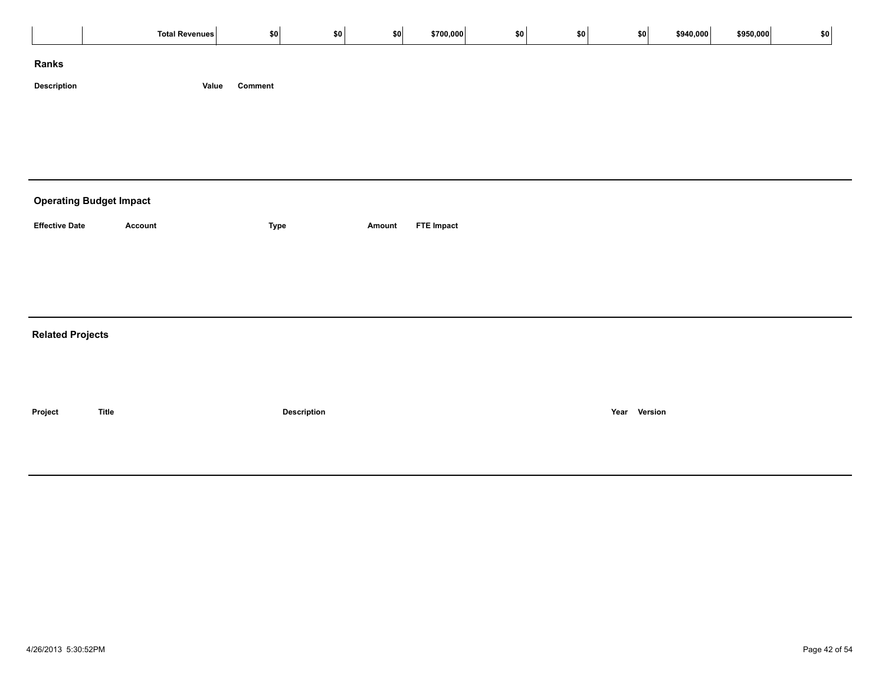| Comment<br>Value<br><b>Operating Budget Impact</b><br><b>Effective Date</b><br>Account<br><b>FTE Impact</b><br><b>Type</b><br>Amount<br><b>Related Projects</b><br>Year Version<br><b>Title</b><br>Description |             | Total Revenues | \$0 | \$0 | \$0] | \$700,000 | $ $ \$0 | \$0 | \$0 | \$940,000 | \$950,000 | \$0 |
|----------------------------------------------------------------------------------------------------------------------------------------------------------------------------------------------------------------|-------------|----------------|-----|-----|------|-----------|---------|-----|-----|-----------|-----------|-----|
|                                                                                                                                                                                                                | Ranks       |                |     |     |      |           |         |     |     |           |           |     |
|                                                                                                                                                                                                                | Description |                |     |     |      |           |         |     |     |           |           |     |
|                                                                                                                                                                                                                |             |                |     |     |      |           |         |     |     |           |           |     |
|                                                                                                                                                                                                                |             |                |     |     |      |           |         |     |     |           |           |     |
|                                                                                                                                                                                                                |             |                |     |     |      |           |         |     |     |           |           |     |
|                                                                                                                                                                                                                |             |                |     |     |      |           |         |     |     |           |           |     |
|                                                                                                                                                                                                                |             |                |     |     |      |           |         |     |     |           |           |     |
|                                                                                                                                                                                                                |             |                |     |     |      |           |         |     |     |           |           |     |
|                                                                                                                                                                                                                |             |                |     |     |      |           |         |     |     |           |           |     |
|                                                                                                                                                                                                                |             |                |     |     |      |           |         |     |     |           |           |     |
|                                                                                                                                                                                                                |             |                |     |     |      |           |         |     |     |           |           |     |
|                                                                                                                                                                                                                |             |                |     |     |      |           |         |     |     |           |           |     |
|                                                                                                                                                                                                                |             |                |     |     |      |           |         |     |     |           |           |     |
|                                                                                                                                                                                                                | Project     |                |     |     |      |           |         |     |     |           |           |     |
|                                                                                                                                                                                                                |             |                |     |     |      |           |         |     |     |           |           |     |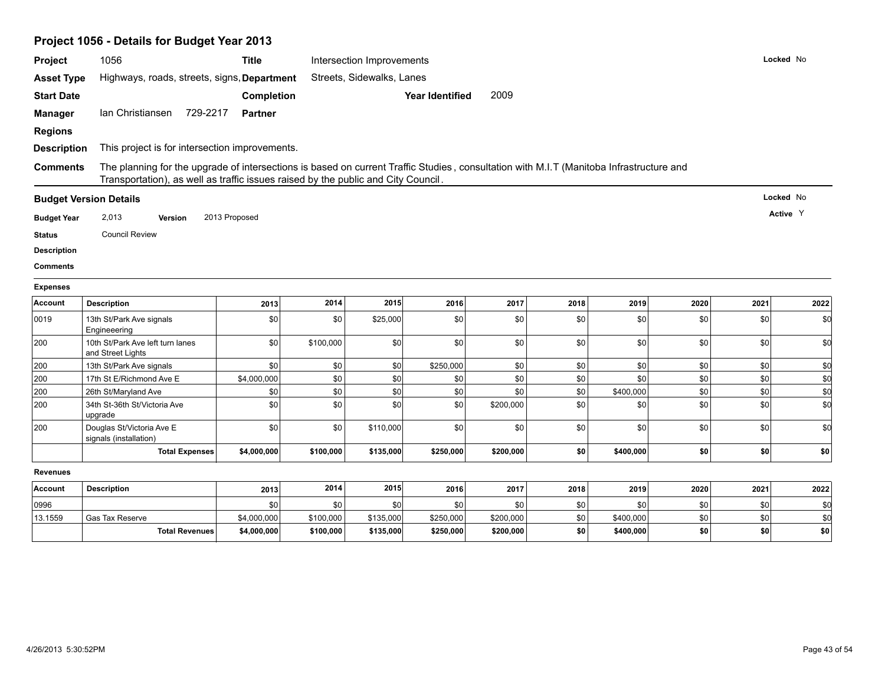# **Project 1056 - Details for Budget Year 2013**

| Project            | 1056                                                                                                                                                                                                                         | <b>Title</b>   |           | Intersection Improvements |                        |           |      |           | Locked No |      |           |
|--------------------|------------------------------------------------------------------------------------------------------------------------------------------------------------------------------------------------------------------------------|----------------|-----------|---------------------------|------------------------|-----------|------|-----------|-----------|------|-----------|
| <b>Asset Type</b>  | Highways, roads, streets, signs, Department                                                                                                                                                                                  |                |           | Streets, Sidewalks, Lanes |                        |           |      |           |           |      |           |
| <b>Start Date</b>  |                                                                                                                                                                                                                              | Completion     |           |                           | <b>Year Identified</b> | 2009      |      |           |           |      |           |
| <b>Manager</b>     | Ian Christiansen<br>729-2217                                                                                                                                                                                                 | <b>Partner</b> |           |                           |                        |           |      |           |           |      |           |
| <b>Regions</b>     |                                                                                                                                                                                                                              |                |           |                           |                        |           |      |           |           |      |           |
| <b>Description</b> | This project is for intersection improvements.                                                                                                                                                                               |                |           |                           |                        |           |      |           |           |      |           |
| <b>Comments</b>    | The planning for the upgrade of intersections is based on current Traffic Studies, consultation with M.I.T (Manitoba Infrastructure and<br>Transportation), as well as traffic issues raised by the public and City Council. |                |           |                           |                        |           |      |           |           |      |           |
|                    | <b>Budget Version Details</b>                                                                                                                                                                                                |                |           |                           |                        |           |      |           |           |      | Locked No |
|                    |                                                                                                                                                                                                                              | 2013 Proposed  |           |                           |                        |           |      |           |           |      | Active Y  |
| <b>Budget Year</b> | 2,013<br>Version                                                                                                                                                                                                             |                |           |                           |                        |           |      |           |           |      |           |
| <b>Status</b>      | <b>Council Review</b>                                                                                                                                                                                                        |                |           |                           |                        |           |      |           |           |      |           |
| <b>Description</b> |                                                                                                                                                                                                                              |                |           |                           |                        |           |      |           |           |      |           |
| <b>Comments</b>    |                                                                                                                                                                                                                              |                |           |                           |                        |           |      |           |           |      |           |
| <b>Expenses</b>    |                                                                                                                                                                                                                              |                |           |                           |                        |           |      |           |           |      |           |
| <b>Account</b>     | <b>Description</b>                                                                                                                                                                                                           | 2013           | 2014      | 2015                      | 2016                   | 2017      | 2018 | 2019      | 2020      | 2021 | 2022      |
| 0019               | 13th St/Park Ave signals<br>Engineeering                                                                                                                                                                                     | \$0            | \$0       | \$25,000                  | \$0                    | \$0       | \$0  | \$0       | \$0       | \$0  | \$d       |
| 200                | 10th St/Park Ave left turn lanes<br>and Street Lights                                                                                                                                                                        | \$0            | \$100,000 | $ $ so                    | \$0                    | \$0       | \$0  | \$0       | \$0       | \$0  | \$d       |
| 200                | 13th St/Park Ave signals                                                                                                                                                                                                     | \$0            | \$0       | \$0                       | \$250,000              | \$0       | \$0  | \$0       | \$0       | \$0  | \$d       |
| 200                | 17th St E/Richmond Ave E                                                                                                                                                                                                     | \$4,000,000    | \$0       | \$0                       | \$0                    | \$0       | \$0  | \$0       | \$0       | \$0  | \$d       |
| 200                | 26th St/Maryland Ave                                                                                                                                                                                                         | \$0            | \$0       | $ $ so                    | \$0                    | \$0       | \$0  | \$400,000 | \$0       | \$0  | \$d       |
| 200                | 34th St-36th St/Victoria Ave<br>upgrade                                                                                                                                                                                      | \$0            | \$0       | $ $ so                    | \$0                    | \$200,000 | \$0  | \$0       | \$0       | \$0  | \$d       |
| 200                | Douglas St/Victoria Ave E<br>signals (installation)                                                                                                                                                                          | \$0            | \$0       | \$110,000                 | \$0                    | \$0       | \$0  | \$0       | \$0       | \$0  | \$d       |
|                    | <b>Total Expenses</b>                                                                                                                                                                                                        | \$4,000,000    | \$100,000 | \$135,000                 | \$250,000              | \$200,000 | \$0  | \$400,000 | \$0       | \$0  | \$0       |
| <b>Revenues</b>    |                                                                                                                                                                                                                              |                |           |                           |                        |           |      |           |           |      |           |
| Account            | <b>Description</b>                                                                                                                                                                                                           | 2013           | 2014      | 2015                      | 2016                   | 2017      | 2018 | 2019      | 2020      | 2021 | 2022      |
| 0996               |                                                                                                                                                                                                                              | \$0            | \$0       | \$0                       | \$0                    | \$0       | \$0  | \$0       | \$0       | \$0  | \$0       |
| 13.1559            | Gas Tax Reserve                                                                                                                                                                                                              | \$4,000,000    | \$100,000 | \$135,000                 | \$250,000              | \$200,000 | \$0  | \$400,000 | \$0       | \$0  | \$d       |
|                    | <b>Total Revenues</b>                                                                                                                                                                                                        | \$4,000,000    | \$100,000 | \$135,000                 | \$250,000              | \$200,000 | \$0  | \$400,000 | \$0       | \$0  | \$0       |
|                    |                                                                                                                                                                                                                              |                |           |                           |                        |           |      |           |           |      |           |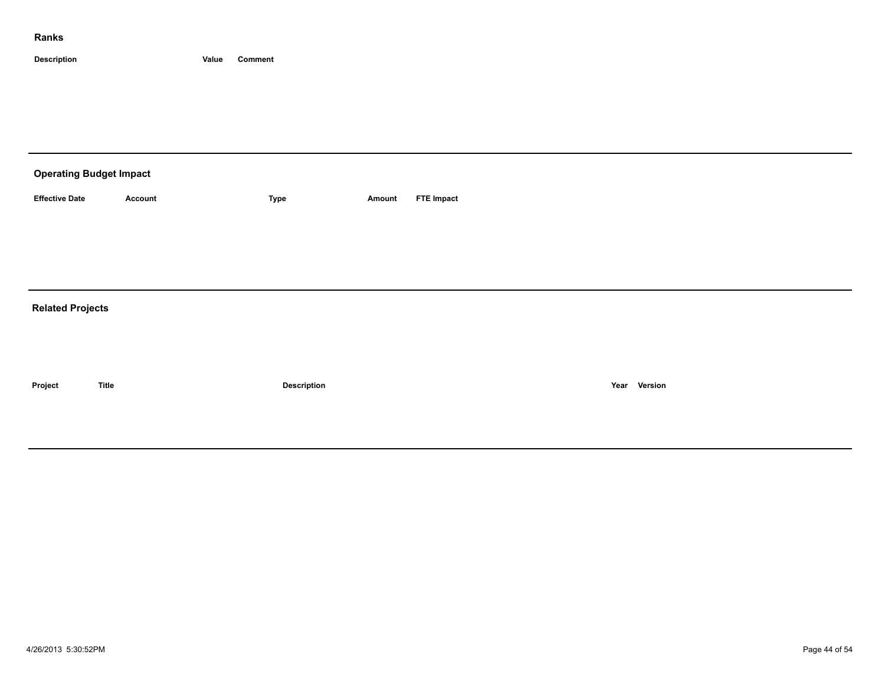| <b>Operating Budget Impact</b> |                |             |        |                   |  |  |  |  |  |  |
|--------------------------------|----------------|-------------|--------|-------------------|--|--|--|--|--|--|
| <b>Effective Date</b>          | <b>Account</b> | Type        | Amount | <b>FTE Impact</b> |  |  |  |  |  |  |
|                                |                |             |        |                   |  |  |  |  |  |  |
|                                |                |             |        |                   |  |  |  |  |  |  |
|                                |                |             |        |                   |  |  |  |  |  |  |
| <b>Related Projects</b>        |                |             |        |                   |  |  |  |  |  |  |
|                                |                |             |        |                   |  |  |  |  |  |  |
|                                |                |             |        |                   |  |  |  |  |  |  |
| Project                        | <b>Title</b>   | Description |        | Year Version      |  |  |  |  |  |  |
|                                |                |             |        |                   |  |  |  |  |  |  |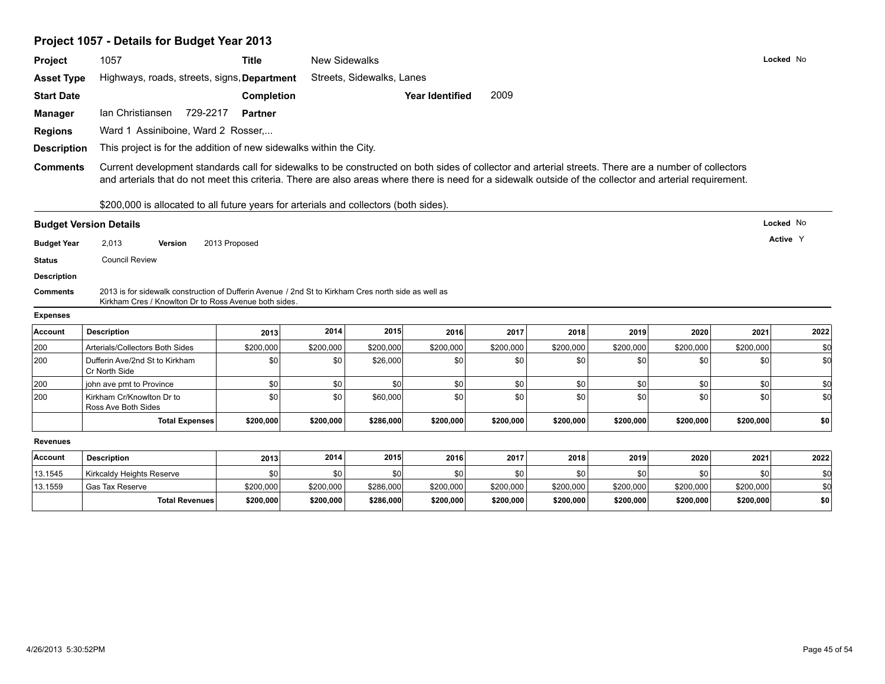# **Project 1057 - Details for Budget Year 2013**

| Project            | 1057                                                                                                                                                                                                                                                                                                             | <b>Title</b>      | New Sidewalks |                           |                        |           |           |           |           |           | Locked No |
|--------------------|------------------------------------------------------------------------------------------------------------------------------------------------------------------------------------------------------------------------------------------------------------------------------------------------------------------|-------------------|---------------|---------------------------|------------------------|-----------|-----------|-----------|-----------|-----------|-----------|
| <b>Asset Type</b>  | Highways, roads, streets, signs, Department                                                                                                                                                                                                                                                                      |                   |               | Streets, Sidewalks, Lanes |                        |           |           |           |           |           |           |
| <b>Start Date</b>  |                                                                                                                                                                                                                                                                                                                  | <b>Completion</b> |               |                           | <b>Year Identified</b> | 2009      |           |           |           |           |           |
| <b>Manager</b>     | 729-2217<br>Ian Christiansen                                                                                                                                                                                                                                                                                     | <b>Partner</b>    |               |                           |                        |           |           |           |           |           |           |
| <b>Regions</b>     | Ward 1 Assiniboine, Ward 2 Rosser,                                                                                                                                                                                                                                                                               |                   |               |                           |                        |           |           |           |           |           |           |
| <b>Description</b> | This project is for the addition of new sidewalks within the City.                                                                                                                                                                                                                                               |                   |               |                           |                        |           |           |           |           |           |           |
|                    |                                                                                                                                                                                                                                                                                                                  |                   |               |                           |                        |           |           |           |           |           |           |
| <b>Comments</b>    | Current development standards call for sidewalks to be constructed on both sides of collector and arterial streets. There are a number of collectors<br>and arterials that do not meet this criteria. There are also areas where there is need for a sidewalk outside of the collector and arterial requirement. |                   |               |                           |                        |           |           |           |           |           |           |
|                    | \$200,000 is allocated to all future years for arterials and collectors (both sides).                                                                                                                                                                                                                            |                   |               |                           |                        |           |           |           |           |           |           |
|                    | <b>Budget Version Details</b>                                                                                                                                                                                                                                                                                    |                   |               |                           |                        |           |           |           |           | Locked No |           |
| <b>Budget Year</b> | 2,013<br>2013 Proposed<br>Version                                                                                                                                                                                                                                                                                |                   |               |                           |                        |           |           |           |           | Active Y  |           |
| <b>Status</b>      | <b>Council Review</b>                                                                                                                                                                                                                                                                                            |                   |               |                           |                        |           |           |           |           |           |           |
| <b>Description</b> |                                                                                                                                                                                                                                                                                                                  |                   |               |                           |                        |           |           |           |           |           |           |
| <b>Comments</b>    | 2013 is for sidewalk construction of Dufferin Avenue / 2nd St to Kirkham Cres north side as well as<br>Kirkham Cres / Knowlton Dr to Ross Avenue both sides.                                                                                                                                                     |                   |               |                           |                        |           |           |           |           |           |           |
| <b>Expenses</b>    |                                                                                                                                                                                                                                                                                                                  |                   |               |                           |                        |           |           |           |           |           |           |
| Account            | <b>Description</b>                                                                                                                                                                                                                                                                                               | 2013              | 2014          | 2015                      | 2016                   | 2017      | 2018      | 2019      | 2020      | 2021      | 2022      |
| 200                | Arterials/Collectors Both Sides                                                                                                                                                                                                                                                                                  | \$200,000         | \$200,000     | \$200,000                 | \$200,000              | \$200,000 | \$200,000 | \$200,000 | \$200,000 | \$200,000 | \$0       |
| 200                | Dufferin Ave/2nd St to Kirkham<br>Cr North Side                                                                                                                                                                                                                                                                  | \$0               | \$0           | \$26,000                  | \$0                    | \$0       | \$0       | \$0       | \$0       | \$0       | \$d       |
| 200                | john ave pmt to Province                                                                                                                                                                                                                                                                                         | \$0               | \$0           | \$0                       | \$0                    | \$0       | \$0       | \$0       | \$0       | \$0       | \$d       |
| 200                | Kirkham Cr/Knowlton Dr to<br>Ross Ave Both Sides                                                                                                                                                                                                                                                                 | \$0               | \$0           | \$60,000                  | \$0                    | \$0       | \$0       | \$0       | \$0       | \$0       | \$d       |
|                    | <b>Total Expenses</b>                                                                                                                                                                                                                                                                                            | \$200,000         | \$200,000     | \$286,000                 | \$200,000              | \$200,000 | \$200,000 | \$200,000 | \$200,000 | \$200,000 | \$0       |
| <b>Revenues</b>    |                                                                                                                                                                                                                                                                                                                  |                   |               |                           |                        |           |           |           |           |           |           |
| Account            | <b>Description</b>                                                                                                                                                                                                                                                                                               | 2013              | 2014          | 2015                      | 2016                   | 2017      | 2018      | 2019      | 2020      | 2021      | 2022      |
| 13.1545            | Kirkcaldy Heights Reserve                                                                                                                                                                                                                                                                                        | \$0               | \$0           | \$0                       | \$0                    | \$0       | \$0       | \$0       | \$0       | \$0       | \$0       |
| 13.1559            |                                                                                                                                                                                                                                                                                                                  |                   |               |                           |                        |           |           |           |           |           |           |
|                    | Gas Tax Reserve                                                                                                                                                                                                                                                                                                  | \$200,000         | \$200,000     | \$286,000                 | \$200,000              | \$200,000 | \$200,000 | \$200,000 | \$200,000 | \$200,000 | \$0       |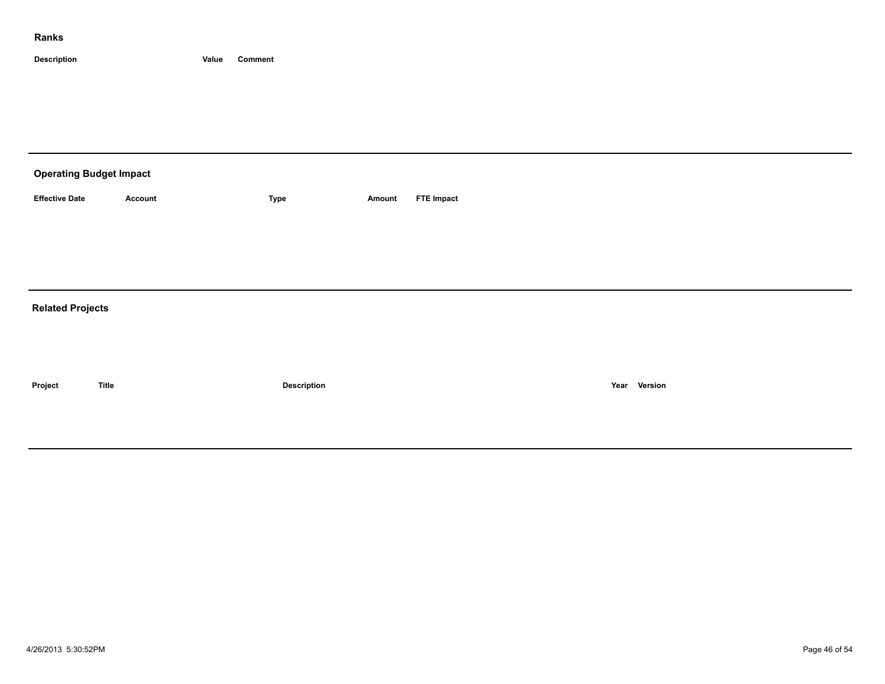| <b>Operating Budget Impact</b> |                |             |        |                   |  |  |  |  |  |  |
|--------------------------------|----------------|-------------|--------|-------------------|--|--|--|--|--|--|
| <b>Effective Date</b>          | <b>Account</b> | Type        | Amount | <b>FTE Impact</b> |  |  |  |  |  |  |
|                                |                |             |        |                   |  |  |  |  |  |  |
|                                |                |             |        |                   |  |  |  |  |  |  |
|                                |                |             |        |                   |  |  |  |  |  |  |
| <b>Related Projects</b>        |                |             |        |                   |  |  |  |  |  |  |
|                                |                |             |        |                   |  |  |  |  |  |  |
|                                |                |             |        |                   |  |  |  |  |  |  |
| Project                        | <b>Title</b>   | Description |        | Year Version      |  |  |  |  |  |  |
|                                |                |             |        |                   |  |  |  |  |  |  |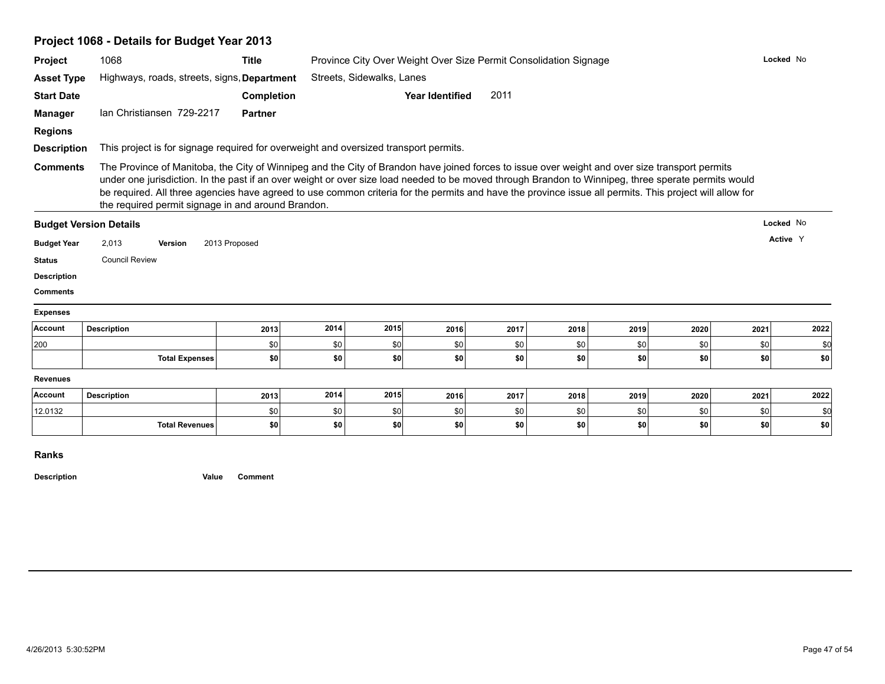| Project 1068 - Details for Budget Year 2013 |  |
|---------------------------------------------|--|
|---------------------------------------------|--|

| Project                                                                                                                              | 1068                                                                                                                                                                                                                                                                                                                                                                                                                                                                                                                   | <b>Title</b>   |            |                           | Province City Over Weight Over Size Permit Consolidation Signage |      |      |             |      |      | Locked No   |  |  |  |
|--------------------------------------------------------------------------------------------------------------------------------------|------------------------------------------------------------------------------------------------------------------------------------------------------------------------------------------------------------------------------------------------------------------------------------------------------------------------------------------------------------------------------------------------------------------------------------------------------------------------------------------------------------------------|----------------|------------|---------------------------|------------------------------------------------------------------|------|------|-------------|------|------|-------------|--|--|--|
| <b>Asset Type</b>                                                                                                                    | Highways, roads, streets, signs, Department                                                                                                                                                                                                                                                                                                                                                                                                                                                                            |                |            | Streets, Sidewalks, Lanes |                                                                  |      |      |             |      |      |             |  |  |  |
| <b>Start Date</b>                                                                                                                    |                                                                                                                                                                                                                                                                                                                                                                                                                                                                                                                        | Completion     |            |                           | <b>Year Identified</b>                                           | 2011 |      |             |      |      |             |  |  |  |
| <b>Manager</b>                                                                                                                       | Ian Christiansen 729-2217                                                                                                                                                                                                                                                                                                                                                                                                                                                                                              | <b>Partner</b> |            |                           |                                                                  |      |      |             |      |      |             |  |  |  |
| <b>Regions</b>                                                                                                                       |                                                                                                                                                                                                                                                                                                                                                                                                                                                                                                                        |                |            |                           |                                                                  |      |      |             |      |      |             |  |  |  |
| <b>Description</b>                                                                                                                   | This project is for signage required for overweight and oversized transport permits.                                                                                                                                                                                                                                                                                                                                                                                                                                   |                |            |                           |                                                                  |      |      |             |      |      |             |  |  |  |
| <b>Comments</b>                                                                                                                      | The Province of Manitoba, the City of Winnipeg and the City of Brandon have joined forces to issue over weight and over size transport permits<br>under one jurisdiction. In the past if an over weight or over size load needed to be moved through Brandon to Winnipeg, three sperate permits would<br>be required. All three agencies have agreed to use common criteria for the permits and have the province issue all permits. This project will allow for<br>the required permit signage in and around Brandon. |                |            |                           |                                                                  |      |      |             |      |      |             |  |  |  |
|                                                                                                                                      | <b>Budget Version Details</b>                                                                                                                                                                                                                                                                                                                                                                                                                                                                                          |                |            |                           |                                                                  |      |      |             |      |      | Locked No   |  |  |  |
| <b>Budget Year</b>                                                                                                                   | 2,013<br>Version                                                                                                                                                                                                                                                                                                                                                                                                                                                                                                       | 2013 Proposed  |            |                           |                                                                  |      |      |             |      |      | Active Y    |  |  |  |
|                                                                                                                                      | <b>Council Review</b>                                                                                                                                                                                                                                                                                                                                                                                                                                                                                                  |                |            |                           |                                                                  |      |      |             |      |      |             |  |  |  |
|                                                                                                                                      |                                                                                                                                                                                                                                                                                                                                                                                                                                                                                                                        |                |            |                           |                                                                  |      |      |             |      |      |             |  |  |  |
|                                                                                                                                      |                                                                                                                                                                                                                                                                                                                                                                                                                                                                                                                        |                |            |                           |                                                                  |      |      |             |      |      |             |  |  |  |
|                                                                                                                                      |                                                                                                                                                                                                                                                                                                                                                                                                                                                                                                                        |                |            |                           |                                                                  |      |      |             |      |      |             |  |  |  |
|                                                                                                                                      |                                                                                                                                                                                                                                                                                                                                                                                                                                                                                                                        |                |            |                           |                                                                  |      |      |             |      |      |             |  |  |  |
|                                                                                                                                      | <b>Description</b>                                                                                                                                                                                                                                                                                                                                                                                                                                                                                                     | 2013           | 2014       | 2015                      | 2016                                                             | 2017 | 2018 | 2019        | 2020 | 2021 | 2022        |  |  |  |
|                                                                                                                                      |                                                                                                                                                                                                                                                                                                                                                                                                                                                                                                                        | \$0            | \$0        | \$0                       | \$0                                                              | \$0  | \$0  | \$0         | \$0  | \$0  | \$0         |  |  |  |
|                                                                                                                                      | <b>Total Expenses</b>                                                                                                                                                                                                                                                                                                                                                                                                                                                                                                  | \$0            | \$0        | \$0                       | \$0                                                              | \$0  | \$0  | \$0         | \$0  | \$0  | \$0         |  |  |  |
|                                                                                                                                      |                                                                                                                                                                                                                                                                                                                                                                                                                                                                                                                        |                |            |                           |                                                                  |      |      |             |      |      |             |  |  |  |
|                                                                                                                                      | <b>Description</b>                                                                                                                                                                                                                                                                                                                                                                                                                                                                                                     | 2013           | 2014       | 2015                      | 2016                                                             | 2017 | 2018 | 2019        | 2020 | 2021 | 2022        |  |  |  |
| <b>Status</b><br><b>Description</b><br><b>Comments</b><br><b>Expenses</b><br>Account<br>200<br><b>Revenues</b><br>Account<br>12.0132 | <b>Total Revenues</b>                                                                                                                                                                                                                                                                                                                                                                                                                                                                                                  | \$0            | \$0<br>\$0 | \$0                       | \$0<br> \$0                                                      | \$0  | \$0  | \$0<br> \$0 | \$0  | \$0  | \$0<br> \$0 |  |  |  |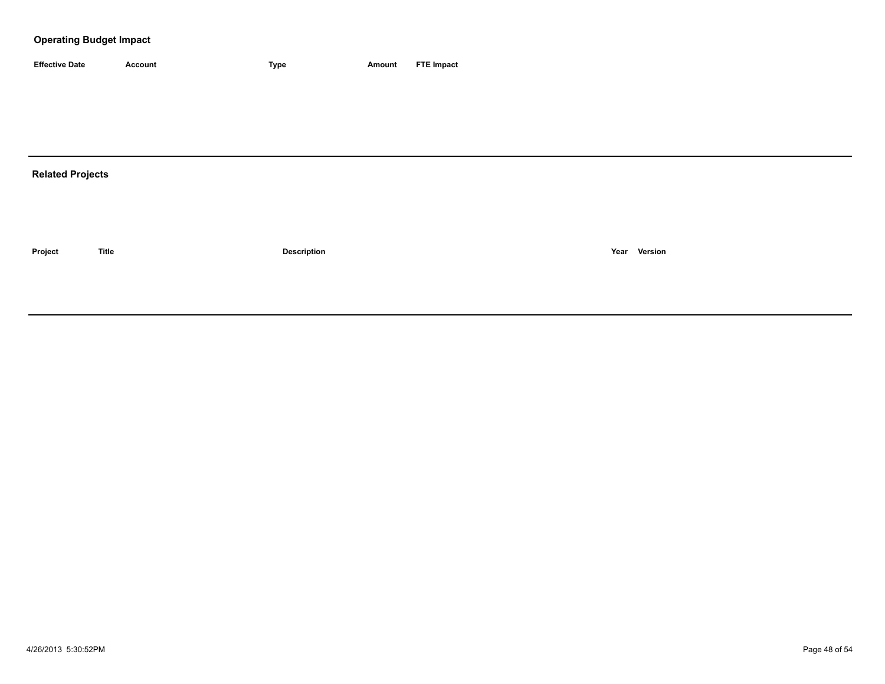| <b>Effective Date</b> | Account | <b>Type</b> | Amount | <b>FTE Impact</b> |
|-----------------------|---------|-------------|--------|-------------------|

# **Related Projects**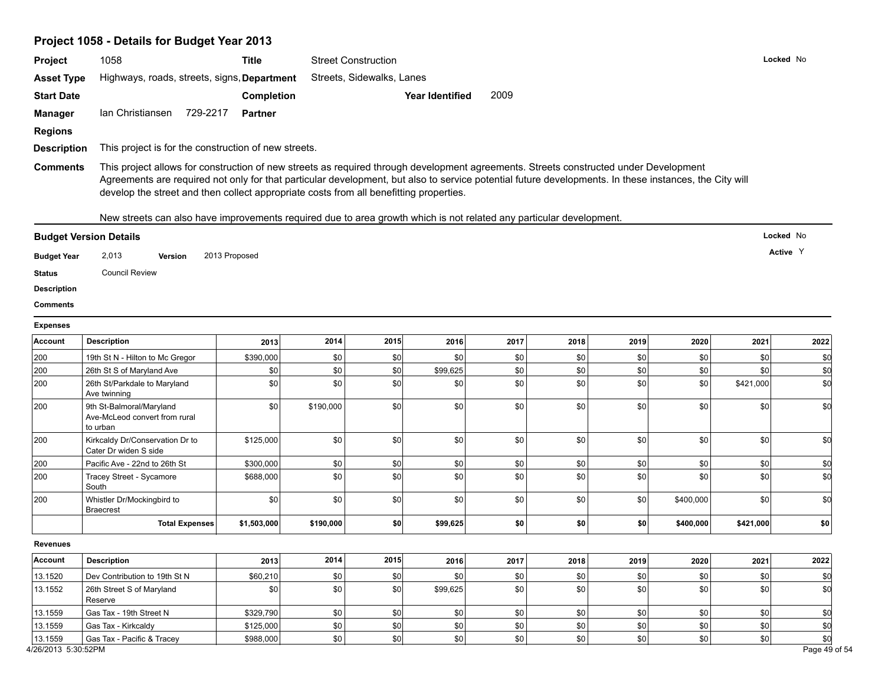# **Project 1058 - Details for Budget Year 2013**

| Project                                                               | 1058                                                                                                                | <b>Title</b>                                                                                                                                                                                                                                                                                                                                                                              |           | <b>Street Construction</b> |                        |      |      |         |           |           | Locked No |  |  |  |  |  |
|-----------------------------------------------------------------------|---------------------------------------------------------------------------------------------------------------------|-------------------------------------------------------------------------------------------------------------------------------------------------------------------------------------------------------------------------------------------------------------------------------------------------------------------------------------------------------------------------------------------|-----------|----------------------------|------------------------|------|------|---------|-----------|-----------|-----------|--|--|--|--|--|
| <b>Asset Type</b>                                                     | Highways, roads, streets, signs, Department                                                                         |                                                                                                                                                                                                                                                                                                                                                                                           |           | Streets, Sidewalks, Lanes  |                        |      |      |         |           |           |           |  |  |  |  |  |
| <b>Start Date</b>                                                     |                                                                                                                     | Completion                                                                                                                                                                                                                                                                                                                                                                                |           |                            | <b>Year Identified</b> | 2009 |      |         |           |           |           |  |  |  |  |  |
| <b>Manager</b>                                                        | Ian Christiansen 729-2217                                                                                           | Partner                                                                                                                                                                                                                                                                                                                                                                                   |           |                            |                        |      |      |         |           |           |           |  |  |  |  |  |
| <b>Regions</b>                                                        |                                                                                                                     |                                                                                                                                                                                                                                                                                                                                                                                           |           |                            |                        |      |      |         |           |           |           |  |  |  |  |  |
| <b>Description</b>                                                    | This project is for the construction of new streets.                                                                |                                                                                                                                                                                                                                                                                                                                                                                           |           |                            |                        |      |      |         |           |           |           |  |  |  |  |  |
| <b>Comments</b>                                                       |                                                                                                                     | This project allows for construction of new streets as required through development agreements. Streets constructed under Development<br>Agreements are required not only for that particular development, but also to service potential future developments. In these instances, the City will<br>develop the street and then collect appropriate costs from all benefitting properties. |           |                            |                        |      |      |         |           |           |           |  |  |  |  |  |
|                                                                       | New streets can also have improvements required due to area growth which is not related any particular development. |                                                                                                                                                                                                                                                                                                                                                                                           |           |                            |                        |      |      |         |           |           |           |  |  |  |  |  |
|                                                                       | <b>Budget Version Details</b>                                                                                       |                                                                                                                                                                                                                                                                                                                                                                                           |           |                            |                        |      |      |         |           |           | Locked No |  |  |  |  |  |
| <b>Budget Year</b><br><b>Status</b><br><b>Description</b><br>Comments | 2,013<br><b>Version</b><br><b>Council Review</b>                                                                    | 2013 Proposed                                                                                                                                                                                                                                                                                                                                                                             |           |                            |                        |      |      |         |           |           | Active Y  |  |  |  |  |  |
| <b>Expenses</b>                                                       |                                                                                                                     |                                                                                                                                                                                                                                                                                                                                                                                           |           |                            |                        |      |      |         |           |           |           |  |  |  |  |  |
| Account                                                               | <b>Description</b>                                                                                                  | 2013                                                                                                                                                                                                                                                                                                                                                                                      | 2014      | 2015                       | 2016                   | 2017 | 2018 | 2019    | 2020      | 2021      | 2022      |  |  |  |  |  |
| 200                                                                   | 19th St N - Hilton to Mc Gregor                                                                                     | \$390,000                                                                                                                                                                                                                                                                                                                                                                                 | \$0       | \$0                        | \$0                    | \$0  | \$0  | \$0     | \$0       | \$0       | \$d       |  |  |  |  |  |
| 200                                                                   | 26th St S of Maryland Ave                                                                                           | \$0                                                                                                                                                                                                                                                                                                                                                                                       | \$0       | \$0                        | \$99,625               | \$0  | \$0  | \$0     | \$0       | \$0       | \$0       |  |  |  |  |  |
| 200                                                                   | 26th St/Parkdale to Maryland<br>Ave twinning                                                                        | \$0                                                                                                                                                                                                                                                                                                                                                                                       | \$0       | 30                         | \$0                    | \$0  | \$0  | \$0     | \$0       | \$421,000 | \$d       |  |  |  |  |  |
| 200                                                                   | 9th St-Balmoral/Maryland<br>Ave-McLeod convert from rural<br>to urban                                               | \$0                                                                                                                                                                                                                                                                                                                                                                                       | \$190,000 | 30                         | \$0                    | \$0  | \$0  | \$0     | \$0       | \$0       | \$d       |  |  |  |  |  |
| 200                                                                   | Kirkcaldy Dr/Conservation Dr to<br>Cater Dr widen S side                                                            | \$125,000                                                                                                                                                                                                                                                                                                                                                                                 | \$0       | \$0                        | \$0                    | \$0  | \$0  | \$0     | \$0       | \$0       | \$d       |  |  |  |  |  |
| 200                                                                   | Pacific Ave - 22nd to 26th St                                                                                       | \$300,000                                                                                                                                                                                                                                                                                                                                                                                 | \$0       | \$0                        | \$0                    | \$0  | \$0  | \$0     | \$0       | \$0       | \$0       |  |  |  |  |  |
| 200                                                                   | Tracey Street - Sycamore<br>South                                                                                   | \$688,000                                                                                                                                                                                                                                                                                                                                                                                 | \$0       | \$0                        | \$0                    | \$0  | \$0  | \$0     | \$0       | \$0       | \$d       |  |  |  |  |  |
| 200                                                                   | Whistler Dr/Mockingbird to<br><b>Braecrest</b>                                                                      | \$0                                                                                                                                                                                                                                                                                                                                                                                       | \$0       | \$0                        | \$0                    | \$0  | \$0  | \$0     | \$400,000 | \$0       | \$d       |  |  |  |  |  |
|                                                                       | <b>Total Expenses</b>                                                                                               | \$1,503,000                                                                                                                                                                                                                                                                                                                                                                               | \$190,000 | \$0                        | \$99,625               | \$0  | \$0  | \$0     | \$400,000 | \$421,000 | \$0       |  |  |  |  |  |
| <b>Revenues</b>                                                       |                                                                                                                     |                                                                                                                                                                                                                                                                                                                                                                                           |           |                            |                        |      |      |         |           |           |           |  |  |  |  |  |
| Account                                                               | <b>Description</b>                                                                                                  | 2013                                                                                                                                                                                                                                                                                                                                                                                      | 2014      | 2015                       | 2016                   | 2017 | 2018 | 2019    | 2020      | 2021      | 2022      |  |  |  |  |  |
| 13.1520                                                               | Dev Contribution to 19th St N                                                                                       | \$60,210                                                                                                                                                                                                                                                                                                                                                                                  | \$0       | \$0                        | \$0                    | \$0  | \$0  | \$0     | \$0       | \$0       | \$0       |  |  |  |  |  |
| 13.1552                                                               | 26th Street S of Maryland<br>Reserve                                                                                | \$0                                                                                                                                                                                                                                                                                                                                                                                       | \$0       | \$0                        | \$99,625               | \$0  | \$0  | \$0     | \$0       | \$0       | \$d       |  |  |  |  |  |
| 13.1559                                                               | Gas Tax - 19th Street N                                                                                             | \$329,790                                                                                                                                                                                                                                                                                                                                                                                 | \$0       | \$0                        | \$0                    | \$0  | \$0  | \$0     | \$0       | \$0       | \$0       |  |  |  |  |  |
| 13.1559                                                               | Gas Tax - Kirkcaldy                                                                                                 | \$125,000                                                                                                                                                                                                                                                                                                                                                                                 | \$0       | \$0                        | \$0                    | \$0  | \$0  | \$0     | \$0       | \$0       | \$d       |  |  |  |  |  |
| 13.1559                                                               | Gas Tax - Pacific & Tracey                                                                                          | \$988,000                                                                                                                                                                                                                                                                                                                                                                                 | \$0       | $ $ \$0                    | \$0                    | \$0  | \$0  | $ $ \$0 | \$0       | 50        | \$d       |  |  |  |  |  |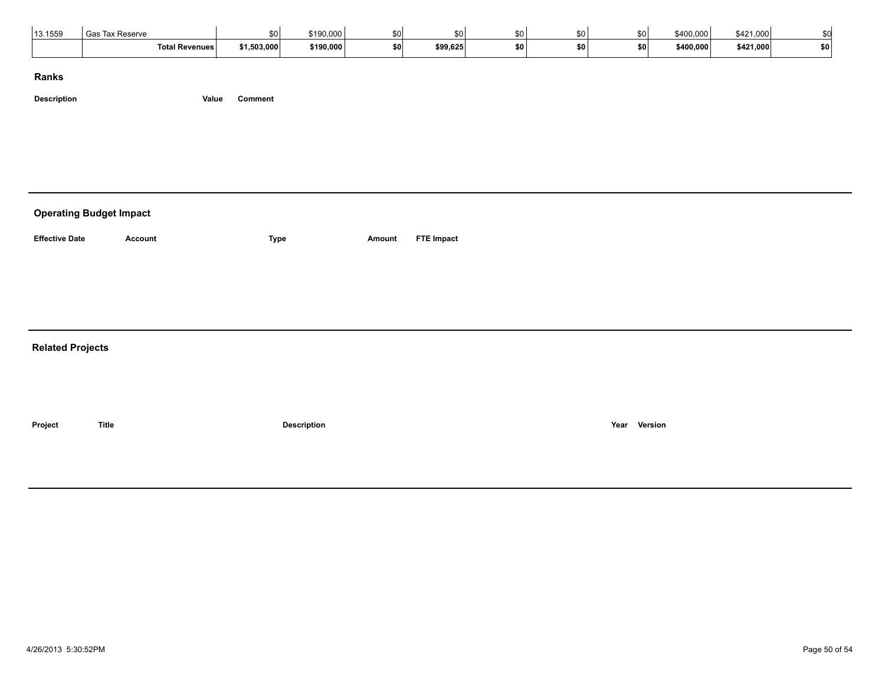| 13.1559 | Гах Reserve<br>้ Gas  | \$0         | \$190,000 | 43 T | SO I     |       | ፍሰ     | so l | \$400,000 | \$421,000 |     |  |
|---------|-----------------------|-------------|-----------|------|----------|-------|--------|------|-----------|-----------|-----|--|
|         | <b>Total Revenues</b> | \$1,503,000 | \$190,000 | En l | \$99,625 | \$0 I | <br>50 | \$0  | \$400,000 | \$421,000 | \$0 |  |

**Description Value Comment**

# **Operating Budget Impact**

Account **ETE Impact CONS EXECUTE:** Type **Amount FTE Impact** 

#### **Related Projects**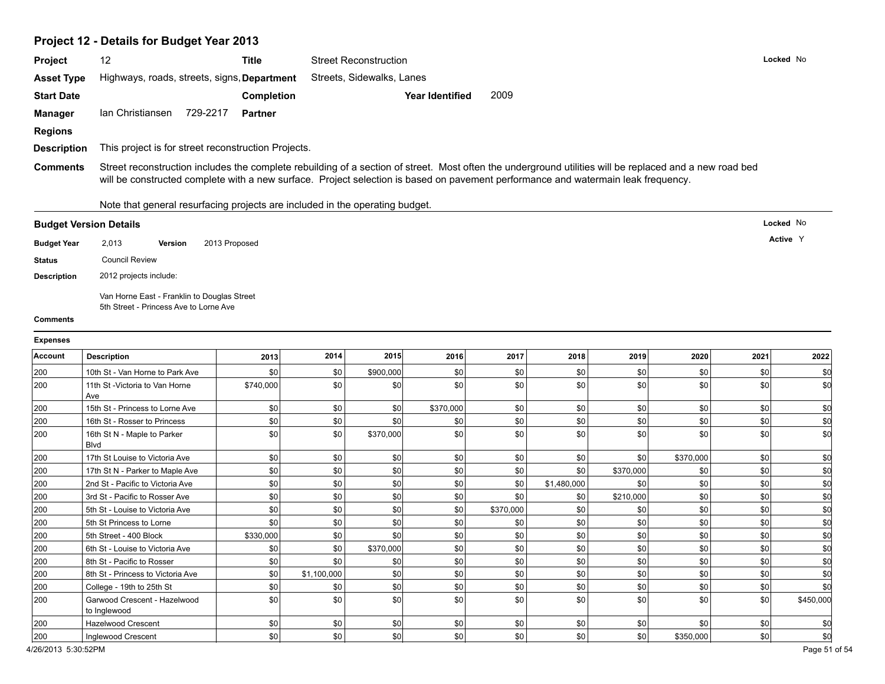# **Project 12 - Details for Budget Year 2013**

| <b>Project</b>                | 12                                                  |               | <b>Title</b>      | <b>Street Reconstruction</b>                                                                                                                                                                                                                                                                 | Locked No |
|-------------------------------|-----------------------------------------------------|---------------|-------------------|----------------------------------------------------------------------------------------------------------------------------------------------------------------------------------------------------------------------------------------------------------------------------------------------|-----------|
| <b>Asset Type</b>             | Highways, roads, streets, signs, Department         |               |                   | Streets, Sidewalks, Lanes                                                                                                                                                                                                                                                                    |           |
| <b>Start Date</b>             |                                                     |               | <b>Completion</b> | 2009<br><b>Year Identified</b>                                                                                                                                                                                                                                                               |           |
| Manager                       | Ian Christiansen                                    | 729-2217      | Partner           |                                                                                                                                                                                                                                                                                              |           |
| <b>Regions</b>                |                                                     |               |                   |                                                                                                                                                                                                                                                                                              |           |
| <b>Description</b>            | This project is for street reconstruction Projects. |               |                   |                                                                                                                                                                                                                                                                                              |           |
| <b>Comments</b>               |                                                     |               |                   | Street reconstruction includes the complete rebuilding of a section of street. Most often the underground utilities will be replaced and a new road bed<br>will be constructed complete with a new surface. Project selection is based on pavement performance and watermain leak frequency. |           |
|                               |                                                     |               |                   | Note that general resurfacing projects are included in the operating budget.                                                                                                                                                                                                                 |           |
| <b>Budget Version Details</b> |                                                     |               |                   |                                                                                                                                                                                                                                                                                              | Locked No |
| <b>Budget Year</b>            | 2,013<br><b>Version</b>                             | 2013 Proposed |                   |                                                                                                                                                                                                                                                                                              | Active Y  |

Van Horne East - Franklin to Douglas Street 5th Street - Princess Ave to Lorne Ave

#### **Comments**

**Description** 2012 projects include:

**Status** Council Review

| <b>Expenses</b> |                                              |           |             |           |           |           |             |           |           |      |           |
|-----------------|----------------------------------------------|-----------|-------------|-----------|-----------|-----------|-------------|-----------|-----------|------|-----------|
| <b>Account</b>  | <b>Description</b>                           | 2013      | 2014        | 2015      | 2016      | 2017      | 2018        | 2019      | 2020      | 2021 | 2022      |
| 200             | 10th St - Van Horne to Park Ave              | \$0       | \$0         | \$900,000 | \$0       | \$0       | \$0         | \$0       | \$0       | \$0  | -\$0      |
| 200             | 11th St - Victoria to Van Horne<br>Ave       | \$740,000 | \$0         | \$0       | \$0       | \$0       | \$0         | \$0       | \$0       | \$0  | \$0       |
| 200             | 15th St - Princess to Lorne Ave              | \$0       | \$0         | \$0       | \$370,000 | \$0       | \$0         | \$0       | \$0       | \$0  | \$C       |
| 200             | 16th St - Rosser to Princess                 | \$0       | \$0         | \$0       | \$0       | \$0       | \$0         | \$0       | \$0       | \$0  | \$0       |
| 200             | 16th St N - Maple to Parker<br><b>Blvd</b>   | \$0       | \$0         | \$370,000 | \$0       | \$0       | \$0         | \$0       | \$0       | \$0  | \$C       |
| 200             | 17th St Louise to Victoria Ave               | \$0       | \$0         | \$0       | \$0       | \$0       | \$0         | \$0       | \$370,000 | \$0  |           |
| 200             | 17th St N - Parker to Maple Ave              | \$0       | \$0         | \$0       | \$0       | \$0       | \$0         | \$370,000 | \$0       | \$0  | \$0       |
| 200             | 2nd St - Pacific to Victoria Ave             | \$0       | \$0         | \$0       | \$0       | \$0       | \$1,480,000 | \$0       | \$0       | \$0  | \$0       |
| 200             | 3rd St - Pacific to Rosser Ave               | \$0       | \$0         | \$0       | \$0       | \$0       | \$0         | \$210,000 | \$0       | \$0  | \$C       |
| 200             | 5th St - Louise to Victoria Ave              | \$0       | \$0         | \$0       | \$0       | \$370,000 | \$0         | \$0       | \$0       | \$0  | \$0       |
| 200             | 5th St Princess to Lorne                     | \$0       | \$0         | \$0       | \$0       | \$0       | \$0         | \$0       | \$0       | \$0  | \$C       |
| 200             | 5th Street - 400 Block                       | \$330,000 | \$0         | \$0       | \$0       | \$0       | \$0         | \$0       | \$0       | \$0  | \$0       |
| 200             | 6th St - Louise to Victoria Ave              | \$0       | \$0         | \$370,000 | \$0       | \$0       | \$0         | \$0       | \$0       | \$0  | \$C       |
| 200             | 8th St - Pacific to Rosser                   | \$0       | \$0         | \$0       | \$0       | \$0       | \$0         | \$0       | \$0       | \$0  | \$C       |
| 200             | 8th St - Princess to Victoria Ave            | \$0       | \$1,100,000 | \$0       | \$0       | \$0       | \$0         | \$0       | \$0       | \$0  | \$f       |
| 200             | College - 19th to 25th St                    | \$0       | \$0         | \$0       | \$0       | \$0       | \$0         | \$0       | \$0       | \$0  | \$C       |
| 200             | Garwood Crescent - Hazelwood<br>to Inglewood | \$0       | \$0         | \$0       | \$0       | \$0       | \$0         | \$0       | \$0       | \$0  | \$450,000 |
| 200             | <b>Hazelwood Crescent</b>                    | \$0       | \$0         | \$0       | \$0       | \$0       | \$0         | \$0       | \$0       | \$0  |           |
| 200             | Inglewood Crescent                           | \$0       | \$0         | \$0       | \$0       | \$0       | \$0         | \$0       | \$350,000 | \$0  | \$0       |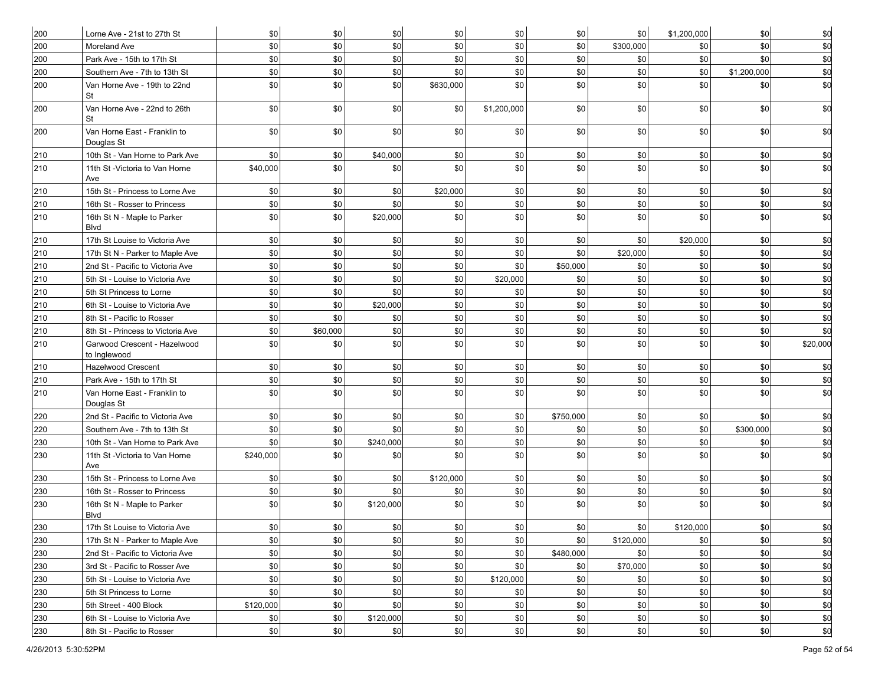| 200 | Lorne Ave - 21st to 27th St                  | \$0       | \$0      | \$0       | \$0       | \$0            | \$0       | \$0        | \$1,200,000 | \$0         | \$0        |
|-----|----------------------------------------------|-----------|----------|-----------|-----------|----------------|-----------|------------|-------------|-------------|------------|
| 200 | Moreland Ave                                 | \$0       | \$0      | \$0       | \$0       | \$0            | \$0       | \$300,000  | \$0         | \$0         | \$0        |
| 200 | Park Ave - 15th to 17th St                   | \$0       | \$0      | \$0       | \$0       | $\frac{1}{20}$ | \$0       | \$0        | $ $ \$0     | \$0         | \$d        |
| 200 | Southern Ave - 7th to 13th St                | \$0       | \$0      | \$0       | \$0       | \$0            | \$0       | \$0        | \$0         | \$1,200,000 | \$0        |
| 200 | Van Horne Ave - 19th to 22nd<br>St           | \$0       | \$0      | \$0       | \$630,000 | \$0            | \$0       | \$0        | \$0         | \$0         | \$d        |
| 200 | Van Horne Ave - 22nd to 26th<br>St           | \$0       | \$0      | \$0       | \$0       | \$1,200,000    | \$0       | \$0        | \$0         | \$0         | \$d        |
| 200 | Van Horne East - Franklin to<br>Douglas St   | \$0       | \$0      | \$0       | \$0       | \$0            | \$0       | \$0        | \$0         | \$0         | \$d        |
| 210 | 10th St - Van Horne to Park Ave              | \$0       | \$0      | \$40,000  | \$0       | \$0            | \$0       | \$0        | \$0         | \$0         | \$0        |
| 210 | 11th St - Victoria to Van Horne<br>Ave       | \$40,000  | \$0      | \$0       | \$0       | \$0            | \$0       | \$0        | \$0         | \$0         | <b>\$0</b> |
| 210 | 15th St - Princess to Lorne Ave              | \$0       | \$0      | \$0       | \$20,000  | \$0            | \$0       | \$0        | \$0         | \$0         | \$0        |
| 210 | 16th St - Rosser to Princess                 | \$0       | \$0      | \$0       | \$0       | \$0            | \$0       | \$0        | \$0         | \$0         | \$d        |
| 210 | 16th St N - Maple to Parker<br>Blvd          | \$0       | \$0      | \$20,000  | \$0       | \$0            | \$0       | \$0        | \$0         | \$0         | \$0        |
| 210 | 17th St Louise to Victoria Ave               | \$0       | \$0      | \$0       | \$0       | \$0            | \$0       | \$0        | \$20,000    | \$0         | \$d        |
| 210 | 17th St N - Parker to Maple Ave              | \$0       | \$0      | \$0       | \$0       | \$0            | \$0       | \$20,000   | \$0         | \$0         | \$d        |
| 210 | 2nd St - Pacific to Victoria Ave             | \$0       | \$0      | \$0       | \$0       | \$0            | \$50,000  | \$0        | \$0         | \$0         | \$d        |
| 210 | 5th St - Louise to Victoria Ave              | \$0       | \$0      | \$0       | \$0       | \$20,000       | \$0       | \$0        | \$0         | \$0         | \$d        |
| 210 | 5th St Princess to Lorne                     | \$0       | \$0      | \$0       | \$0       | \$0            | \$0       | \$0        | \$0         | \$0         | \$d        |
| 210 | 6th St - Louise to Victoria Ave              | \$0       | \$0      | \$20,000  | \$0       | \$0            | \$0       | \$0        | \$0         | \$0         | \$d        |
| 210 | 8th St - Pacific to Rosser                   | \$0       | \$0      | \$0       | \$0       | \$0            | \$0       | \$0        | \$0         | \$0         | \$0        |
| 210 | 8th St - Princess to Victoria Ave            | \$0       | \$60,000 | \$0       | \$0       | \$0            | \$0       | \$0        | \$0         | \$0         | \$0        |
| 210 | Garwood Crescent - Hazelwood<br>to Inglewood | \$0       | \$0      | \$0       | \$0       | \$0            | \$0       | \$0        | \$0         | \$0         | \$20,000   |
| 210 | <b>Hazelwood Crescent</b>                    | \$0       | \$0      | \$0       | \$0       | \$0            | \$0       | \$0        | \$0         | \$0         | \$0        |
| 210 | Park Ave - 15th to 17th St                   | \$0       | \$0      | \$0       | \$0       | \$0            | \$0       | \$0        | \$0         | \$0         | \$d        |
| 210 | Van Horne East - Franklin to<br>Douglas St   | \$0       | \$0      | \$0       | \$0       | \$0            | \$0       | \$0        | $ $ \$0     | \$0         | \$d        |
| 220 | 2nd St - Pacific to Victoria Ave             | \$0       | \$0      | \$0       | \$0       | \$0            | \$750,000 | \$0        | \$0         | \$0         | \$0        |
| 220 | Southern Ave - 7th to 13th St                | \$0       | \$0      | \$0       | \$0       | \$0            | \$0       | \$0        | \$0         | \$300,000   | \$d        |
| 230 | 10th St - Van Horne to Park Ave              | \$0       | \$0      | \$240,000 | \$0       | \$0            | \$0       | \$0        | \$0         | \$0         | \$d        |
| 230 | 11th St - Victoria to Van Horne<br>Ave       | \$240,000 | \$0      | \$0       | \$0       | $\frac{1}{20}$ | \$0       | \$0        | \$0         | \$0         | \$0        |
| 230 | 15th St - Princess to Lorne Ave              | \$0       | \$0      | \$0       | \$120,000 | \$0            | \$0       | \$0        | \$0         | \$0         | \$0        |
| 230 | 16th St - Rosser to Princess                 | \$0       | \$0      | \$0       | \$0       | \$0            | \$0       | \$0        | \$0         | \$0         | \$0        |
| 230 | 16th St N - Maple to Parker<br>Blvd          | \$0       | \$0      | \$120,000 | \$0       | \$0            | \$0       | \$0        | \$0         | \$0         | \$0        |
| 230 | 17th St Louise to Victoria Ave               | $\$0$     | \$0      | $\$0$     | \$0       | \$0            | \$0       | $$0\,$     | \$120,000   | $\$0$       | ΨO         |
| 230 | 17th St N - Parker to Maple Ave              | \$0       | \$0      | \$0       | \$0       | \$0            | \$0       | \$120,000  | \$0         | \$0         | \$d        |
| 230 | 2nd St - Pacific to Victoria Ave             | \$0       | \$0      | \$0       | \$0       | \$0            | \$480,000 | <b>\$0</b> | $ $ \$0     | \$0         | \$d        |
| 230 | 3rd St - Pacific to Rosser Ave               | \$0       | \$0      | \$0       | \$0       | \$0            | \$0       | \$70,000   | $ $ \$0     | \$0         | \$d        |
| 230 | 5th St - Louise to Victoria Ave              | \$0       | \$0      | \$0       | \$0       | \$120,000      | \$0       | \$0        | \$0         | \$0         | \$d        |
| 230 | 5th St Princess to Lorne                     | \$0       | \$0      | \$0       | \$0       | \$0            | \$0       | \$0        | \$0         | \$0         | \$d        |
| 230 | 5th Street - 400 Block                       | \$120,000 | \$0      | \$0       | \$0       | \$0            | \$0       | \$0        | $ $ \$0     | \$0         | \$d        |
| 230 | 6th St - Louise to Victoria Ave              | \$0       | $ $ \$0  | \$120,000 | \$0       | \$0            | \$0       | \$0        | $ $ \$0     | \$0         | \$d        |
| 230 | 8th St - Pacific to Rosser                   | \$0       | \$0      | \$0       | \$0       | \$0            | \$0       | \$0        | \$0         | \$0         | \$d        |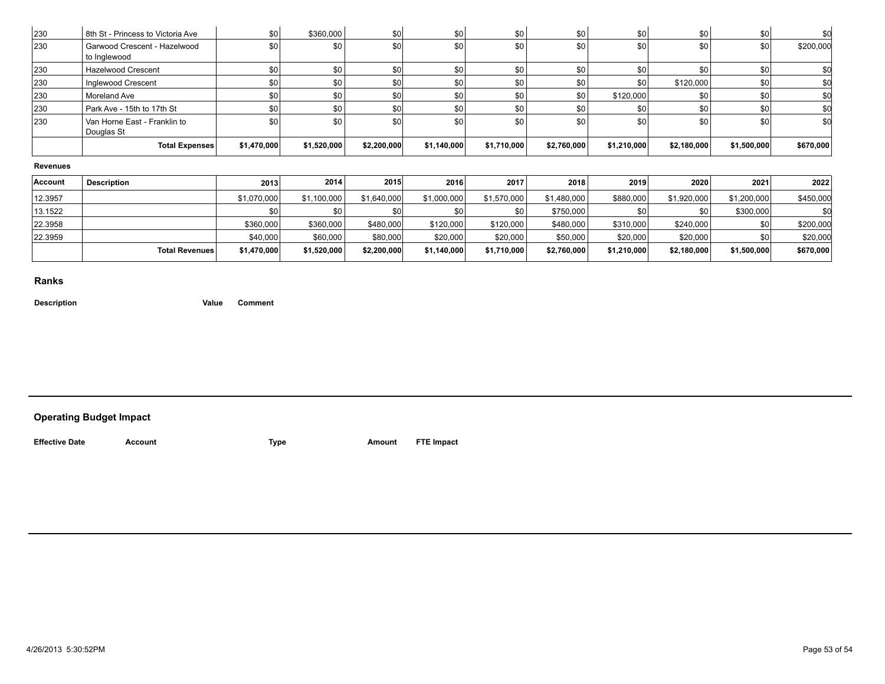| 230             | 8th St - Princess to Victoria Ave            | \$0         | \$360,000   | \$0         | \$0         | \$0         | \$0         | \$0         | \$0         | \$0         | -90       |
|-----------------|----------------------------------------------|-------------|-------------|-------------|-------------|-------------|-------------|-------------|-------------|-------------|-----------|
| 230             | Garwood Crescent - Hazelwood<br>to Inglewood | \$0         | \$0         | \$0l        | \$0         | \$0         | \$0         | \$0         | \$0         | \$0         | \$200,000 |
| 230             | <b>Hazelwood Crescent</b>                    | \$0         | \$0         | \$0         | \$0         | \$0         | \$0         | \$0         | \$0         | \$0         |           |
| 230             | Inglewood Crescent                           | \$0         | \$0         | \$0         | \$0         | \$0         | \$0         | \$0         | \$120,000   | \$0         | \$0       |
| 230             | Moreland Ave                                 | \$0         | \$0         | \$0         | \$0         | \$0         | \$0         | \$120,000   | \$0         | \$0         | \$C       |
| 230             | Park Ave - 15th to 17th St                   | \$0         | \$0 I       | \$0         | \$0         | \$0         | \$0         | \$0         | \$0         | \$0         | \$0       |
| 230             | Van Horne East - Franklin to<br>Douglas St   | \$0         | \$0         | \$0l        | \$0         | \$0         | \$0         | \$0         | \$0         | \$0         | \$0       |
|                 | <b>Total Expenses</b>                        | \$1,470,000 | \$1,520,000 | \$2,200,000 | \$1,140,000 | \$1,710,000 | \$2,760,000 | \$1,210,000 | \$2,180,000 | \$1,500,000 | \$670,000 |
| <b>Revenues</b> |                                              |             |             |             |             |             |             |             |             |             |           |
| <b>Account</b>  | <b>Description</b>                           | 2013        | 2014        | 2015        | 2016        | 2017        | 2018        | 2019        | 2020        | 2021        | 2022      |
| 12.3957         |                                              | \$1,070,000 | \$1,100,000 | \$1,640,000 | \$1,000,000 | \$1,570,000 | \$1,480,000 | \$880,000   | \$1,920,000 | \$1,200,000 | \$450,000 |
| 13.1522         |                                              | \$0         | \$0         | <b>\$0</b>  | \$0         | \$0         | \$750,000   | \$0         | \$0         | \$300,000   |           |
| 22.3958         |                                              | \$360,000   | \$360,000   | \$480,000   | \$120,000   | \$120,000   | \$480,000   | \$310,000   | \$240,000   | \$0         | \$200,000 |
| 22.3959         |                                              | \$40,000    | \$60,000    | \$80,000    | \$20,000    | \$20,000    | \$50,000    | \$20,000    | \$20,000    | \$0         | \$20,000  |
|                 | <b>Total Revenues</b>                        | \$1,470,000 | \$1,520,000 | \$2,200,000 | \$1,140,000 | \$1,710,000 | \$2,760,000 | \$1,210,000 | \$2,180,000 | \$1,500,000 | \$670,000 |
|                 |                                              |             |             |             |             |             |             |             |             |             |           |

**Description Value Comment**

# **Operating Budget Impact**

**Effective Date Account Type Amount FTE Impact**